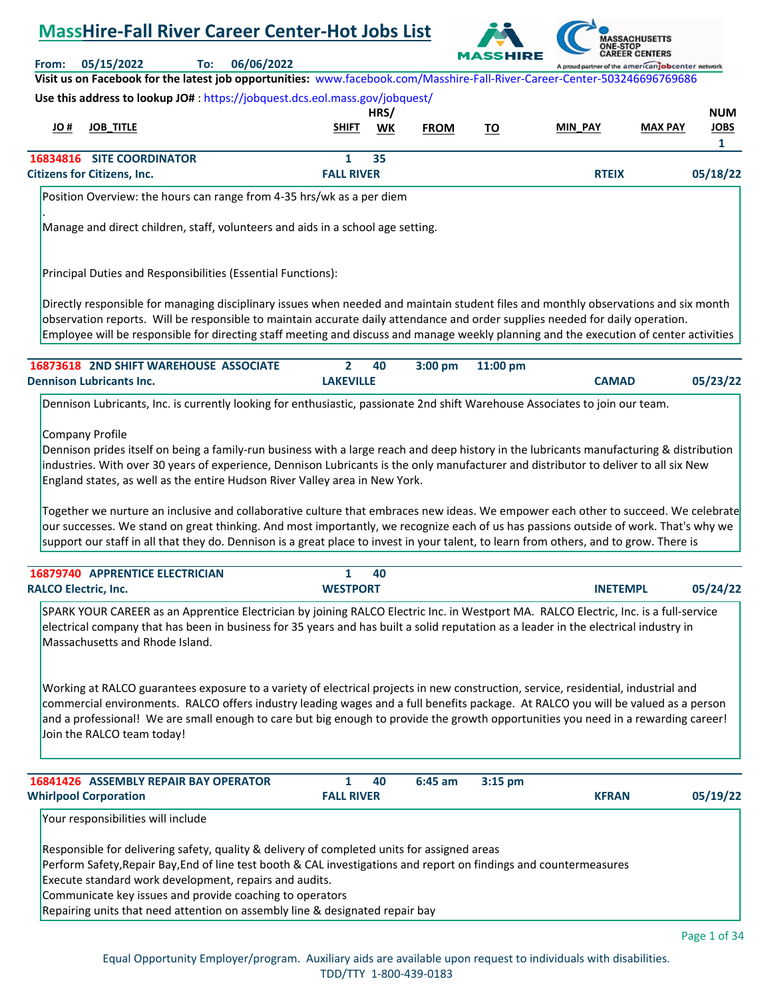# **MassHire-Fall River Career Center-Hot Jobs List**



**Visit us on Facebook for the latest job opportunities:** [www.facebook.com/Masshire-Fall-River-Career-Center-503246696769686](https://www.facebook.com/Masshire-Fall-River-Career-Center-503246696769686)

| JO#<br><b>JOB TITLE</b>            | HRS/<br><b>SHIFT</b><br>WK | <b>FROM</b> | то | <b>MIN_PAY</b> | <b>NUM</b><br><b>JOBS</b><br><b>MAX PAY</b> |
|------------------------------------|----------------------------|-------------|----|----------------|---------------------------------------------|
| <b>16834816 SITE COORDINATOR</b>   | 35                         |             |    |                |                                             |
| <b>Citizens for Citizens, Inc.</b> | <b>FALL RIVER</b>          |             |    | <b>RTEIX</b>   | 05/18/22                                    |

Position Overview: the hours can range from 4-35 hrs/wk as a per diem

Manage and direct children, staff, volunteers and aids in a school age setting.

Principal Duties and Responsibilities (Essential Functions):

**From: 05/15/2022 To: 06/06/2022**

Directly responsible for managing disciplinary issues when needed and maintain student files and monthly observations and six month observation reports. Will be responsible to maintain accurate daily attendance and order supplies needed for daily operation. Employee will be responsible for directing staff meeting and discuss and manage weekly planning and the execution of center activities

| <b>16873618 2ND SHIFT WAREHOUSE ASSOCIATE</b> |           | 40 | $3:00 \text{ pm}$ $11:00 \text{ pm}$ |       |          |
|-----------------------------------------------|-----------|----|--------------------------------------|-------|----------|
| <b>Dennison Lubricants Inc.</b>               | LAKEVILLE |    |                                      | CAMAD | 05/23/22 |

Dennison Lubricants, Inc. is currently looking for enthusiastic, passionate 2nd shift Warehouse Associates to join our team.

Company Profile

.

Dennison prides itself on being a family-run business with a large reach and deep history in the lubricants manufacturing & distribution industries. With over 30 years of experience, Dennison Lubricants is the only manufacturer and distributor to deliver to all six New England states, as well as the entire Hudson River Valley area in New York.

Together we nurture an inclusive and collaborative culture that embraces new ideas. We empower each other to succeed. We celebrate our successes. We stand on great thinking. And most importantly, we recognize each of us has passions outside of work. That's why we support our staff in all that they do. Dennison is a great place to invest in your talent, to learn from others, and to grow. There is

| <b>16879740 APPRENTICE ELECTRICIAN</b> |                 | 40 |                 |          |
|----------------------------------------|-----------------|----|-----------------|----------|
| <b>RALCO Electric, Inc.</b>            | <b>WESTPORT</b> |    | <b>INETEMPL</b> | 05/24/22 |

SPARK YOUR CAREER as an Apprentice Electrician by joining RALCO Electric Inc. in Westport MA. RALCO Electric, Inc. is a full-service electrical company that has been in business for 35 years and has built a solid reputation as a leader in the electrical industry in Massachusetts and Rhode Island.

Working at RALCO guarantees exposure to a variety of electrical projects in new construction, service, residential, industrial and commercial environments. RALCO offers industry leading wages and a full benefits package. At RALCO you will be valued as a person and a professional! We are small enough to care but big enough to provide the growth opportunities you need in a rewarding career! Join the RALCO team today!

| <b>16841426 ASSEMBLY REPAIR BAY OPERATOR</b><br><b>Whirlpool Corporation</b>                                       | <b>FALL RIVER</b> | 40 | $6:45$ am | $3:15$ pm | <b>KFRAN</b> | 05/19/22 |
|--------------------------------------------------------------------------------------------------------------------|-------------------|----|-----------|-----------|--------------|----------|
|                                                                                                                    |                   |    |           |           |              |          |
| Your responsibilities will include                                                                                 |                   |    |           |           |              |          |
| Responsible for delivering safety, quality & delivery of completed units for assigned areas                        |                   |    |           |           |              |          |
| Perform Safety, Repair Bay, End of line test booth & CAL investigations and report on findings and countermeasures |                   |    |           |           |              |          |
| <b>Execute standard work development, repairs and audits.</b>                                                      |                   |    |           |           |              |          |
| Communicate key issues and provide coaching to operators                                                           |                   |    |           |           |              |          |
| Repairing units that need attention on assembly line & designated repair bay                                       |                   |    |           |           |              |          |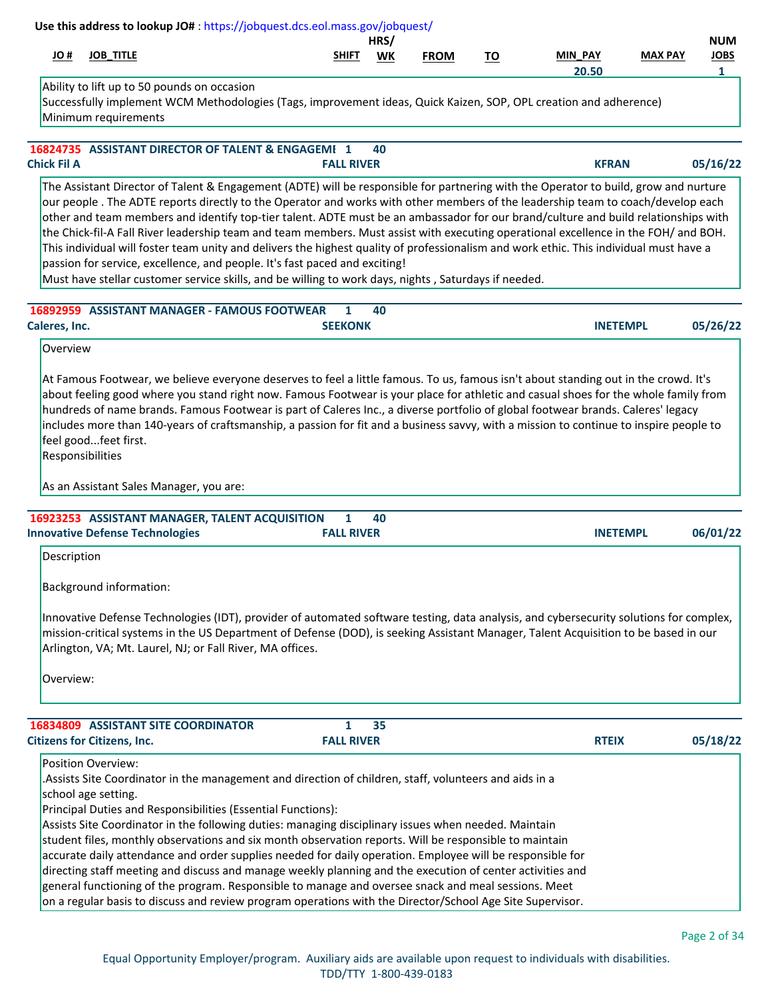|                    | Use this address to lookup JO#: https://jobquest.dcs.eol.mass.gov/jobquest/                                                                                                                                                                                                                                                                                                                                                                                                                                                                                                                                                                                                                                                                                                                                                                                                          |                   | HRS/ |             |           |                 |                | <b>NUM</b>  |
|--------------------|--------------------------------------------------------------------------------------------------------------------------------------------------------------------------------------------------------------------------------------------------------------------------------------------------------------------------------------------------------------------------------------------------------------------------------------------------------------------------------------------------------------------------------------------------------------------------------------------------------------------------------------------------------------------------------------------------------------------------------------------------------------------------------------------------------------------------------------------------------------------------------------|-------------------|------|-------------|-----------|-----------------|----------------|-------------|
| H OL               | <b>JOB TITLE</b>                                                                                                                                                                                                                                                                                                                                                                                                                                                                                                                                                                                                                                                                                                                                                                                                                                                                     | SHIFT             | WK   | <b>FROM</b> | <u>TO</u> | MIN PAY         | <b>MAX PAY</b> | <b>JOBS</b> |
|                    | Ability to lift up to 50 pounds on occasion<br>Successfully implement WCM Methodologies (Tags, improvement ideas, Quick Kaizen, SOP, OPL creation and adherence)<br>Minimum requirements                                                                                                                                                                                                                                                                                                                                                                                                                                                                                                                                                                                                                                                                                             |                   |      |             |           | 20.50           |                | 1           |
| <b>Chick Fil A</b> | 16824735 ASSISTANT DIRECTOR OF TALENT & ENGAGEME 1                                                                                                                                                                                                                                                                                                                                                                                                                                                                                                                                                                                                                                                                                                                                                                                                                                   | <b>FALL RIVER</b> | 40   |             |           | <b>KFRAN</b>    |                | 05/16/22    |
|                    | The Assistant Director of Talent & Engagement (ADTE) will be responsible for partnering with the Operator to build, grow and nurture<br>our people. The ADTE reports directly to the Operator and works with other members of the leadership team to coach/develop each<br>other and team members and identify top-tier talent. ADTE must be an ambassador for our brand/culture and build relationships with<br>the Chick-fil-A Fall River leadership team and team members. Must assist with executing operational excellence in the FOH/ and BOH.<br>This individual will foster team unity and delivers the highest quality of professionalism and work ethic. This individual must have a<br>passion for service, excellence, and people. It's fast paced and exciting!<br>Must have stellar customer service skills, and be willing to work days, nights, Saturdays if needed. |                   |      |             |           |                 |                |             |
|                    | 16892959 ASSISTANT MANAGER - FAMOUS FOOTWEAR                                                                                                                                                                                                                                                                                                                                                                                                                                                                                                                                                                                                                                                                                                                                                                                                                                         | 1                 | 40   |             |           |                 |                |             |
| Caleres, Inc.      |                                                                                                                                                                                                                                                                                                                                                                                                                                                                                                                                                                                                                                                                                                                                                                                                                                                                                      | <b>SEEKONK</b>    |      |             |           | <b>INETEMPL</b> |                | 05/26/22    |
|                    | Responsibilities<br>As an Assistant Sales Manager, you are:<br>16923253 ASSISTANT MANAGER, TALENT ACQUISITION                                                                                                                                                                                                                                                                                                                                                                                                                                                                                                                                                                                                                                                                                                                                                                        | $\mathbf{1}$      | 40   |             |           |                 |                |             |
|                    | <b>Innovative Defense Technologies</b>                                                                                                                                                                                                                                                                                                                                                                                                                                                                                                                                                                                                                                                                                                                                                                                                                                               | <b>FALL RIVER</b> |      |             |           | <b>INETEMPL</b> |                | 06/01/22    |
| Description        |                                                                                                                                                                                                                                                                                                                                                                                                                                                                                                                                                                                                                                                                                                                                                                                                                                                                                      |                   |      |             |           |                 |                |             |
| Overview:          | Background information:<br>Innovative Defense Technologies (IDT), provider of automated software testing, data analysis, and cybersecurity solutions for complex,<br>mission-critical systems in the US Department of Defense (DOD), is seeking Assistant Manager, Talent Acquisition to be based in our<br>Arlington, VA; Mt. Laurel, NJ; or Fall River, MA offices.                                                                                                                                                                                                                                                                                                                                                                                                                                                                                                                |                   |      |             |           |                 |                |             |
|                    | <b>16834809 ASSISTANT SITE COORDINATOR</b>                                                                                                                                                                                                                                                                                                                                                                                                                                                                                                                                                                                                                                                                                                                                                                                                                                           | $\mathbf{1}$      | 35   |             |           |                 |                |             |
|                    | <b>Citizens for Citizens, Inc.</b>                                                                                                                                                                                                                                                                                                                                                                                                                                                                                                                                                                                                                                                                                                                                                                                                                                                   | <b>FALL RIVER</b> |      |             |           | <b>RTEIX</b>    |                | 05/18/22    |
|                    | Position Overview:<br>Assists Site Coordinator in the management and direction of children, staff, volunteers and aids in a.<br>school age setting.<br>Principal Duties and Responsibilities (Essential Functions):<br>Assists Site Coordinator in the following duties: managing disciplinary issues when needed. Maintain<br>student files, monthly observations and six month observation reports. Will be responsible to maintain<br>accurate daily attendance and order supplies needed for daily operation. Employee will be responsible for<br>directing staff meeting and discuss and manage weekly planning and the execution of center activities and<br>general functioning of the program. Responsible to manage and oversee snack and meal sessions. Meet<br>on a regular basis to discuss and review program operations with the Director/School Age Site Supervisor.  |                   |      |             |           |                 |                |             |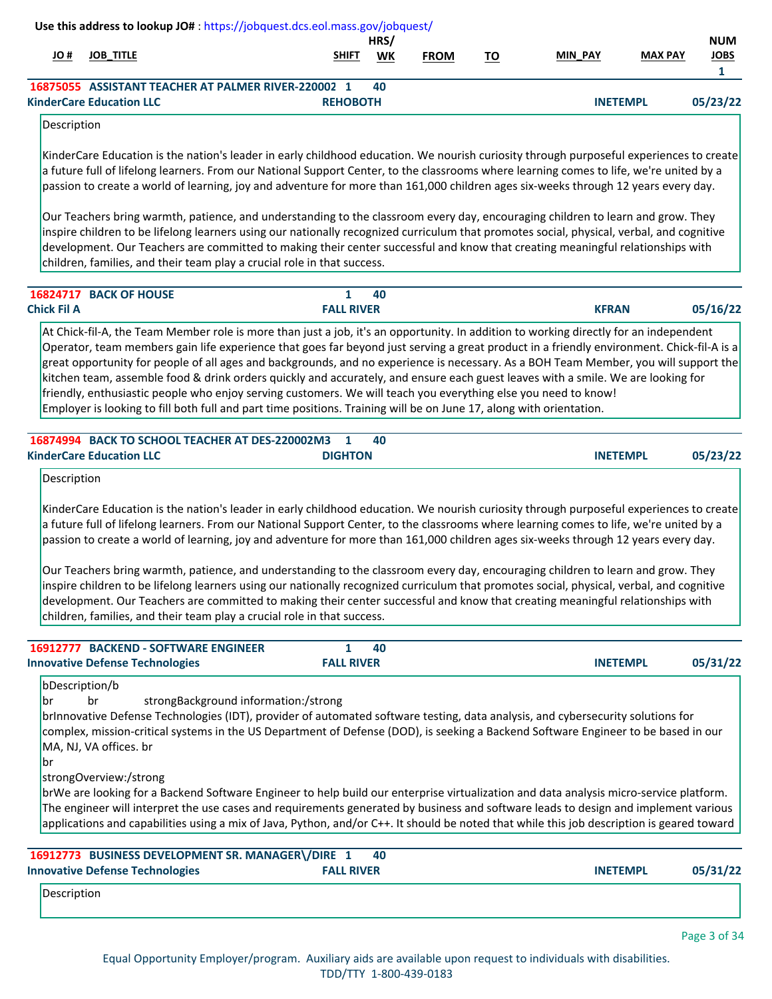|             |                                 | Use this address to lookup JO#: https://jobquest.dcs.eol.mass.gov/jobquest/ |      |             |    |                |                 |             |
|-------------|---------------------------------|-----------------------------------------------------------------------------|------|-------------|----|----------------|-----------------|-------------|
|             |                                 |                                                                             | HRS/ |             |    |                |                 | <b>NUM</b>  |
| # JO        | <b>JOB TITLE</b>                | <b>SHIFT</b>                                                                | WK   | <b>FROM</b> | то | <b>MIN PAY</b> | <b>MAX PAY</b>  | <b>JOBS</b> |
|             |                                 |                                                                             |      |             |    |                |                 |             |
|             |                                 | 16875055 ASSISTANT TEACHER AT PALMER RIVER-220002 1                         | 40   |             |    |                |                 |             |
|             | <b>KinderCare Education LLC</b> | <b>REHOBOTH</b>                                                             |      |             |    |                | <b>INETEMPL</b> | 05/23/22    |
| Description |                                 |                                                                             |      |             |    |                |                 |             |

## KinderCare Education is the nation's leader in early childhood education. We nourish curiosity through purposeful experiences to create a future full of lifelong learners. From our National Support Center, to the classrooms where learning comes to life, we're united by a passion to create a world of learning, joy and adventure for more than 161,000 children ages six-weeks through 12 years every day.

Our Teachers bring warmth, patience, and understanding to the classroom every day, encouraging children to learn and grow. They inspire children to be lifelong learners using our nationally recognized curriculum that promotes social, physical, verbal, and cognitive development. Our Teachers are committed to making their center successful and know that creating meaningful relationships with children, families, and their team play a crucial role in that success.

| <b>16824717 BACK OF HOUSE</b> | 40                |              |          |
|-------------------------------|-------------------|--------------|----------|
| <b>Chick Fil A</b>            | <b>FALL RIVER</b> | <b>KFRAN</b> | 05/16/22 |

At Chick-fil-A, the Team Member role is more than just a job, it's an opportunity. In addition to working directly for an independent Operator, team members gain life experience that goes far beyond just serving a great product in a friendly environment. Chick-fil-A is a great opportunity for people of all ages and backgrounds, and no experience is necessary. As a BOH Team Member, you will support the kitchen team, assemble food & drink orders quickly and accurately, and ensure each guest leaves with a smile. We are looking for friendly, enthusiastic people who enjoy serving customers. We will teach you everything else you need to know! Employer is looking to fill both full and part time positions. Training will be on June 17, along with orientation.

| 16874994 BACK TO SCHOOL TEACHER AT DES-220002M3 1 |                | 40 |                 |          |
|---------------------------------------------------|----------------|----|-----------------|----------|
| <b>KinderCare Education LLC</b>                   | <b>DIGHTON</b> |    | <b>INETEMPL</b> | 05/23/22 |

### Description

KinderCare Education is the nation's leader in early childhood education. We nourish curiosity through purposeful experiences to create a future full of lifelong learners. From our National Support Center, to the classrooms where learning comes to life, we're united by a passion to create a world of learning, joy and adventure for more than 161,000 children ages six-weeks through 12 years every day.

Our Teachers bring warmth, patience, and understanding to the classroom every day, encouraging children to learn and grow. They inspire children to be lifelong learners using our nationally recognized curriculum that promotes social, physical, verbal, and cognitive development. Our Teachers are committed to making their center successful and know that creating meaningful relationships with children, families, and their team play a crucial role in that success.

| <b>16912777 BACKEND - SOFTWARE ENGINEER</b> | -40               |                             |
|---------------------------------------------|-------------------|-----------------------------|
| <b>Innovative Defense Technologies</b>      | <b>FALL RIVER</b> | 05/31/22<br><b>INETEMPL</b> |

bDescription/b

br br strongBackground information:/strong

brInnovative Defense Technologies (IDT), provider of automated software testing, data analysis, and cybersecurity solutions for complex, mission-critical systems in the US Department of Defense (DOD), is seeking a Backend Software Engineer to be based in our MA, NJ, VA offices. br

br

strongOverview:/strong

brWe are looking for a Backend Software Engineer to help build our enterprise virtualization and data analysis micro-service platform. The engineer will interpret the use cases and requirements generated by business and software leads to design and implement various applications and capabilities using a mix of Java, Python, and/or C++. It should be noted that while this job description is geared toward

| 16912773 BUSINESS DEVELOPMENT SR. MANAGER\/DIRE 1 | 40                |                 |          |
|---------------------------------------------------|-------------------|-----------------|----------|
| <b>Innovative Defense Technologies</b>            | <b>FALL RIVER</b> | <b>INETEMPL</b> | 05/31/22 |
| Description                                       |                   |                 |          |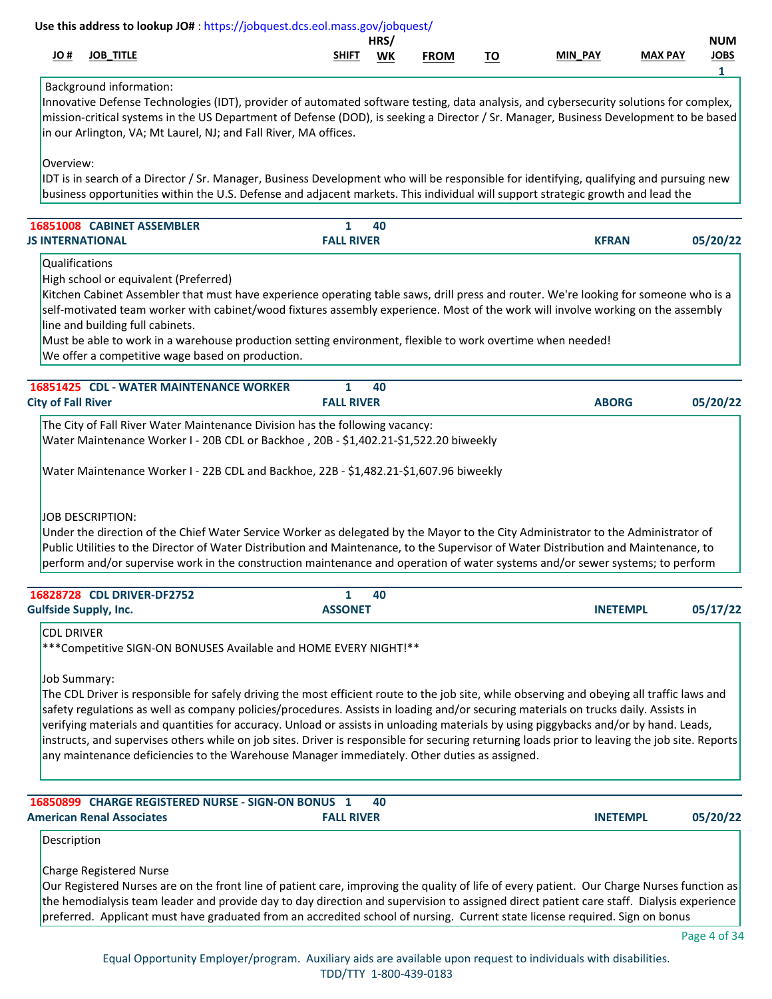|                           |                                                                           | Use this address to lookup JO#: https://jobquest.dcs.eol.mass.gov/jobquest/                                                                                                                                                                                                                                                                                                                                                                                                                                                                                                                                                                                                  |                        | HRS/      |             |           |                 |                | <b>NUM</b>  |
|---------------------------|---------------------------------------------------------------------------|------------------------------------------------------------------------------------------------------------------------------------------------------------------------------------------------------------------------------------------------------------------------------------------------------------------------------------------------------------------------------------------------------------------------------------------------------------------------------------------------------------------------------------------------------------------------------------------------------------------------------------------------------------------------------|------------------------|-----------|-------------|-----------|-----------------|----------------|-------------|
| H OL                      | <b>JOB TITLE</b>                                                          |                                                                                                                                                                                                                                                                                                                                                                                                                                                                                                                                                                                                                                                                              | SHIFT                  | <b>WK</b> | <b>FROM</b> | <u>TO</u> | <b>MIN PAY</b>  | <b>MAX PAY</b> | <b>JOBS</b> |
|                           | Background information:                                                   | Innovative Defense Technologies (IDT), provider of automated software testing, data analysis, and cybersecurity solutions for complex,<br>mission-critical systems in the US Department of Defense (DOD), is seeking a Director / Sr. Manager, Business Development to be based<br>in our Arlington, VA; Mt Laurel, NJ; and Fall River, MA offices.                                                                                                                                                                                                                                                                                                                          |                        |           |             |           |                 |                | 1           |
| Overview:                 |                                                                           | IDT is in search of a Director / Sr. Manager, Business Development who will be responsible for identifying, qualifying and pursuing new<br>business opportunities within the U.S. Defense and adjacent markets. This individual will support strategic growth and lead the                                                                                                                                                                                                                                                                                                                                                                                                   |                        |           |             |           |                 |                |             |
|                           | 16851008 CABINET ASSEMBLER<br><b>JS INTERNATIONAL</b>                     |                                                                                                                                                                                                                                                                                                                                                                                                                                                                                                                                                                                                                                                                              | 1<br><b>FALL RIVER</b> | 40        |             |           | <b>KFRAN</b>    |                | 05/20/22    |
|                           | High school or equivalent (Preferred)<br>line and building full cabinets. | Kitchen Cabinet Assembler that must have experience operating table saws, drill press and router. We're looking for someone who is a<br>self-motivated team worker with cabinet/wood fixtures assembly experience. Most of the work will involve working on the assembly<br>Must be able to work in a warehouse production setting environment, flexible to work overtime when needed!<br>We offer a competitive wage based on production.                                                                                                                                                                                                                                   |                        |           |             |           |                 |                |             |
| <b>City of Fall River</b> |                                                                           | <b>16851425 CDL - WATER MAINTENANCE WORKER</b>                                                                                                                                                                                                                                                                                                                                                                                                                                                                                                                                                                                                                               | 1<br><b>FALL RIVER</b> | 40        |             |           | <b>ABORG</b>    |                | 05/20/22    |
|                           | <b>JOB DESCRIPTION:</b>                                                   | Water Maintenance Worker I - 22B CDL and Backhoe, 22B - \$1,482.21-\$1,607.96 biweekly<br>Under the direction of the Chief Water Service Worker as delegated by the Mayor to the City Administrator to the Administrator of<br>Public Utilities to the Director of Water Distribution and Maintenance, to the Supervisor of Water Distribution and Maintenance, to<br>perform and/or supervise work in the construction maintenance and operation of water systems and/or sewer systems; to perform                                                                                                                                                                          |                        |           |             |           |                 |                |             |
|                           | 16828728 CDL DRIVER-DF2752                                                |                                                                                                                                                                                                                                                                                                                                                                                                                                                                                                                                                                                                                                                                              | 1                      | 40        |             |           |                 |                |             |
|                           | <b>Gulfside Supply, Inc.</b>                                              |                                                                                                                                                                                                                                                                                                                                                                                                                                                                                                                                                                                                                                                                              | <b>ASSONET</b>         |           |             |           | <b>INETEMPL</b> |                | 05/17/22    |
| <b>CDL DRIVER</b>         |                                                                           | *** Competitive SIGN-ON BONUSES Available and HOME EVERY NIGHT!**                                                                                                                                                                                                                                                                                                                                                                                                                                                                                                                                                                                                            |                        |           |             |           |                 |                |             |
|                           | Job Summary:                                                              | The CDL Driver is responsible for safely driving the most efficient route to the job site, while observing and obeying all traffic laws and<br>safety regulations as well as company policies/procedures. Assists in loading and/or securing materials on trucks daily. Assists in<br>verifying materials and quantities for accuracy. Unload or assists in unloading materials by using piggybacks and/or by hand. Leads,<br>instructs, and supervises others while on job sites. Driver is responsible for securing returning loads prior to leaving the job site. Reports<br>any maintenance deficiencies to the Warehouse Manager immediately. Other duties as assigned. |                        |           |             |           |                 |                |             |
|                           | <b>American Renal Associates</b>                                          | 16850899 CHARGE REGISTERED NURSE - SIGN-ON BONUS 1                                                                                                                                                                                                                                                                                                                                                                                                                                                                                                                                                                                                                           | <b>FALL RIVER</b>      | 40        |             |           | <b>INETEMPL</b> |                | 05/20/22    |
| Description               |                                                                           |                                                                                                                                                                                                                                                                                                                                                                                                                                                                                                                                                                                                                                                                              |                        |           |             |           |                 |                |             |
|                           | <b>Charge Registered Nurse</b>                                            | Our Registered Nurses are on the front line of patient care, improving the quality of life of every patient. Our Charge Nurses function as<br>the hemodialysis team leader and provide day to day direction and supervision to assigned direct patient care staff. Dialysis experience<br>preferred. Applicant must have graduated from an accredited school of nursing. Current state license required. Sign on bonus                                                                                                                                                                                                                                                       |                        |           |             |           |                 |                |             |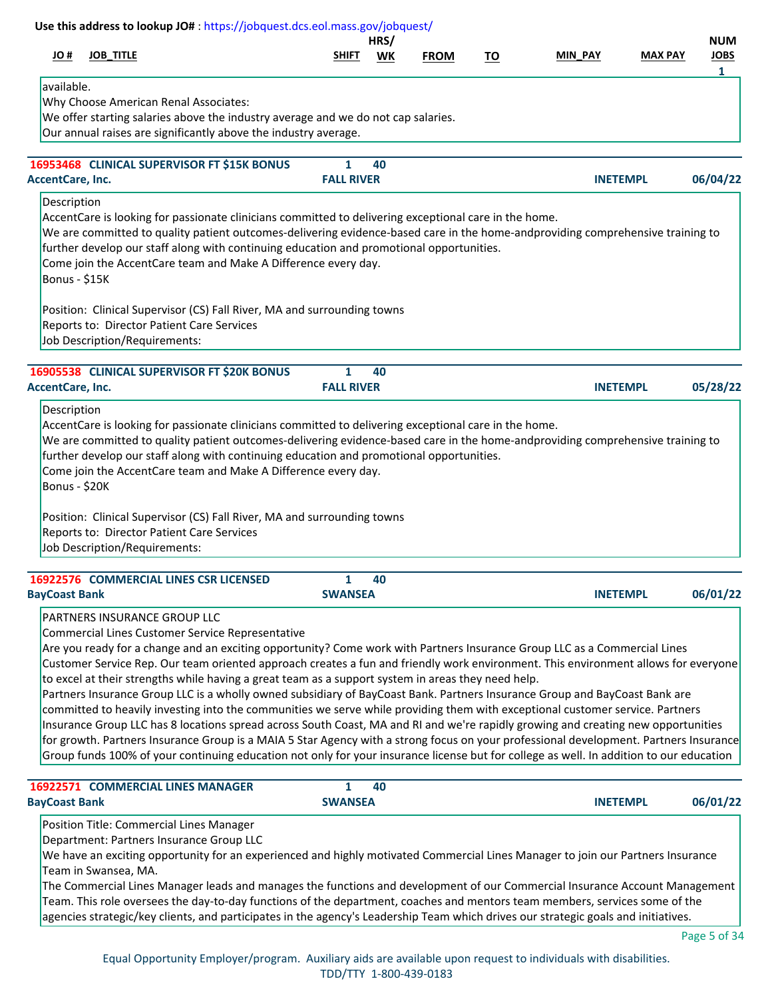|                              |                                                                             | Use this address to lookup JO#: https://jobquest.dcs.eol.mass.gov/jobquest/                                                                                                                                                                                                                                                                                                                                                                                                                                                                                                                                                                                                                                                                                                                                                                                                                                                                                                                                                                                                                                       |                                   |            |             |           |                 |                | <b>NUM</b>       |
|------------------------------|-----------------------------------------------------------------------------|-------------------------------------------------------------------------------------------------------------------------------------------------------------------------------------------------------------------------------------------------------------------------------------------------------------------------------------------------------------------------------------------------------------------------------------------------------------------------------------------------------------------------------------------------------------------------------------------------------------------------------------------------------------------------------------------------------------------------------------------------------------------------------------------------------------------------------------------------------------------------------------------------------------------------------------------------------------------------------------------------------------------------------------------------------------------------------------------------------------------|-----------------------------------|------------|-------------|-----------|-----------------|----------------|------------------|
| # OL                         | <b>JOB_TITLE</b>                                                            |                                                                                                                                                                                                                                                                                                                                                                                                                                                                                                                                                                                                                                                                                                                                                                                                                                                                                                                                                                                                                                                                                                                   | <b>SHIFT</b>                      | HRS/<br>WK | <b>FROM</b> | <u>TO</u> | MIN PAY         | <b>MAX PAY</b> | <b>JOBS</b><br>1 |
| available.                   | Why Choose American Renal Associates:                                       | We offer starting salaries above the industry average and we do not cap salaries.<br>Our annual raises are significantly above the industry average.                                                                                                                                                                                                                                                                                                                                                                                                                                                                                                                                                                                                                                                                                                                                                                                                                                                                                                                                                              |                                   |            |             |           |                 |                |                  |
| <b>AccentCare, Inc.</b>      |                                                                             | 16953468 CLINICAL SUPERVISOR FT \$15K BONUS                                                                                                                                                                                                                                                                                                                                                                                                                                                                                                                                                                                                                                                                                                                                                                                                                                                                                                                                                                                                                                                                       | $\mathbf{1}$<br><b>FALL RIVER</b> | 40         |             |           | <b>INETEMPL</b> |                | 06/04/22         |
| Description<br>Bonus - \$15K |                                                                             | AccentCare is looking for passionate clinicians committed to delivering exceptional care in the home.<br>We are committed to quality patient outcomes-delivering evidence-based care in the home-andproviding comprehensive training to<br>further develop our staff along with continuing education and promotional opportunities.<br>Come join the AccentCare team and Make A Difference every day.<br>Position: Clinical Supervisor (CS) Fall River, MA and surrounding towns                                                                                                                                                                                                                                                                                                                                                                                                                                                                                                                                                                                                                                  |                                   |            |             |           |                 |                |                  |
|                              | Reports to: Director Patient Care Services<br>Job Description/Requirements: |                                                                                                                                                                                                                                                                                                                                                                                                                                                                                                                                                                                                                                                                                                                                                                                                                                                                                                                                                                                                                                                                                                                   |                                   |            |             |           |                 |                |                  |
| <b>AccentCare, Inc.</b>      |                                                                             | 16905538 CLINICAL SUPERVISOR FT \$20K BONUS                                                                                                                                                                                                                                                                                                                                                                                                                                                                                                                                                                                                                                                                                                                                                                                                                                                                                                                                                                                                                                                                       | $\mathbf{1}$<br><b>FALL RIVER</b> | 40         |             |           | <b>INETEMPL</b> |                | 05/28/22         |
| Bonus - \$20K                | Reports to: Director Patient Care Services<br>Job Description/Requirements: | Come join the AccentCare team and Make A Difference every day.<br>Position: Clinical Supervisor (CS) Fall River, MA and surrounding towns                                                                                                                                                                                                                                                                                                                                                                                                                                                                                                                                                                                                                                                                                                                                                                                                                                                                                                                                                                         |                                   |            |             |           |                 |                |                  |
| <b>BayCoast Bank</b>         |                                                                             | <b>16922576 COMMERCIAL LINES CSR LICENSED</b>                                                                                                                                                                                                                                                                                                                                                                                                                                                                                                                                                                                                                                                                                                                                                                                                                                                                                                                                                                                                                                                                     | 1<br><b>SWANSEA</b>               | 40         |             |           | <b>INETEMPL</b> |                | 06/01/22         |
|                              | PARTNERS INSURANCE GROUP LLC                                                | Commercial Lines Customer Service Representative<br>Are you ready for a change and an exciting opportunity? Come work with Partners Insurance Group LLC as a Commercial Lines<br>Customer Service Rep. Our team oriented approach creates a fun and friendly work environment. This environment allows for everyone<br>to excel at their strengths while having a great team as a support system in areas they need help.<br>Partners Insurance Group LLC is a wholly owned subsidiary of BayCoast Bank. Partners Insurance Group and BayCoast Bank are<br>committed to heavily investing into the communities we serve while providing them with exceptional customer service. Partners<br>Insurance Group LLC has 8 locations spread across South Coast, MA and RI and we're rapidly growing and creating new opportunities<br>for growth. Partners Insurance Group is a MAIA 5 Star Agency with a strong focus on your professional development. Partners Insurance<br>Group funds 100% of your continuing education not only for your insurance license but for college as well. In addition to our education |                                   |            |             |           |                 |                |                  |
| <b>BayCoast Bank</b>         | 16922571 COMMERCIAL LINES MANAGER                                           |                                                                                                                                                                                                                                                                                                                                                                                                                                                                                                                                                                                                                                                                                                                                                                                                                                                                                                                                                                                                                                                                                                                   | $\mathbf{1}$<br><b>SWANSEA</b>    | 40         |             |           | <b>INETEMPL</b> |                | 06/01/22         |
|                              | Position Title: Commercial Lines Manager<br>Team in Swansea, MA.            | Department: Partners Insurance Group LLC<br>We have an exciting opportunity for an experienced and highly motivated Commercial Lines Manager to join our Partners Insurance<br>The Commercial Lines Manager leads and manages the functions and development of our Commercial Insurance Account Management<br>Team. This role oversees the day-to-day functions of the department, coaches and mentors team members, services some of the<br>agencies strategic/key clients, and participates in the agency's Leadership Team which drives our strategic goals and initiatives.                                                                                                                                                                                                                                                                                                                                                                                                                                                                                                                                   |                                   |            |             |           |                 |                | Page 5 of 34     |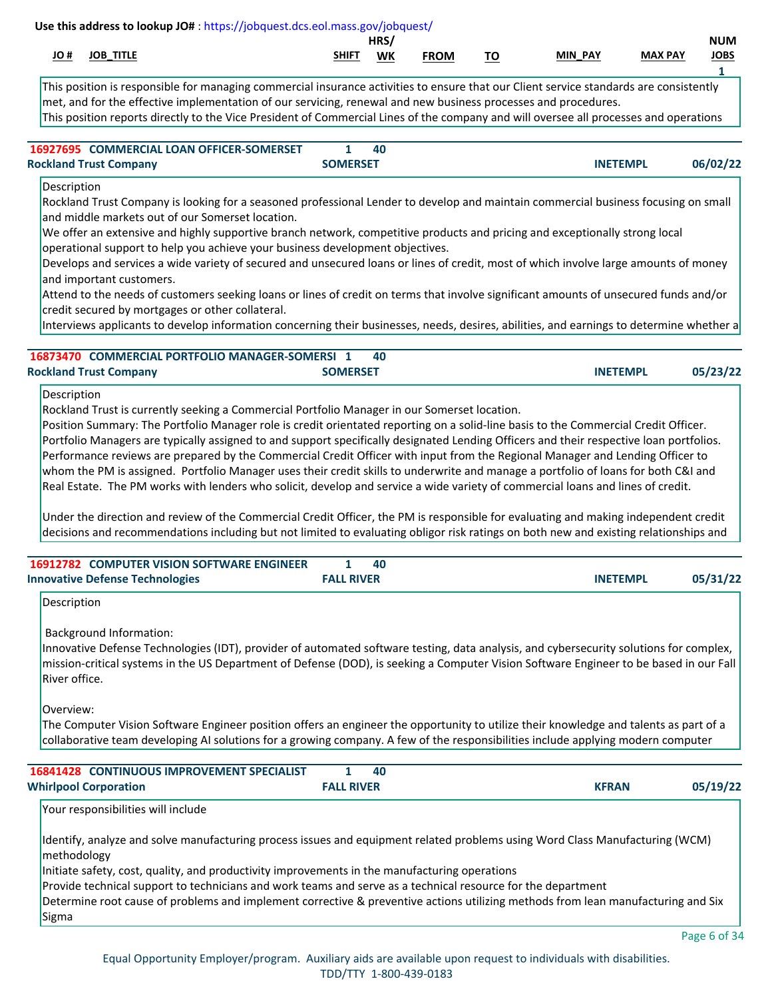**JO # JOB\_TITLE SHIFT WK MIN\_PAY MAX PAY JOBS HRS/ NUM FROM TO Use this address to lookup JO#** [: https://jobquest.dcs.eol.mass.gov/jobquest/](https://jobquest.dcs.eol.mass.gov/jobquest/)   **1** This position is responsible for managing commercial insurance activities to ensure that our Client service standards are consistently met, and for the effective implementation of our servicing, renewal and new business processes and procedures. This position reports directly to the Vice President of Commercial Lines of the company and will oversee all processes and operations

| <b>16927695 COMMERCIAL LOAN OFFICER-SOMERSET</b> |          | 40 |                 |          |
|--------------------------------------------------|----------|----|-----------------|----------|
| <b>Rockland Trust Company</b>                    | SOMERSET |    | <b>INETEMPL</b> | 06/02/22 |

#### Description

Rockland Trust Company is looking for a seasoned professional Lender to develop and maintain commercial business focusing on small and middle markets out of our Somerset location.

We offer an extensive and highly supportive branch network, competitive products and pricing and exceptionally strong local operational support to help you achieve your business development objectives.

Develops and services a wide variety of secured and unsecured loans or lines of credit, most of which involve large amounts of money and important customers.

Attend to the needs of customers seeking loans or lines of credit on terms that involve significant amounts of unsecured funds and/or credit secured by mortgages or other collateral.

Interviews applicants to develop information concerning their businesses, needs, desires, abilities, and earnings to determine whether a

| 16873470 COMMERCIAL PORTFOLIO MANAGER-SOMERSI 1 |          |  |                 |          |
|-------------------------------------------------|----------|--|-----------------|----------|
| <b>Rockland Trust Company</b>                   | SOMERSET |  | <b>INETEMPL</b> | 05/23/22 |

#### Description

Rockland Trust is currently seeking a Commercial Portfolio Manager in our Somerset location.

Position Summary: The Portfolio Manager role is credit orientated reporting on a solid-line basis to the Commercial Credit Officer. Portfolio Managers are typically assigned to and support specifically designated Lending Officers and their respective loan portfolios. Performance reviews are prepared by the Commercial Credit Officer with input from the Regional Manager and Lending Officer to whom the PM is assigned. Portfolio Manager uses their credit skills to underwrite and manage a portfolio of loans for both C&I and Real Estate. The PM works with lenders who solicit, develop and service a wide variety of commercial loans and lines of credit.

Under the direction and review of the Commercial Credit Officer, the PM is responsible for evaluating and making independent credit decisions and recommendations including but not limited to evaluating obligor risk ratings on both new and existing relationships and

| <b>16912782 COMPUTER VISION SOFTWARE ENGINEER</b> |                   | 40 |                 |          |
|---------------------------------------------------|-------------------|----|-----------------|----------|
| <b>Innovative Defense Technologies</b>            | <b>FALL RIVER</b> |    | <b>INETEMPL</b> | 05/31/22 |

Description

Background Information:

Innovative Defense Technologies (IDT), provider of automated software testing, data analysis, and cybersecurity solutions for complex, mission-critical systems in the US Department of Defense (DOD), is seeking a Computer Vision Software Engineer to be based in our Fall River office.

Overview:

The Computer Vision Software Engineer position offers an engineer the opportunity to utilize their knowledge and talents as part of a collaborative team developing AI solutions for a growing company. A few of the responsibilities include applying modern computer

| <b>16841428 CONTINUOUS IMPROVEMENT SPECIALIST</b> |                   | 40 |              |          |
|---------------------------------------------------|-------------------|----|--------------|----------|
| <b>Whirlpool Corporation</b>                      | <b>FALL RIVER</b> |    | <b>KFRAN</b> | 05/19/22 |

Your responsibilities will include

Identify, analyze and solve manufacturing process issues and equipment related problems using Word Class Manufacturing (WCM) methodology

Initiate safety, cost, quality, and productivity improvements in the manufacturing operations

Provide technical support to technicians and work teams and serve as a technical resource for the department

Determine root cause of problems and implement corrective & preventive actions utilizing methods from lean manufacturing and Six Sigma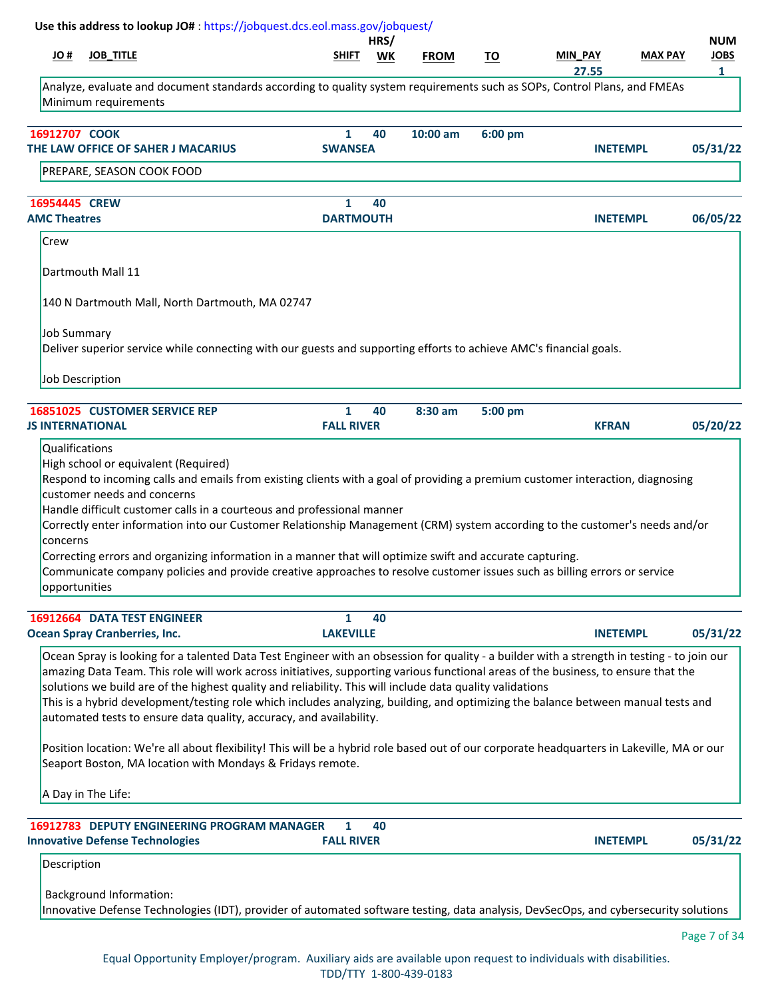| # OL                                 | Use this address to lookup JO#: https://jobquest.dcs.eol.mass.gov/jobquest/<br><b>JOB_TITLE</b>                                                                                                                                                                                                                                                                                                                                                                                                                                                                                                                                                                                                                                                          | <b>SHIFT</b>           | HRS/<br>WK | <b>FROM</b> | <u>TO</u> | MIN_PAY         | <b>MAX PAY</b> | <b>NUM</b><br><b>JOBS</b><br>1 |
|--------------------------------------|----------------------------------------------------------------------------------------------------------------------------------------------------------------------------------------------------------------------------------------------------------------------------------------------------------------------------------------------------------------------------------------------------------------------------------------------------------------------------------------------------------------------------------------------------------------------------------------------------------------------------------------------------------------------------------------------------------------------------------------------------------|------------------------|------------|-------------|-----------|-----------------|----------------|--------------------------------|
|                                      | Analyze, evaluate and document standards according to quality system requirements such as SOPs, Control Plans, and FMEAs<br>Minimum requirements                                                                                                                                                                                                                                                                                                                                                                                                                                                                                                                                                                                                         |                        |            |             |           | 27.55           |                |                                |
| 16912707 COOK                        |                                                                                                                                                                                                                                                                                                                                                                                                                                                                                                                                                                                                                                                                                                                                                          | 1                      | 40         | $10:00$ am  | 6:00 pm   |                 |                |                                |
|                                      | THE LAW OFFICE OF SAHER J MACARIUS                                                                                                                                                                                                                                                                                                                                                                                                                                                                                                                                                                                                                                                                                                                       | <b>SWANSEA</b>         |            |             |           | <b>INETEMPL</b> |                | 05/31/22                       |
|                                      | PREPARE, SEASON COOK FOOD                                                                                                                                                                                                                                                                                                                                                                                                                                                                                                                                                                                                                                                                                                                                |                        |            |             |           |                 |                |                                |
| 16954445 CREW<br><b>AMC Theatres</b> |                                                                                                                                                                                                                                                                                                                                                                                                                                                                                                                                                                                                                                                                                                                                                          | 1                      | 40         |             |           |                 |                |                                |
| Crew                                 |                                                                                                                                                                                                                                                                                                                                                                                                                                                                                                                                                                                                                                                                                                                                                          | <b>DARTMOUTH</b>       |            |             |           | <b>INETEMPL</b> |                | 06/05/22                       |
|                                      |                                                                                                                                                                                                                                                                                                                                                                                                                                                                                                                                                                                                                                                                                                                                                          |                        |            |             |           |                 |                |                                |
|                                      | Dartmouth Mall 11                                                                                                                                                                                                                                                                                                                                                                                                                                                                                                                                                                                                                                                                                                                                        |                        |            |             |           |                 |                |                                |
|                                      | 140 N Dartmouth Mall, North Dartmouth, MA 02747                                                                                                                                                                                                                                                                                                                                                                                                                                                                                                                                                                                                                                                                                                          |                        |            |             |           |                 |                |                                |
| <b>Job Summary</b>                   | Deliver superior service while connecting with our guests and supporting efforts to achieve AMC's financial goals.                                                                                                                                                                                                                                                                                                                                                                                                                                                                                                                                                                                                                                       |                        |            |             |           |                 |                |                                |
| Job Description                      |                                                                                                                                                                                                                                                                                                                                                                                                                                                                                                                                                                                                                                                                                                                                                          |                        |            |             |           |                 |                |                                |
| <b>JS INTERNATIONAL</b>              | 16851025 CUSTOMER SERVICE REP                                                                                                                                                                                                                                                                                                                                                                                                                                                                                                                                                                                                                                                                                                                            | 1<br><b>FALL RIVER</b> | 40         | 8:30 am     | 5:00 pm   | <b>KFRAN</b>    |                | 05/20/22                       |
| concerns<br>opportunities            | customer needs and concerns<br>Handle difficult customer calls in a courteous and professional manner<br>Correctly enter information into our Customer Relationship Management (CRM) system according to the customer's needs and/or<br>Correcting errors and organizing information in a manner that will optimize swift and accurate capturing.<br>Communicate company policies and provide creative approaches to resolve customer issues such as billing errors or service                                                                                                                                                                                                                                                                           |                        |            |             |           |                 |                |                                |
|                                      | 16912664 DATA TEST ENGINEER                                                                                                                                                                                                                                                                                                                                                                                                                                                                                                                                                                                                                                                                                                                              | 1                      | 40         |             |           |                 |                |                                |
|                                      | <b>Ocean Spray Cranberries, Inc.</b>                                                                                                                                                                                                                                                                                                                                                                                                                                                                                                                                                                                                                                                                                                                     | <b>LAKEVILLE</b>       |            |             |           | <b>INETEMPL</b> |                | 05/31/22                       |
|                                      | Ocean Spray is looking for a talented Data Test Engineer with an obsession for quality - a builder with a strength in testing - to join our<br>amazing Data Team. This role will work across initiatives, supporting various functional areas of the business, to ensure that the<br>solutions we build are of the highest quality and reliability. This will include data quality validations<br>This is a hybrid development/testing role which includes analyzing, building, and optimizing the balance between manual tests and<br>automated tests to ensure data quality, accuracy, and availability.<br>Position location: We're all about flexibility! This will be a hybrid role based out of our corporate headquarters in Lakeville, MA or our |                        |            |             |           |                 |                |                                |
|                                      | Seaport Boston, MA location with Mondays & Fridays remote.                                                                                                                                                                                                                                                                                                                                                                                                                                                                                                                                                                                                                                                                                               |                        |            |             |           |                 |                |                                |
|                                      | A Day in The Life:                                                                                                                                                                                                                                                                                                                                                                                                                                                                                                                                                                                                                                                                                                                                       |                        |            |             |           |                 |                |                                |
|                                      | 16912783 DEPUTY ENGINEERING PROGRAM MANAGER<br><b>Innovative Defense Technologies</b>                                                                                                                                                                                                                                                                                                                                                                                                                                                                                                                                                                                                                                                                    | 1<br><b>FALL RIVER</b> | 40         |             |           | <b>INETEMPL</b> |                | 05/31/22                       |
| Description                          |                                                                                                                                                                                                                                                                                                                                                                                                                                                                                                                                                                                                                                                                                                                                                          |                        |            |             |           |                 |                |                                |
|                                      | <b>Background Information:</b><br>Innovative Defense Technologies (IDT), provider of automated software testing, data analysis, DevSecOps, and cybersecurity solutions                                                                                                                                                                                                                                                                                                                                                                                                                                                                                                                                                                                   |                        |            |             |           |                 |                |                                |
|                                      |                                                                                                                                                                                                                                                                                                                                                                                                                                                                                                                                                                                                                                                                                                                                                          |                        |            |             |           |                 |                |                                |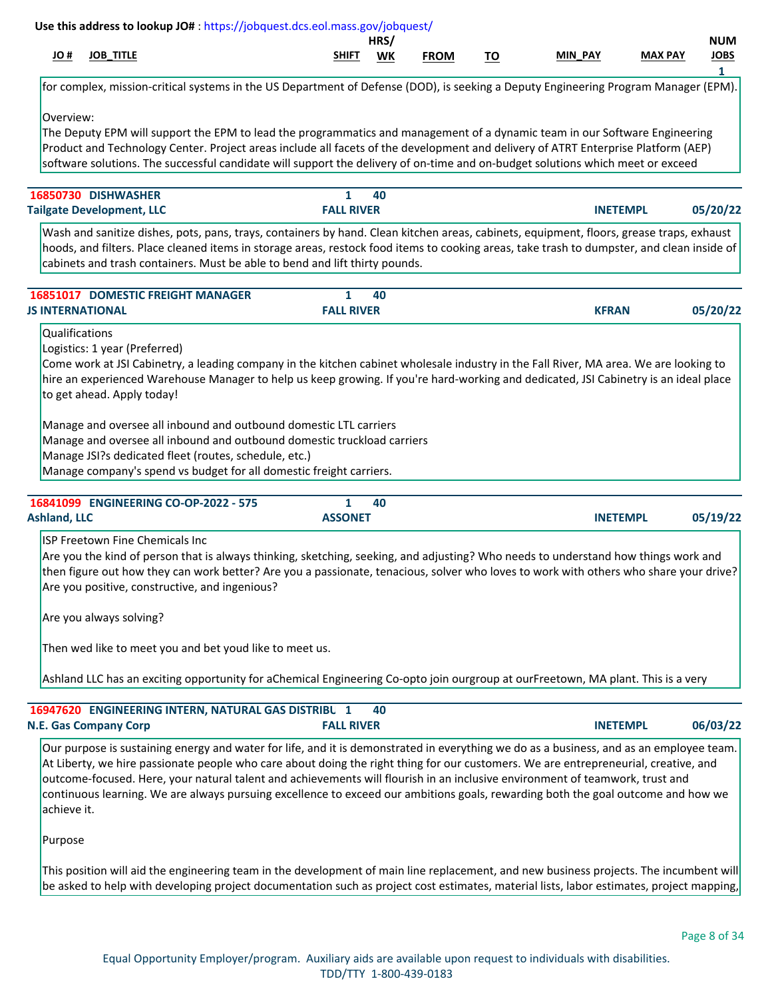|            |              |              | HRS, |      |           |                          |                | <b>NUM</b>  |
|------------|--------------|--------------|------|------|-----------|--------------------------|----------------|-------------|
| <u>JO#</u> | TITLE<br>JOB | <b>SHIFT</b> | WK   | FROM | т г<br>'' | <b>PAY</b><br><b>MIN</b> | <b>MAX PAY</b> | <b>JOBS</b> |
|            |              |              |      |      |           |                          |                |             |

for complex, mission-critical systems in the US Department of Defense (DOD), is seeking a Deputy Engineering Program Manager (EPM).

Overview:

The Deputy EPM will support the EPM to lead the programmatics and management of a dynamic team in our Software Engineering Product and Technology Center. Project areas include all facets of the development and delivery of ATRT Enterprise Platform (AEP) software solutions. The successful candidate will support the delivery of on-time and on-budget solutions which meet or exceed

| 16850730 DISHWASHER              | 40                |                 |          |
|----------------------------------|-------------------|-----------------|----------|
| <b>Tailgate Development, LLC</b> | <b>FALL RIVER</b> | <b>INETEMPL</b> | 05/20/22 |

Wash and sanitize dishes, pots, pans, trays, containers by hand. Clean kitchen areas, cabinets, equipment, floors, grease traps, exhaust hoods, and filters. Place cleaned items in storage areas, restock food items to cooking areas, take trash to dumpster, and clean inside of cabinets and trash containers. Must be able to bend and lift thirty pounds.

| <b>DOMESTIC FREIGHT MANAGER</b><br>16851017 | -40               |              |          |
|---------------------------------------------|-------------------|--------------|----------|
| <b>JS INTERNATIONAL</b>                     | <b>FALL RIVER</b> | <b>KFRAN</b> | 05/20/22 |
| <b>Qualifications</b>                       |                   |              |          |

Logistics: 1 year (Preferred)

Come work at JSI Cabinetry, a leading company in the kitchen cabinet wholesale industry in the Fall River, MA area. We are looking to hire an experienced Warehouse Manager to help us keep growing. If you're hard-working and dedicated, JSI Cabinetry is an ideal place to get ahead. Apply today!

Manage and oversee all inbound and outbound domestic LTL carriers

Manage and oversee all inbound and outbound domestic truckload carriers

Manage JSI?s dedicated fleet (routes, schedule, etc.)

Manage company's spend vs budget for all domestic freight carriers.

| 16841099 ENGINEERING CO-OP-2022 - 575 | 40             |                 |          |
|---------------------------------------|----------------|-----------------|----------|
| <b>Ashland, LLC</b>                   | <b>ASSONET</b> | <b>INETEMPL</b> | 05/19/22 |

ISP Freetown Fine Chemicals Inc

Are you the kind of person that is always thinking, sketching, seeking, and adjusting? Who needs to understand how things work and then figure out how they can work better? Are you a passionate, tenacious, solver who loves to work with others who share your drive? Are you positive, constructive, and ingenious?

Are you always solving?

Then wed like to meet you and bet youd like to meet us.

Ashland LLC has an exciting opportunity for aChemical Engineering Co-opto join ourgroup at ourFreetown, MA plant. This is a very

| 16947620 ENGINEERING INTERN, NATURAL GAS DISTRIBU 1 |                   |                 |          |
|-----------------------------------------------------|-------------------|-----------------|----------|
| <b>N.E. Gas Company Corp</b>                        | <b>FALL RIVER</b> | <b>INETEMPL</b> | 06/03/22 |

Our purpose is sustaining energy and water for life, and it is demonstrated in everything we do as a business, and as an employee team. At Liberty, we hire passionate people who care about doing the right thing for our customers. We are entrepreneurial, creative, and outcome-focused. Here, your natural talent and achievements will flourish in an inclusive environment of teamwork, trust and continuous learning. We are always pursuing excellence to exceed our ambitions goals, rewarding both the goal outcome and how we achieve it.

Purpose

This position will aid the engineering team in the development of main line replacement, and new business projects. The incumbent will be asked to help with developing project documentation such as project cost estimates, material lists, labor estimates, project mapping,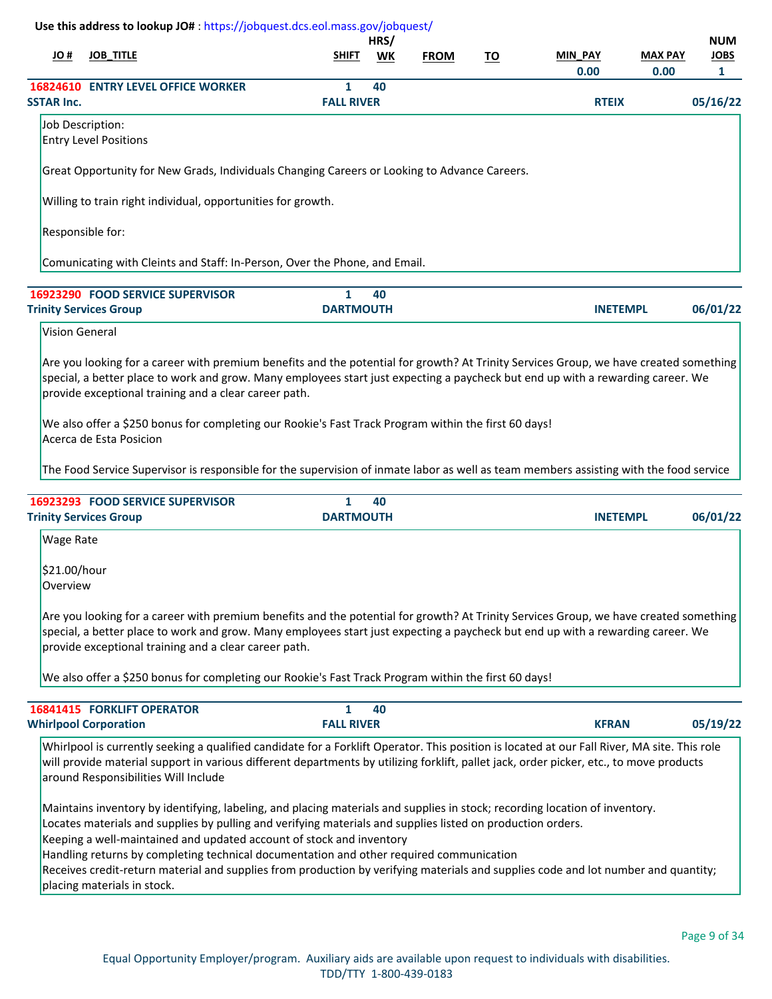# **JO # JOB\_TITLE SHIFT WK MIN\_PAY MAX PAY JOBS HRS/ NUM FROM Use this address to lookup JO#** [: https://jobquest.dcs.eol.mass.gov/jobquest/](https://jobquest.dcs.eol.mass.gov/jobquest/)   **0.00 0.00 1 16824610 ENTRY LEVEL OFFICE WORKER** 1 **05/16/22 40** Job Description: Entry Level Positions Great Opportunity for New Grads, Individuals Changing Careers or Looking to Advance Careers. Willing to train right individual, opportunities for growth. Responsible for: Comunicating with Cleints and Staff: In-Person, Over the Phone, and Email. **SSTAR Inc. FALL RIVER RTEIX 16923290 1 FOOD SERVICE SUPERVISOR 06/01/22 40** Vision General Are you looking for a career with premium benefits and the potential for growth? At Trinity Services Group, we have created something special, a better place to work and grow. Many employees start just expecting a paycheck but end up with a rewarding career. We provide exceptional training and a clear career path. **Trinity Services Group DARTMOUTH INETEMPL**

We also offer a \$250 bonus for completing our Rookie's Fast Track Program within the first 60 days! Acerca de Esta Posicion

The Food Service Supervisor is responsible for the supervision of inmate labor as well as team members assisting with the food service

| <b>16923293 FOOD SERVICE SUPERVISOR</b> | 40               |                 |          |
|-----------------------------------------|------------------|-----------------|----------|
| <b>Trinity Services Group</b>           | <b>DARTMOUTH</b> | <b>INETEMPL</b> | 06/01/22 |
| <b>Wage Rate</b>                        |                  |                 |          |

\$21.00/hour Overview

Are you looking for a career with premium benefits and the potential for growth? At Trinity Services Group, we have created something special, a better place to work and grow. Many employees start just expecting a paycheck but end up with a rewarding career. We provide exceptional training and a clear career path.

We also offer a \$250 bonus for completing our Rookie's Fast Track Program within the first 60 days!

| <b>16841415 FORKLIFT OPERATOR</b> |                   | 40 |              |          |
|-----------------------------------|-------------------|----|--------------|----------|
| <b>Whirlpool Corporation</b>      | <b>FALL RIVER</b> |    | <b>KFRAN</b> | 05/19/22 |

Whirlpool is currently seeking a qualified candidate for a Forklift Operator. This position is located at our Fall River, MA site. This role will provide material support in various different departments by utilizing forklift, pallet jack, order picker, etc., to move products around Responsibilities Will Include

Maintains inventory by identifying, labeling, and placing materials and supplies in stock; recording location of inventory. Locates materials and supplies by pulling and verifying materials and supplies listed on production orders. Keeping a well-maintained and updated account of stock and inventory

Handling returns by completing technical documentation and other required communication

Receives credit-return material and supplies from production by verifying materials and supplies code and lot number and quantity; placing materials in stock.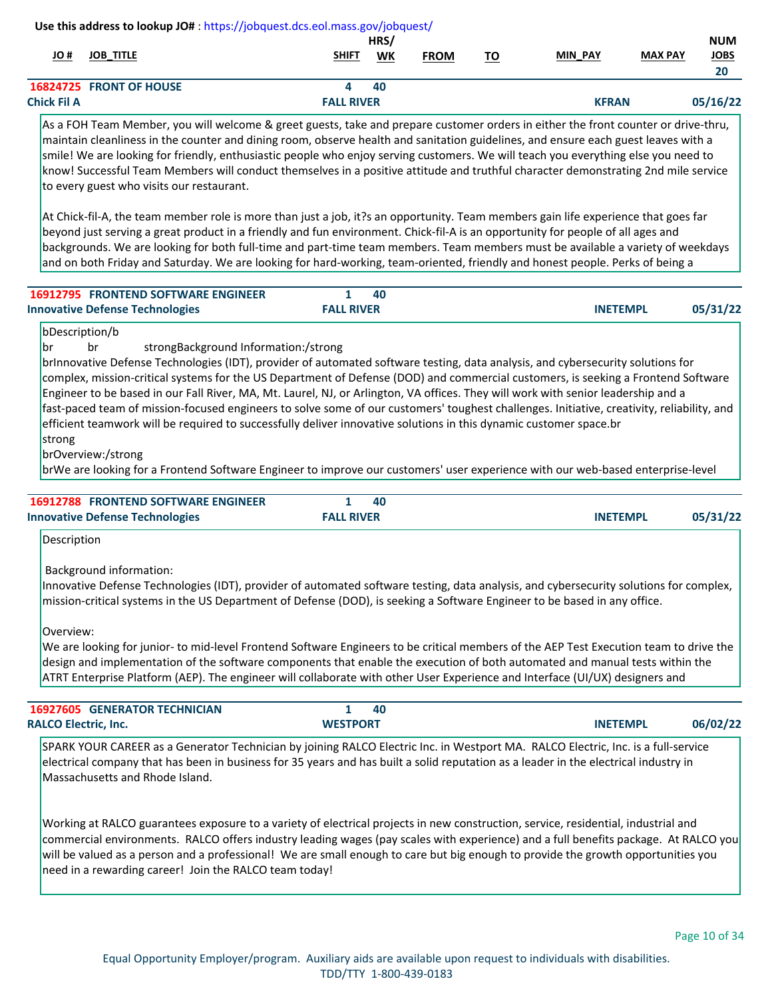| JO#                | <b>JOB TITLE</b>        | <b>SHIFT</b>      | HRS/<br>WK | <b>FROM</b> | то | <b>MIN_PAY</b> | <b>MAX PAY</b> | <b>NUM</b><br><b>JOBS</b><br>20 |
|--------------------|-------------------------|-------------------|------------|-------------|----|----------------|----------------|---------------------------------|
|                    | 16824725 FRONT OF HOUSE |                   | 40         |             |    |                |                |                                 |
| <b>Chick Fil A</b> |                         | <b>FALL RIVER</b> |            |             |    | <b>KFRAN</b>   |                | 05/16/22                        |

As a FOH Team Member, you will welcome & greet guests, take and prepare customer orders in either the front counter or drive-thru, maintain cleanliness in the counter and dining room, observe health and sanitation guidelines, and ensure each guest leaves with a smile! We are looking for friendly, enthusiastic people who enjoy serving customers. We will teach you everything else you need to know! Successful Team Members will conduct themselves in a positive attitude and truthful character demonstrating 2nd mile service to every guest who visits our restaurant.

At Chick-fil-A, the team member role is more than just a job, it?s an opportunity. Team members gain life experience that goes far beyond just serving a great product in a friendly and fun environment. Chick-fil-A is an opportunity for people of all ages and backgrounds. We are looking for both full-time and part-time team members. Team members must be available a variety of weekdays and on both Friday and Saturday. We are looking for hard-working, team-oriented, friendly and honest people. Perks of being a

| <b>16912795 FRONTEND SOFTWARE ENGINEER</b> |                   | 40 |                 |          |
|--------------------------------------------|-------------------|----|-----------------|----------|
| <b>Innovative Defense Technologies</b>     | <b>FALL RIVER</b> |    | <b>INETEMPL</b> | 05/31/22 |

bDescription/b

br br strongBackground Information:/strong

brInnovative Defense Technologies (IDT), provider of automated software testing, data analysis, and cybersecurity solutions for complex, mission-critical systems for the US Department of Defense (DOD) and commercial customers, is seeking a Frontend Software Engineer to be based in our Fall River, MA, Mt. Laurel, NJ, or Arlington, VA offices. They will work with senior leadership and a fast-paced team of mission-focused engineers to solve some of our customers' toughest challenges. Initiative, creativity, reliability, and efficient teamwork will be required to successfully deliver innovative solutions in this dynamic customer space.br strong

brOverview:/strong

brWe are looking for a Frontend Software Engineer to improve our customers' user experience with our web-based enterprise-level

| <b>16912788 FRONTEND SOFTWARE ENGINEER</b> |                   | -40 |                 |          |
|--------------------------------------------|-------------------|-----|-----------------|----------|
| <b>Innovative Defense Technologies</b>     | <b>FALL RIVER</b> |     | <b>INETEMPL</b> | 05/31/22 |

Description

Background information:

Innovative Defense Technologies (IDT), provider of automated software testing, data analysis, and cybersecurity solutions for complex, mission-critical systems in the US Department of Defense (DOD), is seeking a Software Engineer to be based in any office.

Overview:

We are looking for junior- to mid-level Frontend Software Engineers to be critical members of the AEP Test Execution team to drive the design and implementation of the software components that enable the execution of both automated and manual tests within the ATRT Enterprise Platform (AEP). The engineer will collaborate with other User Experience and Interface (UI/UX) designers and

| <b>16927605 GENERATOR TECHNICIAN</b> | 40              |                             |
|--------------------------------------|-----------------|-----------------------------|
| <b>RALCO Electric, Inc.</b>          | <b>WESTPORT</b> | 06/02/22<br><b>INETEMPI</b> |

SPARK YOUR CAREER as a Generator Technician by joining RALCO Electric Inc. in Westport MA. RALCO Electric, Inc. is a full-service electrical company that has been in business for 35 years and has built a solid reputation as a leader in the electrical industry in Massachusetts and Rhode Island.

Working at RALCO guarantees exposure to a variety of electrical projects in new construction, service, residential, industrial and commercial environments. RALCO offers industry leading wages (pay scales with experience) and a full benefits package. At RALCO you will be valued as a person and a professional! We are small enough to care but big enough to provide the growth opportunities you need in a rewarding career! Join the RALCO team today!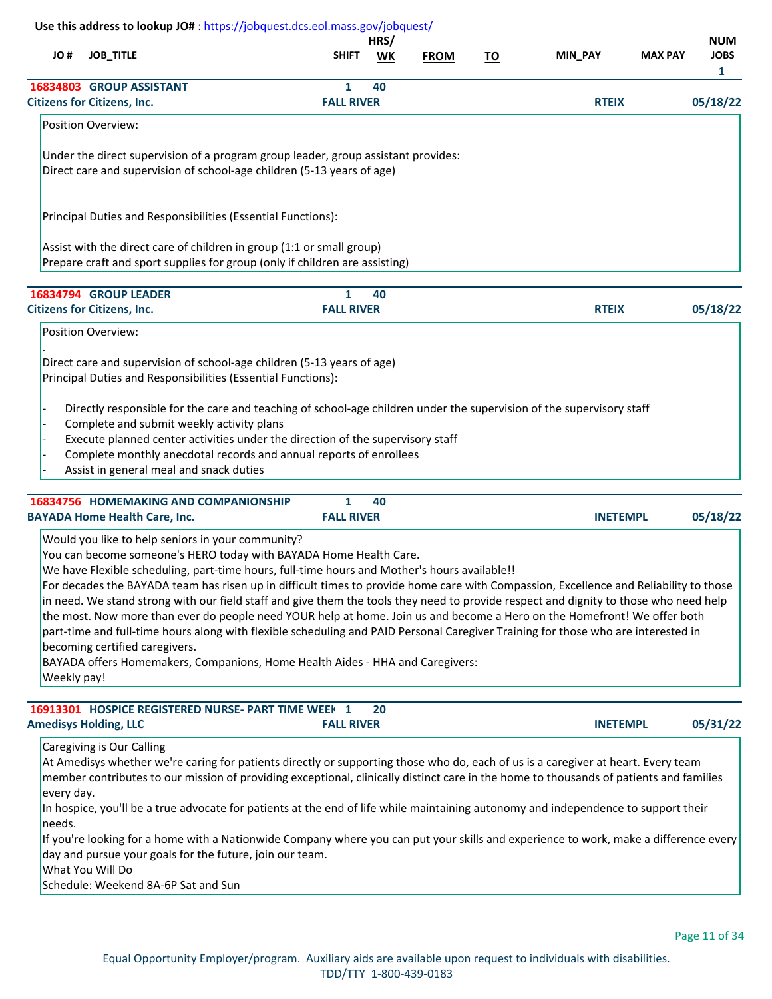| JO#                  | <b>JOB_TITLE</b>                                                                                                                                                                                                                                                                                                                                                                                                                                                                                                                                                                                                                                                                                                                                                                                                                                                                             | SHIFT                  | HRS/<br>WK | <b>FROM</b> | <u>TO</u> | MIN_PAY         | <b>MAX PAY</b> | <b>NUM</b><br><b>JOBS</b> |
|----------------------|----------------------------------------------------------------------------------------------------------------------------------------------------------------------------------------------------------------------------------------------------------------------------------------------------------------------------------------------------------------------------------------------------------------------------------------------------------------------------------------------------------------------------------------------------------------------------------------------------------------------------------------------------------------------------------------------------------------------------------------------------------------------------------------------------------------------------------------------------------------------------------------------|------------------------|------------|-------------|-----------|-----------------|----------------|---------------------------|
|                      | 16834803 GROUP ASSISTANT                                                                                                                                                                                                                                                                                                                                                                                                                                                                                                                                                                                                                                                                                                                                                                                                                                                                     | 1                      | 40         |             |           |                 |                | 1                         |
|                      | <b>Citizens for Citizens, Inc.</b>                                                                                                                                                                                                                                                                                                                                                                                                                                                                                                                                                                                                                                                                                                                                                                                                                                                           | <b>FALL RIVER</b>      |            |             |           | <b>RTEIX</b>    |                | 05/18/22                  |
|                      | Position Overview:                                                                                                                                                                                                                                                                                                                                                                                                                                                                                                                                                                                                                                                                                                                                                                                                                                                                           |                        |            |             |           |                 |                |                           |
|                      | Under the direct supervision of a program group leader, group assistant provides:<br>Direct care and supervision of school-age children (5-13 years of age)                                                                                                                                                                                                                                                                                                                                                                                                                                                                                                                                                                                                                                                                                                                                  |                        |            |             |           |                 |                |                           |
|                      | Principal Duties and Responsibilities (Essential Functions):                                                                                                                                                                                                                                                                                                                                                                                                                                                                                                                                                                                                                                                                                                                                                                                                                                 |                        |            |             |           |                 |                |                           |
|                      | Assist with the direct care of children in group (1:1 or small group)                                                                                                                                                                                                                                                                                                                                                                                                                                                                                                                                                                                                                                                                                                                                                                                                                        |                        |            |             |           |                 |                |                           |
|                      | Prepare craft and sport supplies for group (only if children are assisting)                                                                                                                                                                                                                                                                                                                                                                                                                                                                                                                                                                                                                                                                                                                                                                                                                  |                        |            |             |           |                 |                |                           |
|                      | 16834794 GROUP LEADER                                                                                                                                                                                                                                                                                                                                                                                                                                                                                                                                                                                                                                                                                                                                                                                                                                                                        | $\mathbf{1}$           | 40         |             |           |                 |                |                           |
|                      | <b>Citizens for Citizens, Inc.</b>                                                                                                                                                                                                                                                                                                                                                                                                                                                                                                                                                                                                                                                                                                                                                                                                                                                           | <b>FALL RIVER</b>      |            |             |           | <b>RTEIX</b>    |                | 05/18/22                  |
|                      | <b>Position Overview:</b>                                                                                                                                                                                                                                                                                                                                                                                                                                                                                                                                                                                                                                                                                                                                                                                                                                                                    |                        |            |             |           |                 |                |                           |
|                      | Complete and submit weekly activity plans<br>Execute planned center activities under the direction of the supervisory staff<br>Complete monthly anecdotal records and annual reports of enrollees<br>Assist in general meal and snack duties                                                                                                                                                                                                                                                                                                                                                                                                                                                                                                                                                                                                                                                 |                        |            |             |           |                 |                |                           |
|                      | 16834756 HOMEMAKING AND COMPANIONSHIP<br><b>BAYADA Home Health Care, Inc.</b>                                                                                                                                                                                                                                                                                                                                                                                                                                                                                                                                                                                                                                                                                                                                                                                                                | 1<br><b>FALL RIVER</b> | 40         |             |           | <b>INETEMPL</b> |                | 05/18/22                  |
| Weekly pay!          | Would you like to help seniors in your community?<br>You can become someone's HERO today with BAYADA Home Health Care.<br>We have Flexible scheduling, part-time hours, full-time hours and Mother's hours available!!<br>For decades the BAYADA team has risen up in difficult times to provide home care with Compassion, Excellence and Reliability to those<br>in need. We stand strong with our field staff and give them the tools they need to provide respect and dignity to those who need help<br>the most. Now more than ever do people need YOUR help at home. Join us and become a Hero on the Homefront! We offer both<br>part-time and full-time hours along with flexible scheduling and PAID Personal Caregiver Training for those who are interested in<br>becoming certified caregivers.<br>BAYADA offers Homemakers, Companions, Home Health Aides - HHA and Caregivers: |                        |            |             |           |                 |                |                           |
|                      | 16913301 HOSPICE REGISTERED NURSE- PART TIME WEEK 1                                                                                                                                                                                                                                                                                                                                                                                                                                                                                                                                                                                                                                                                                                                                                                                                                                          |                        | 20         |             |           |                 |                |                           |
|                      | <b>Amedisys Holding, LLC</b>                                                                                                                                                                                                                                                                                                                                                                                                                                                                                                                                                                                                                                                                                                                                                                                                                                                                 | <b>FALL RIVER</b>      |            |             |           | <b>INETEMPL</b> |                | 05/31/22                  |
| every day.<br>needs. | Caregiving is Our Calling<br>At Amedisys whether we're caring for patients directly or supporting those who do, each of us is a caregiver at heart. Every team<br>member contributes to our mission of providing exceptional, clinically distinct care in the home to thousands of patients and families<br>In hospice, you'll be a true advocate for patients at the end of life while maintaining autonomy and independence to support their                                                                                                                                                                                                                                                                                                                                                                                                                                               |                        |            |             |           |                 |                |                           |
|                      |                                                                                                                                                                                                                                                                                                                                                                                                                                                                                                                                                                                                                                                                                                                                                                                                                                                                                              |                        |            |             |           |                 |                |                           |

day and pursue your goals for the future, join our team.

What You Will Do

Schedule: Weekend 8A-6P Sat and Sun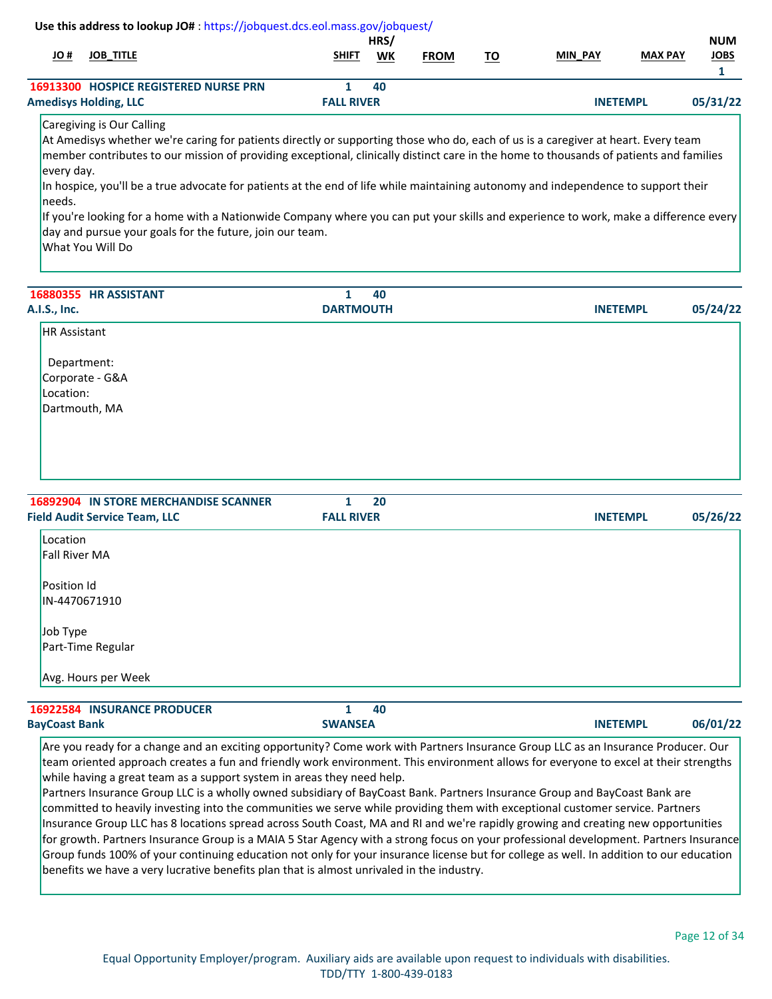|                       |                              | Use this address to lookup JO#: https://jobquest.dcs.eol.mass.gov/jobquest/                                                                                                                                                                                                                                                                                                                                       |                   |      |             |    |                 |                |             |
|-----------------------|------------------------------|-------------------------------------------------------------------------------------------------------------------------------------------------------------------------------------------------------------------------------------------------------------------------------------------------------------------------------------------------------------------------------------------------------------------|-------------------|------|-------------|----|-----------------|----------------|-------------|
|                       |                              |                                                                                                                                                                                                                                                                                                                                                                                                                   |                   | HRS/ |             |    |                 |                | <b>NUM</b>  |
| H OL                  | <b>JOB TITLE</b>             |                                                                                                                                                                                                                                                                                                                                                                                                                   | <b>SHIFT</b>      | WK   | <b>FROM</b> | TO | <b>MIN PAY</b>  | <b>MAX PAY</b> | <b>JOBS</b> |
|                       |                              |                                                                                                                                                                                                                                                                                                                                                                                                                   |                   |      |             |    |                 |                |             |
|                       |                              | <b>16913300 HOSPICE REGISTERED NURSE PRN</b>                                                                                                                                                                                                                                                                                                                                                                      |                   | 40   |             |    |                 |                |             |
|                       | <b>Amedisys Holding, LLC</b> |                                                                                                                                                                                                                                                                                                                                                                                                                   | <b>FALL RIVER</b> |      |             |    | <b>INETEMPL</b> |                | 05/31/22    |
| every day.<br>Ineeds. | Caregiving is Our Calling    | At Amedisys whether we're caring for patients directly or supporting those who do, each of us is a caregiver at heart. Every team<br>member contributes to our mission of providing exceptional, clinically distinct care in the home to thousands of patients and families<br>In hospice, you'll be a true advocate for patients at the end of life while maintaining autonomy and independence to support their |                   |      |             |    |                 |                |             |

If you're looking for a home with a Nationwide Company where you can put your skills and experience to work, make a difference every day and pursue your goals for the future, join our team.

What You Will Do

| 16880355 HR ASSISTANT                        | $\mathbf{1}$<br>40 |                 |          |
|----------------------------------------------|--------------------|-----------------|----------|
| A.I.S., Inc.                                 | <b>DARTMOUTH</b>   | <b>INETEMPL</b> | 05/24/22 |
| <b>HR Assistant</b>                          |                    |                 |          |
| Department:                                  |                    |                 |          |
| Corporate - G&A                              |                    |                 |          |
| Location:                                    |                    |                 |          |
| Dartmouth, MA                                |                    |                 |          |
|                                              |                    |                 |          |
|                                              |                    |                 |          |
|                                              |                    |                 |          |
|                                              |                    |                 |          |
|                                              |                    |                 |          |
| <b>16892904 IN STORE MERCHANDISE SCANNER</b> | 20<br>1            |                 |          |
| <b>Field Audit Service Team, LLC</b>         | <b>FALL RIVER</b>  | <b>INETEMPL</b> | 05/26/22 |
| Location                                     |                    |                 |          |
| Fall River MA                                |                    |                 |          |
|                                              |                    |                 |          |
| Position Id<br>IN-4470671910                 |                    |                 |          |
|                                              |                    |                 |          |
| Job Type<br>Part-Time Regular                |                    |                 |          |

| <b>16922584 INSURANCE PRODUCER</b> |                | 40 |                 |          |
|------------------------------------|----------------|----|-----------------|----------|
| <b>BayCoast Bank</b>               | <b>SWANSEA</b> |    | <b>INETEMPL</b> | 06/01/22 |

Are you ready for a change and an exciting opportunity? Come work with Partners Insurance Group LLC as an Insurance Producer. Our team oriented approach creates a fun and friendly work environment. This environment allows for everyone to excel at their strengths while having a great team as a support system in areas they need help.

Partners Insurance Group LLC is a wholly owned subsidiary of BayCoast Bank. Partners Insurance Group and BayCoast Bank are committed to heavily investing into the communities we serve while providing them with exceptional customer service. Partners Insurance Group LLC has 8 locations spread across South Coast, MA and RI and we're rapidly growing and creating new opportunities for growth. Partners Insurance Group is a MAIA 5 Star Agency with a strong focus on your professional development. Partners Insurance Group funds 100% of your continuing education not only for your insurance license but for college as well. In addition to our education benefits we have a very lucrative benefits plan that is almost unrivaled in the industry.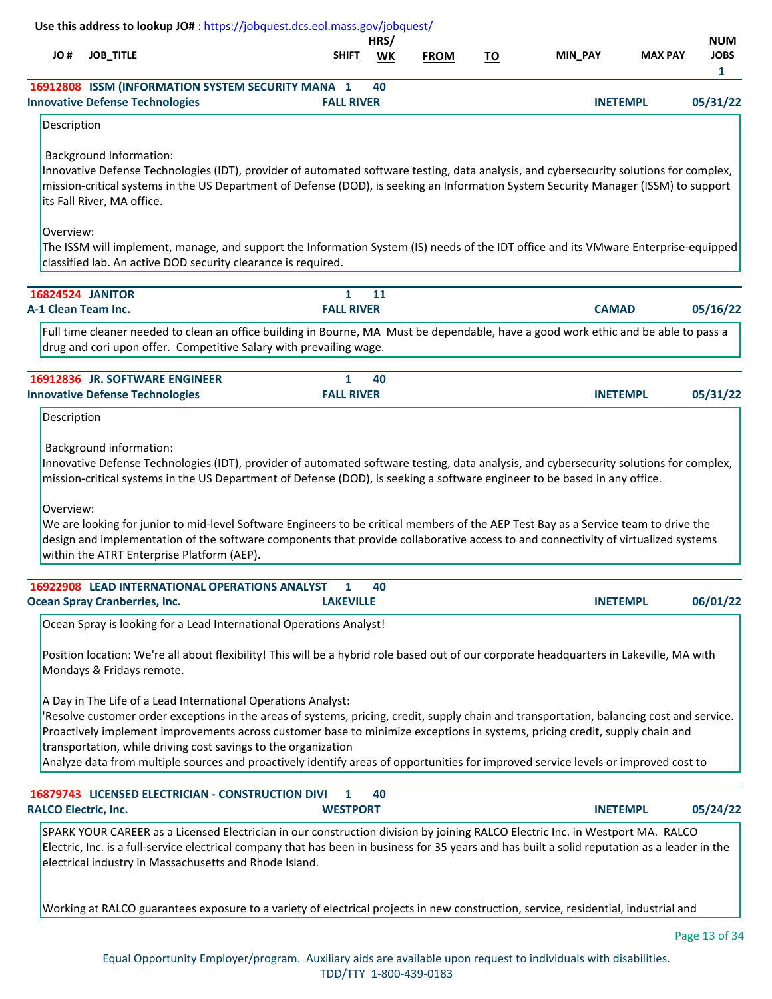| Use this address to lookup JO#: https://jobquest.dcs.eol.mass.gov/jobquest/<br><b>JOB_TITLE</b><br>H OL                                                                                                                                                                                                                                                                                                                                                                                                                                           | SHIFT                            | HRS/<br>WK | <b>FROM</b> | <u>TO</u> | MIN PAY         | <b>MAX PAY</b> | <b>NUM</b><br><b>JOBS</b><br>1 |
|---------------------------------------------------------------------------------------------------------------------------------------------------------------------------------------------------------------------------------------------------------------------------------------------------------------------------------------------------------------------------------------------------------------------------------------------------------------------------------------------------------------------------------------------------|----------------------------------|------------|-------------|-----------|-----------------|----------------|--------------------------------|
| 16912808 ISSM (INFORMATION SYSTEM SECURITY MANA 1<br><b>Innovative Defense Technologies</b>                                                                                                                                                                                                                                                                                                                                                                                                                                                       | <b>FALL RIVER</b>                | 40         |             |           | <b>INETEMPL</b> |                | 05/31/22                       |
| Description                                                                                                                                                                                                                                                                                                                                                                                                                                                                                                                                       |                                  |            |             |           |                 |                |                                |
| <b>Background Information:</b><br>Innovative Defense Technologies (IDT), provider of automated software testing, data analysis, and cybersecurity solutions for complex,<br>mission-critical systems in the US Department of Defense (DOD), is seeking an Information System Security Manager (ISSM) to support<br>its Fall River, MA office.                                                                                                                                                                                                     |                                  |            |             |           |                 |                |                                |
| Overview:<br>The ISSM will implement, manage, and support the Information System (IS) needs of the IDT office and its VMware Enterprise-equipped<br>classified lab. An active DOD security clearance is required.                                                                                                                                                                                                                                                                                                                                 |                                  |            |             |           |                 |                |                                |
| <b>16824524 JANITOR</b>                                                                                                                                                                                                                                                                                                                                                                                                                                                                                                                           | 1                                | 11         |             |           |                 |                |                                |
| A-1 Clean Team Inc.                                                                                                                                                                                                                                                                                                                                                                                                                                                                                                                               | <b>FALL RIVER</b>                |            |             |           | <b>CAMAD</b>    |                | 05/16/22                       |
| Full time cleaner needed to clean an office building in Bourne, MA Must be dependable, have a good work ethic and be able to pass a<br>drug and cori upon offer. Competitive Salary with prevailing wage.                                                                                                                                                                                                                                                                                                                                         |                                  |            |             |           |                 |                |                                |
| 16912836 JR. SOFTWARE ENGINEER                                                                                                                                                                                                                                                                                                                                                                                                                                                                                                                    | $\mathbf{1}$                     | 40         |             |           |                 |                |                                |
| <b>Innovative Defense Technologies</b>                                                                                                                                                                                                                                                                                                                                                                                                                                                                                                            | <b>FALL RIVER</b>                |            |             |           | <b>INETEMPL</b> |                | 05/31/22                       |
| Overview:<br>We are looking for junior to mid-level Software Engineers to be critical members of the AEP Test Bay as a Service team to drive the<br>design and implementation of the software components that provide collaborative access to and connectivity of virtualized systems<br>within the ATRT Enterprise Platform (AEP).<br>16922908 LEAD INTERNATIONAL OPERATIONS ANALYST<br><b>Ocean Spray Cranberries, Inc.</b>                                                                                                                     | $\mathbf{1}$<br><b>LAKEVILLE</b> | 40.        |             |           | <b>INETEMPL</b> |                | 06/01/22                       |
| Ocean Spray is looking for a Lead International Operations Analyst!                                                                                                                                                                                                                                                                                                                                                                                                                                                                               |                                  |            |             |           |                 |                |                                |
| Position location: We're all about flexibility! This will be a hybrid role based out of our corporate headquarters in Lakeville, MA with<br>Mondays & Fridays remote.                                                                                                                                                                                                                                                                                                                                                                             |                                  |            |             |           |                 |                |                                |
| A Day in The Life of a Lead International Operations Analyst:<br>'Resolve customer order exceptions in the areas of systems, pricing, credit, supply chain and transportation, balancing cost and service.<br>Proactively implement improvements across customer base to minimize exceptions in systems, pricing credit, supply chain and<br>transportation, while driving cost savings to the organization<br>Analyze data from multiple sources and proactively identify areas of opportunities for improved service levels or improved cost to |                                  |            |             |           |                 |                |                                |
| 16879743 LICENSED ELECTRICIAN - CONSTRUCTION DIVI<br><b>RALCO Electric, Inc.</b>                                                                                                                                                                                                                                                                                                                                                                                                                                                                  | 1<br><b>WESTPORT</b>             | 40         |             |           | <b>INETEMPL</b> |                | 05/24/22                       |
| SPARK YOUR CAREER as a Licensed Electrician in our construction division by joining RALCO Electric Inc. in Westport MA. RALCO<br>Electric, Inc. is a full-service electrical company that has been in business for 35 years and has built a solid reputation as a leader in the<br>electrical industry in Massachusetts and Rhode Island.                                                                                                                                                                                                         |                                  |            |             |           |                 |                |                                |
| Working at RALCO guarantees exposure to a variety of electrical projects in new construction, service, residential, industrial and                                                                                                                                                                                                                                                                                                                                                                                                                |                                  |            |             |           |                 |                |                                |

Page 13 of 34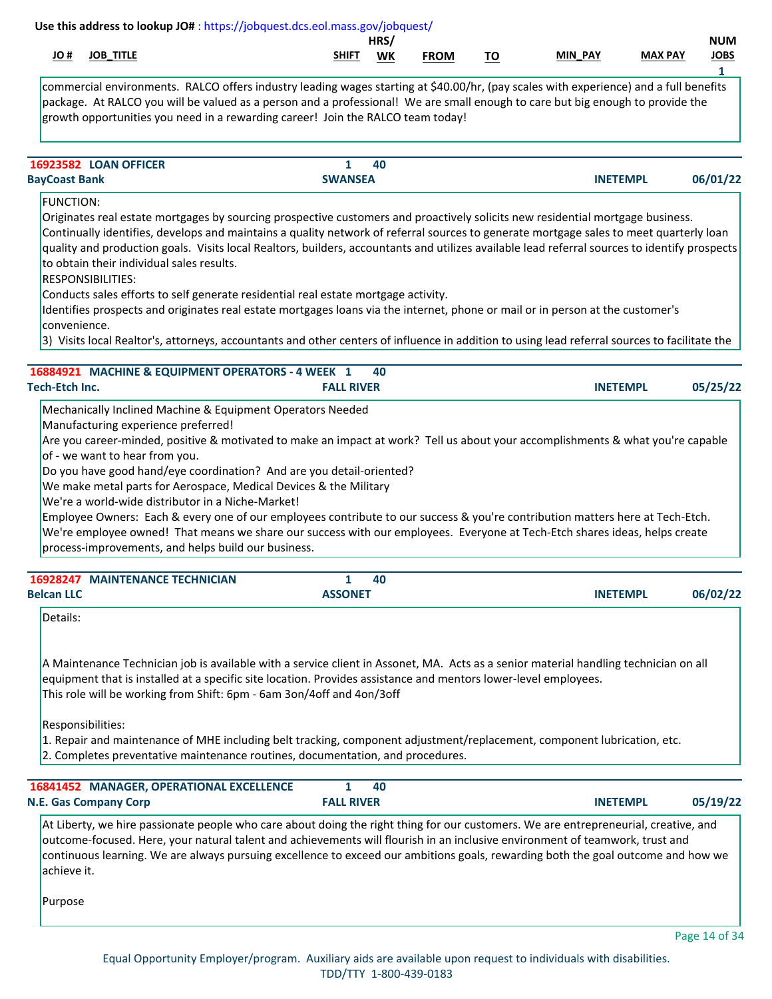**JO # JOB\_TITLE SHIFT WK MIN\_PAY MAX PAY JOBS HRS/ NUM FROM TO Use this address to lookup JO#** [: https://jobquest.dcs.eol.mass.gov/jobquest/](https://jobquest.dcs.eol.mass.gov/jobquest/)   **1** commercial environments. RALCO offers industry leading wages starting at \$40.00/hr, (pay scales with experience) and a full benefits package. At RALCO you will be valued as a person and a professional! We are small enough to care but big enough to provide the growth opportunities you need in a rewarding career! Join the RALCO team today!  **16923582 1 LOAN OFFICER 06/01/22 40** FUNCTION: Originates real estate mortgages by sourcing prospective customers and proactively solicits new residential mortgage business. Continually identifies, develops and maintains a quality network of referral sources to generate mortgage sales to meet quarterly loan quality and production goals. Visits local Realtors, builders, accountants and utilizes available lead referral sources to identify prospects to obtain their individual sales results. RESPONSIBILITIES: Conducts sales efforts to self generate residential real estate mortgage activity. Identifies prospects and originates real estate mortgages loans via the internet, phone or mail or in person at the customer's convenience. 3) Visits local Realtor's, attorneys, accountants and other centers of influence in addition to using lead referral sources to facilitate the **BayCoast Bank SWANSEA INETEMPL 16884921 MACHINE & EQUIPMENT OPERATORS - 4 WEEK 1 05/25/22 40** Mechanically Inclined Machine & Equipment Operators Needed Manufacturing experience preferred! Are you career-minded, positive & motivated to make an impact at work? Tell us about your accomplishments & what you're capable of - we want to hear from you. Do you have good hand/eye coordination? And are you detail-oriented? We make metal parts for Aerospace, Medical Devices & the Military We're a world-wide distributor in a Niche-Market! Employee Owners: Each & every one of our employees contribute to our success & you're contribution matters here at Tech-Etch. We're employee owned! That means we share our success with our employees. Everyone at Tech-Etch shares ideas, helps create process-improvements, and helps build our business. **Tech-Etch Inc. FALL RIVER INETEMPL 16928247 1 MAINTENANCE TECHNICIAN 06/02/22 40** Details: A Maintenance Technician job is available with a service client in Assonet, MA. Acts as a senior material handling technician on all equipment that is installed at a specific site location. Provides assistance and mentors lower-level employees. This role will be working from Shift: 6pm - 6am 3on/4off and 4on/3off Responsibilities: 1. Repair and maintenance of MHE including belt tracking, component adjustment/replacement, component lubrication, etc. 2. Completes preventative maintenance routines, documentation, and procedures. **Belcan LLC ASSONET INETEMPL 16841452 1 MANAGER, OPERATIONAL EXCELLENCE 05/19/22 40** At Liberty, we hire passionate people who care about doing the right thing for our customers. We are entrepreneurial, creative, and outcome-focused. Here, your natural talent and achievements will flourish in an inclusive environment of teamwork, trust and continuous learning. We are always pursuing excellence to exceed our ambitions goals, rewarding both the goal outcome and how we achieve it. Purpose **N.E. Gas Company Corp FALL RIVER INETEMPL**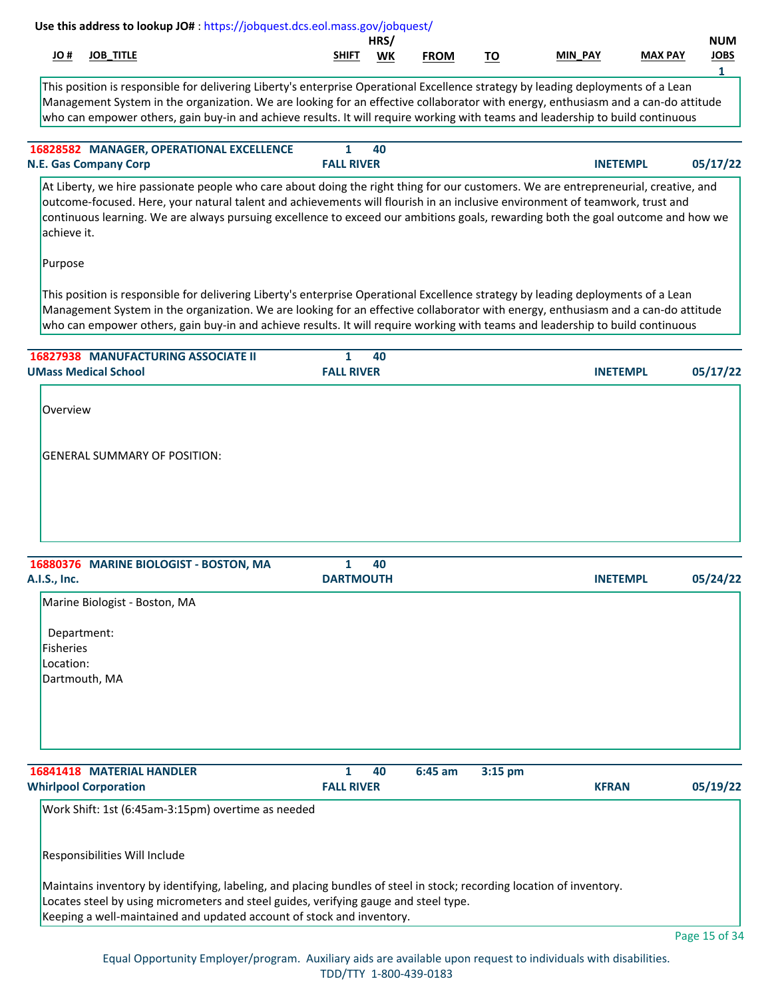| Use this address to lookup JO#: https://jobquest.dcs.eol.mass.gov/jobquest/                                                                                                                                                                                                                                                                                                                                            |                        | HRS/ |             |           |                 |                | <b>NUM</b>                  |
|------------------------------------------------------------------------------------------------------------------------------------------------------------------------------------------------------------------------------------------------------------------------------------------------------------------------------------------------------------------------------------------------------------------------|------------------------|------|-------------|-----------|-----------------|----------------|-----------------------------|
| <b>JOB_TITLE</b><br># OL                                                                                                                                                                                                                                                                                                                                                                                               | <b>SHIFT</b>           | WK   | <b>FROM</b> | <u>TO</u> | <b>MIN PAY</b>  | <b>MAX PAY</b> | <b>JOBS</b><br>$\mathbf{1}$ |
| This position is responsible for delivering Liberty's enterprise Operational Excellence strategy by leading deployments of a Lean<br>Management System in the organization. We are looking for an effective collaborator with energy, enthusiasm and a can-do attitude<br>who can empower others, gain buy-in and achieve results. It will require working with teams and leadership to build continuous               |                        |      |             |           |                 |                |                             |
| 16828582 MANAGER, OPERATIONAL EXCELLENCE                                                                                                                                                                                                                                                                                                                                                                               | 1                      | 40   |             |           |                 |                |                             |
| <b>N.E. Gas Company Corp</b>                                                                                                                                                                                                                                                                                                                                                                                           | <b>FALL RIVER</b>      |      |             |           | <b>INETEMPL</b> |                | 05/17/22                    |
| At Liberty, we hire passionate people who care about doing the right thing for our customers. We are entrepreneurial, creative, and<br>outcome-focused. Here, your natural talent and achievements will flourish in an inclusive environment of teamwork, trust and<br>continuous learning. We are always pursuing excellence to exceed our ambitions goals, rewarding both the goal outcome and how we<br>achieve it. |                        |      |             |           |                 |                |                             |
| Purpose                                                                                                                                                                                                                                                                                                                                                                                                                |                        |      |             |           |                 |                |                             |
| This position is responsible for delivering Liberty's enterprise Operational Excellence strategy by leading deployments of a Lean<br>Management System in the organization. We are looking for an effective collaborator with energy, enthusiasm and a can-do attitude<br>who can empower others, gain buy-in and achieve results. It will require working with teams and leadership to build continuous               |                        |      |             |           |                 |                |                             |
| 16827938 MANUFACTURING ASSOCIATE II                                                                                                                                                                                                                                                                                                                                                                                    | $\mathbf{1}$           | 40   |             |           |                 |                |                             |
| <b>UMass Medical School</b>                                                                                                                                                                                                                                                                                                                                                                                            | <b>FALL RIVER</b>      |      |             |           | <b>INETEMPL</b> |                | 05/17/22                    |
| <b>GENERAL SUMMARY OF POSITION:</b>                                                                                                                                                                                                                                                                                                                                                                                    |                        |      |             |           |                 |                |                             |
| 16880376 MARINE BIOLOGIST - BOSTON, MA                                                                                                                                                                                                                                                                                                                                                                                 | 1                      | 40   |             |           |                 |                |                             |
| A.I.S., Inc.                                                                                                                                                                                                                                                                                                                                                                                                           | <b>DARTMOUTH</b>       |      |             |           | <b>INETEMPL</b> |                | 05/24/22                    |
| Marine Biologist - Boston, MA                                                                                                                                                                                                                                                                                                                                                                                          |                        |      |             |           |                 |                |                             |
| Department:<br><b>Fisheries</b><br>Location:<br>Dartmouth, MA                                                                                                                                                                                                                                                                                                                                                          |                        |      |             |           |                 |                |                             |
|                                                                                                                                                                                                                                                                                                                                                                                                                        |                        |      |             |           |                 |                |                             |
| 16841418 MATERIAL HANDLER<br><b>Whirlpool Corporation</b>                                                                                                                                                                                                                                                                                                                                                              | 1<br><b>FALL RIVER</b> | 40   | 6:45 am     | 3:15 pm   | <b>KFRAN</b>    |                | 05/19/22                    |
| Work Shift: 1st (6:45am-3:15pm) overtime as needed                                                                                                                                                                                                                                                                                                                                                                     |                        |      |             |           |                 |                |                             |
| Responsibilities Will Include                                                                                                                                                                                                                                                                                                                                                                                          |                        |      |             |           |                 |                |                             |
| Maintains inventory by identifying, labeling, and placing bundles of steel in stock; recording location of inventory.<br>Locates steel by using micrometers and steel guides, verifying gauge and steel type.                                                                                                                                                                                                          |                        |      |             |           |                 |                |                             |
| Keeping a well-maintained and updated account of stock and inventory.                                                                                                                                                                                                                                                                                                                                                  |                        |      |             |           |                 |                |                             |

Equal Opportunity Employer/program. Auxiliary aids are available upon request to individuals with disabilities. TDD/TTY 1-800-439-0183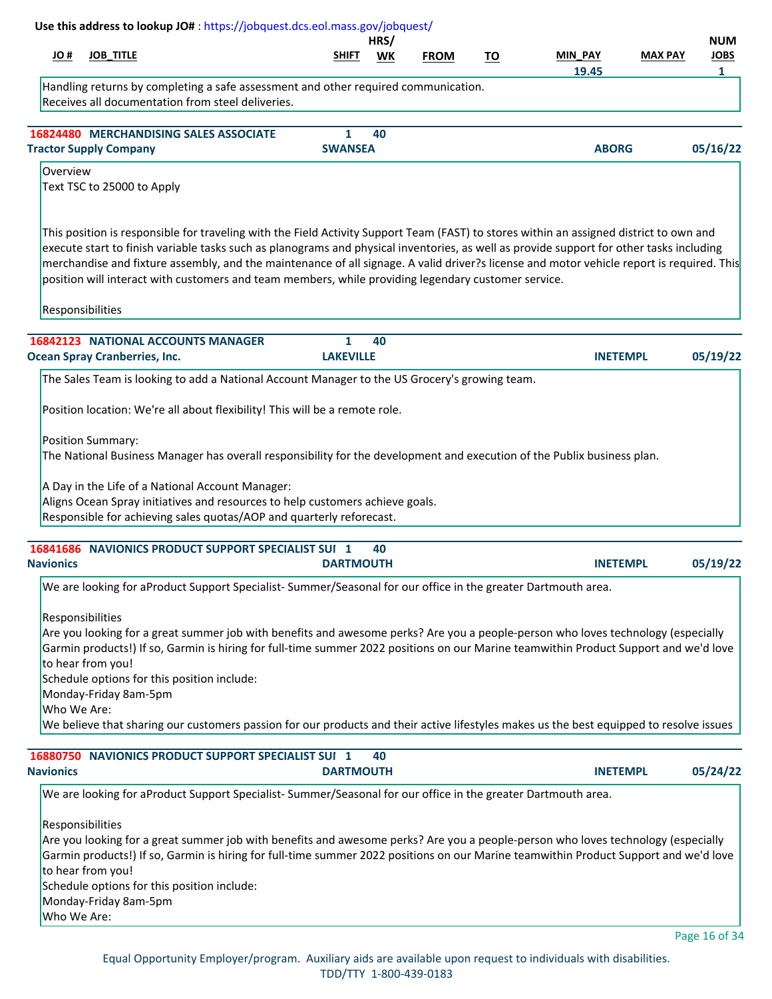|                                 | <b>JOB_TITLE</b>                                                                                                                                                                                                                                                                                                                                                                                                                                                                                                                        | <b>SHIFT</b>          | HRS/<br>WK | <b>FROM</b> | <u>TO</u> | MIN_PAY<br>19.45 | <b>MAX PAY</b>  | <b>NUM</b><br><b>JOBS</b><br>1 |
|---------------------------------|-----------------------------------------------------------------------------------------------------------------------------------------------------------------------------------------------------------------------------------------------------------------------------------------------------------------------------------------------------------------------------------------------------------------------------------------------------------------------------------------------------------------------------------------|-----------------------|------------|-------------|-----------|------------------|-----------------|--------------------------------|
|                                 | Handling returns by completing a safe assessment and other required communication.<br>Receives all documentation from steel deliveries.                                                                                                                                                                                                                                                                                                                                                                                                 |                       |            |             |           |                  |                 |                                |
|                                 | <b>16824480 MERCHANDISING SALES ASSOCIATE</b>                                                                                                                                                                                                                                                                                                                                                                                                                                                                                           | 1                     | 40         |             |           |                  |                 |                                |
|                                 | <b>Tractor Supply Company</b>                                                                                                                                                                                                                                                                                                                                                                                                                                                                                                           | <b>SWANSEA</b>        |            |             |           |                  | <b>ABORG</b>    | 05/16/22                       |
| Overview                        |                                                                                                                                                                                                                                                                                                                                                                                                                                                                                                                                         |                       |            |             |           |                  |                 |                                |
|                                 | Text TSC to 25000 to Apply                                                                                                                                                                                                                                                                                                                                                                                                                                                                                                              |                       |            |             |           |                  |                 |                                |
|                                 | This position is responsible for traveling with the Field Activity Support Team (FAST) to stores within an assigned district to own and<br>execute start to finish variable tasks such as planograms and physical inventories, as well as provide support for other tasks including<br>merchandise and fixture assembly, and the maintenance of all signage. A valid driver?s license and motor vehicle report is required. This<br>position will interact with customers and team members, while providing legendary customer service. |                       |            |             |           |                  |                 |                                |
|                                 | Responsibilities                                                                                                                                                                                                                                                                                                                                                                                                                                                                                                                        |                       |            |             |           |                  |                 |                                |
|                                 | <b>16842123 NATIONAL ACCOUNTS MANAGER</b><br><b>Ocean Spray Cranberries, Inc.</b>                                                                                                                                                                                                                                                                                                                                                                                                                                                       | 1<br><b>LAKEVILLE</b> | 40         |             |           |                  | <b>INETEMPL</b> | 05/19/22                       |
|                                 | The Sales Team is looking to add a National Account Manager to the US Grocery's growing team.                                                                                                                                                                                                                                                                                                                                                                                                                                           |                       |            |             |           |                  |                 |                                |
|                                 | Position location: We're all about flexibility! This will be a remote role.<br>Position Summary:<br>The National Business Manager has overall responsibility for the development and execution of the Publix business plan.                                                                                                                                                                                                                                                                                                             |                       |            |             |           |                  |                 |                                |
|                                 | A Day in the Life of a National Account Manager:<br>Aligns Ocean Spray initiatives and resources to help customers achieve goals.<br>Responsible for achieving sales quotas/AOP and quarterly reforecast.                                                                                                                                                                                                                                                                                                                               |                       |            |             |           |                  |                 |                                |
|                                 | 16841686 NAVIONICS PRODUCT SUPPORT SPECIALIST SUI 1                                                                                                                                                                                                                                                                                                                                                                                                                                                                                     | <b>DARTMOUTH</b>      | 40         |             |           |                  |                 |                                |
|                                 | We are looking for aProduct Support Specialist-Summer/Seasonal for our office in the greater Dartmouth area.                                                                                                                                                                                                                                                                                                                                                                                                                            |                       |            |             |           |                  | <b>INETEMPL</b> |                                |
| <b>Navionics</b><br>Who We Are: | Responsibilities<br>Are you looking for a great summer job with benefits and awesome perks? Are you a people-person who loves technology (especially<br>Garmin products!) If so, Garmin is hiring for full-time summer 2022 positions on our Marine teamwithin Product Support and we'd love<br>to hear from you!<br>Schedule options for this position include:<br>Monday-Friday 8am-5pm<br>We believe that sharing our customers passion for our products and their active lifestyles makes us the best equipped to resolve issues    |                       |            |             |           |                  |                 | 05/19/22                       |
|                                 | 16880750 NAVIONICS PRODUCT SUPPORT SPECIALIST SUI 1                                                                                                                                                                                                                                                                                                                                                                                                                                                                                     |                       | 40         |             |           |                  |                 |                                |
| <b>Navionics</b>                |                                                                                                                                                                                                                                                                                                                                                                                                                                                                                                                                         | <b>DARTMOUTH</b>      |            |             |           |                  | <b>INETEMPL</b> | 05/24/22                       |
|                                 | We are looking for aProduct Support Specialist-Summer/Seasonal for our office in the greater Dartmouth area.                                                                                                                                                                                                                                                                                                                                                                                                                            |                       |            |             |           |                  |                 |                                |
| Who We Are:                     | Responsibilities<br>Are you looking for a great summer job with benefits and awesome perks? Are you a people-person who loves technology (especially<br>Garmin products!) If so, Garmin is hiring for full-time summer 2022 positions on our Marine teamwithin Product Support and we'd love<br>to hear from you!<br>Schedule options for this position include:<br>Monday-Friday 8am-5pm                                                                                                                                               |                       |            |             |           |                  |                 |                                |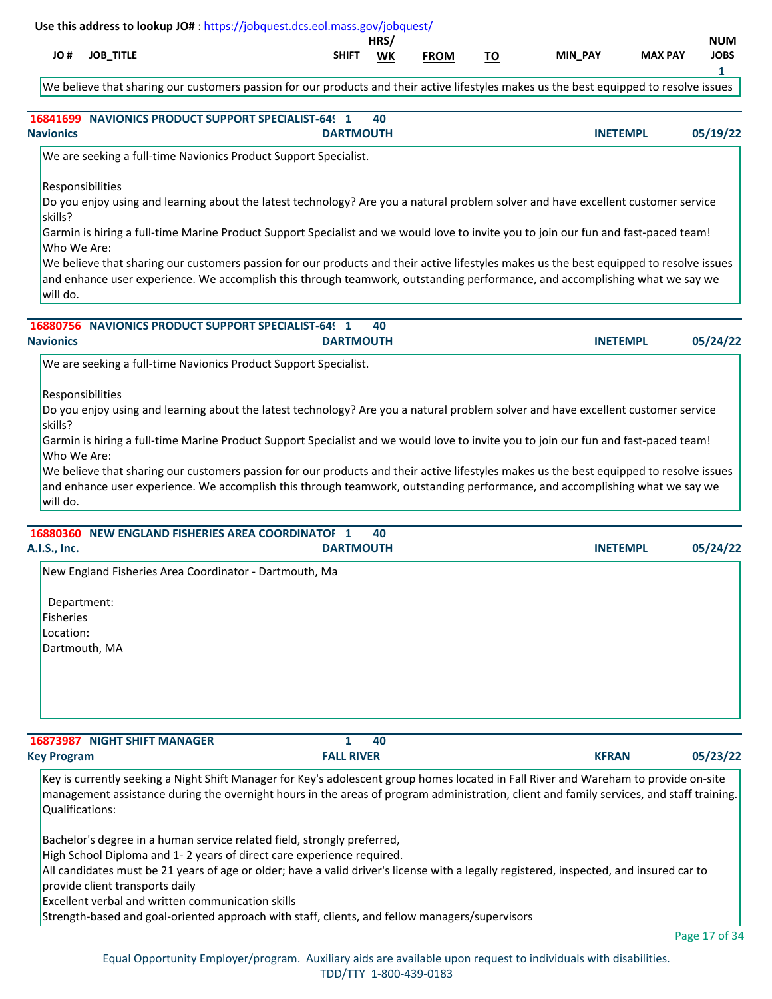|                  | <b>JOB_TITLE</b>                                                                                                                        | <b>SHIFT</b>     | HRS/<br>WK | <b>FROM</b> | <u>TO</u> | MIN_PAY         | <b>MAX PAY</b> | <b>NUM</b><br><b>JOBS</b><br>1 |
|------------------|-----------------------------------------------------------------------------------------------------------------------------------------|------------------|------------|-------------|-----------|-----------------|----------------|--------------------------------|
|                  | We believe that sharing our customers passion for our products and their active lifestyles makes us the best equipped to resolve issues |                  |            |             |           |                 |                |                                |
|                  | 16841699 NAVIONICS PRODUCT SUPPORT SPECIALIST-645 1                                                                                     |                  | 40         |             |           |                 |                |                                |
| <b>Navionics</b> |                                                                                                                                         | <b>DARTMOUTH</b> |            |             |           | <b>INETEMPL</b> |                | 05/19/22                       |
|                  | We are seeking a full-time Navionics Product Support Specialist.                                                                        |                  |            |             |           |                 |                |                                |
|                  | Responsibilities                                                                                                                        |                  |            |             |           |                 |                |                                |
| skills?          | Do you enjoy using and learning about the latest technology? Are you a natural problem solver and have excellent customer service       |                  |            |             |           |                 |                |                                |
|                  | Garmin is hiring a full-time Marine Product Support Specialist and we would love to invite you to join our fun and fast-paced team!     |                  |            |             |           |                 |                |                                |
| Who We Are:      | We believe that sharing our customers passion for our products and their active lifestyles makes us the best equipped to resolve issues |                  |            |             |           |                 |                |                                |
|                  | and enhance user experience. We accomplish this through teamwork, outstanding performance, and accomplishing what we say we             |                  |            |             |           |                 |                |                                |
| will do.         |                                                                                                                                         |                  |            |             |           |                 |                |                                |
|                  | 16880756 NAVIONICS PRODUCT SUPPORT SPECIALIST-649 1                                                                                     |                  | 40         |             |           |                 |                |                                |
| <b>Navionics</b> |                                                                                                                                         | <b>DARTMOUTH</b> |            |             |           | <b>INETEMPL</b> |                | 05/24/22                       |
|                  | We are seeking a full-time Navionics Product Support Specialist.                                                                        |                  |            |             |           |                 |                |                                |
|                  | Responsibilities                                                                                                                        |                  |            |             |           |                 |                |                                |
|                  | Do you enjoy using and learning about the latest technology? Are you a natural problem solver and have excellent customer service       |                  |            |             |           |                 |                |                                |
| skills?          |                                                                                                                                         |                  |            |             |           |                 |                |                                |
| Who We Are:      | Garmin is hiring a full-time Marine Product Support Specialist and we would love to invite you to join our fun and fast-paced team!     |                  |            |             |           |                 |                |                                |
|                  | We believe that sharing our customers passion for our products and their active lifestyles makes us the best equipped to resolve issues |                  |            |             |           |                 |                |                                |
|                  |                                                                                                                                         |                  |            |             |           |                 |                |                                |
|                  | and enhance user experience. We accomplish this through teamwork, outstanding performance, and accomplishing what we say we             |                  |            |             |           |                 |                |                                |
| will do.         |                                                                                                                                         |                  |            |             |           |                 |                |                                |
|                  | 16880360 NEW ENGLAND FISHERIES AREA COORDINATOF                                                                                         | 1                | 40         |             |           |                 |                |                                |
|                  |                                                                                                                                         | <b>DARTMOUTH</b> |            |             |           | <b>INETEMPL</b> |                |                                |
|                  | New England Fisheries Area Coordinator - Dartmouth, Ma                                                                                  |                  |            |             |           |                 |                |                                |
| Department:      |                                                                                                                                         |                  |            |             |           |                 |                |                                |
| Fisheries        |                                                                                                                                         |                  |            |             |           |                 |                |                                |
| Location:        |                                                                                                                                         |                  |            |             |           |                 |                | 05/24/22                       |
| A.I.S., Inc.     | Dartmouth, MA                                                                                                                           |                  |            |             |           |                 |                |                                |
|                  |                                                                                                                                         |                  |            |             |           |                 |                |                                |
|                  |                                                                                                                                         |                  |            |             |           |                 |                |                                |

**05/23/22** Key is currently seeking a Night Shift Manager for Key's adolescent group homes located in Fall River and Wareham to provide on-site management assistance during the overnight hours in the areas of program administration, client and family services, and staff training. Qualifications: **Key Program FALL RIVER KFRAN**

Bachelor's degree in a human service related field, strongly preferred, High School Diploma and 1- 2 years of direct care experience required. All candidates must be 21 years of age or older; have a valid driver's license with a legally registered, inspected, and insured car to provide client transports daily

Excellent verbal and written communication skills

Strength-based and goal-oriented approach with staff, clients, and fellow managers/supervisors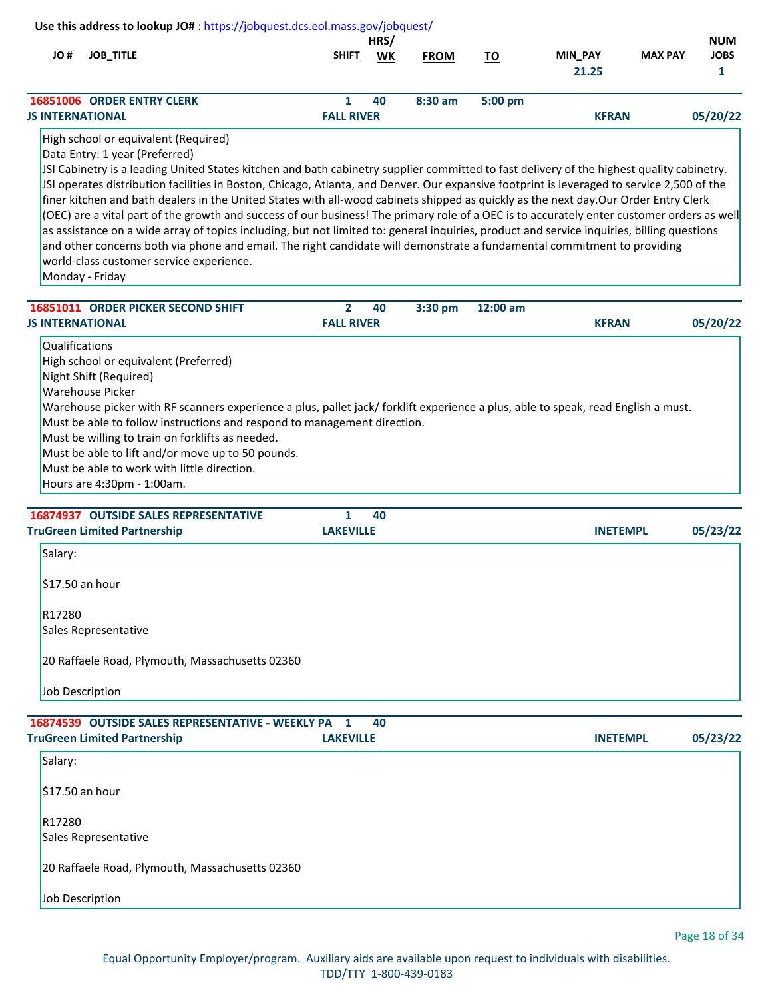|                         | Use this address to lookup JO#: https://jobquest.dcs.eol.mass.gov/jobquest/                                                                                                                                                                                                                                                                                                                                                                                                                                                                                                                                                                                                                                                                                                                                                                                                                                                                                                 |                                     | HRS/ |             |           |                         |         | <b>NUM</b>                  |
|-------------------------|-----------------------------------------------------------------------------------------------------------------------------------------------------------------------------------------------------------------------------------------------------------------------------------------------------------------------------------------------------------------------------------------------------------------------------------------------------------------------------------------------------------------------------------------------------------------------------------------------------------------------------------------------------------------------------------------------------------------------------------------------------------------------------------------------------------------------------------------------------------------------------------------------------------------------------------------------------------------------------|-------------------------------------|------|-------------|-----------|-------------------------|---------|-----------------------------|
| # OL                    | <b>JOB_TITLE</b>                                                                                                                                                                                                                                                                                                                                                                                                                                                                                                                                                                                                                                                                                                                                                                                                                                                                                                                                                            | <b>SHIFT</b>                        | WK   | <b>FROM</b> | <u>TO</u> | <b>MIN PAY</b><br>21.25 | MAX PAY | <b>JOBS</b><br>$\mathbf{1}$ |
| <b>JS INTERNATIONAL</b> | 16851006 ORDER ENTRY CLERK                                                                                                                                                                                                                                                                                                                                                                                                                                                                                                                                                                                                                                                                                                                                                                                                                                                                                                                                                  | 1<br><b>FALL RIVER</b>              | 40   | $8:30$ am   | 5:00 pm   | <b>KFRAN</b>            |         | 05/20/22                    |
|                         | High school or equivalent (Required)<br>Data Entry: 1 year (Preferred)<br>JSI Cabinetry is a leading United States kitchen and bath cabinetry supplier committed to fast delivery of the highest quality cabinetry.<br>JSI operates distribution facilities in Boston, Chicago, Atlanta, and Denver. Our expansive footprint is leveraged to service 2,500 of the<br>finer kitchen and bath dealers in the United States with all-wood cabinets shipped as quickly as the next day.Our Order Entry Clerk<br>(OEC) are a vital part of the growth and success of our business! The primary role of a OEC is to accurately enter customer orders as well<br>as assistance on a wide array of topics including, but not limited to: general inquiries, product and service inquiries, billing questions<br>and other concerns both via phone and email. The right candidate will demonstrate a fundamental commitment to providing<br>world-class customer service experience. |                                     |      |             |           |                         |         |                             |
|                         | Monday - Friday                                                                                                                                                                                                                                                                                                                                                                                                                                                                                                                                                                                                                                                                                                                                                                                                                                                                                                                                                             |                                     |      |             |           |                         |         |                             |
| <b>JS INTERNATIONAL</b> | 16851011 ORDER PICKER SECOND SHIFT                                                                                                                                                                                                                                                                                                                                                                                                                                                                                                                                                                                                                                                                                                                                                                                                                                                                                                                                          | $\overline{2}$<br><b>FALL RIVER</b> | 40   | 3:30 pm     | 12:00 am  | <b>KFRAN</b>            |         | 05/20/22                    |
|                         | High school or equivalent (Preferred)<br>Night Shift (Required)<br><b>Warehouse Picker</b><br>Warehouse picker with RF scanners experience a plus, pallet jack/ forklift experience a plus, able to speak, read English a must.<br>Must be able to follow instructions and respond to management direction.<br>Must be willing to train on forklifts as needed.<br>Must be able to lift and/or move up to 50 pounds.<br>Must be able to work with little direction.<br>Hours are 4:30pm - 1:00am.<br><b>16874937 OUTSIDE SALES REPRESENTATIVE</b>                                                                                                                                                                                                                                                                                                                                                                                                                           | $\mathbf{1}$                        | 40   |             |           |                         |         |                             |
|                         | <b>TruGreen Limited Partnership</b>                                                                                                                                                                                                                                                                                                                                                                                                                                                                                                                                                                                                                                                                                                                                                                                                                                                                                                                                         | <b>LAKEVILLE</b>                    |      |             |           | <b>INETEMPL</b>         |         | 05/23/22                    |
| Salary:<br>R17280       | \$17.50 an hour<br>Sales Representative<br>20 Raffaele Road, Plymouth, Massachusetts 02360<br><b>Job Description</b>                                                                                                                                                                                                                                                                                                                                                                                                                                                                                                                                                                                                                                                                                                                                                                                                                                                        |                                     |      |             |           |                         |         |                             |
|                         | 16874539 OUTSIDE SALES REPRESENTATIVE - WEEKLY PA<br><b>TruGreen Limited Partnership</b>                                                                                                                                                                                                                                                                                                                                                                                                                                                                                                                                                                                                                                                                                                                                                                                                                                                                                    | 1<br><b>LAKEVILLE</b>               | 40   |             |           | <b>INETEMPL</b>         |         | 05/23/22                    |
| Salary:<br>R17280       | \$17.50 an hour<br>Sales Representative<br>20 Raffaele Road, Plymouth, Massachusetts 02360                                                                                                                                                                                                                                                                                                                                                                                                                                                                                                                                                                                                                                                                                                                                                                                                                                                                                  |                                     |      |             |           |                         |         |                             |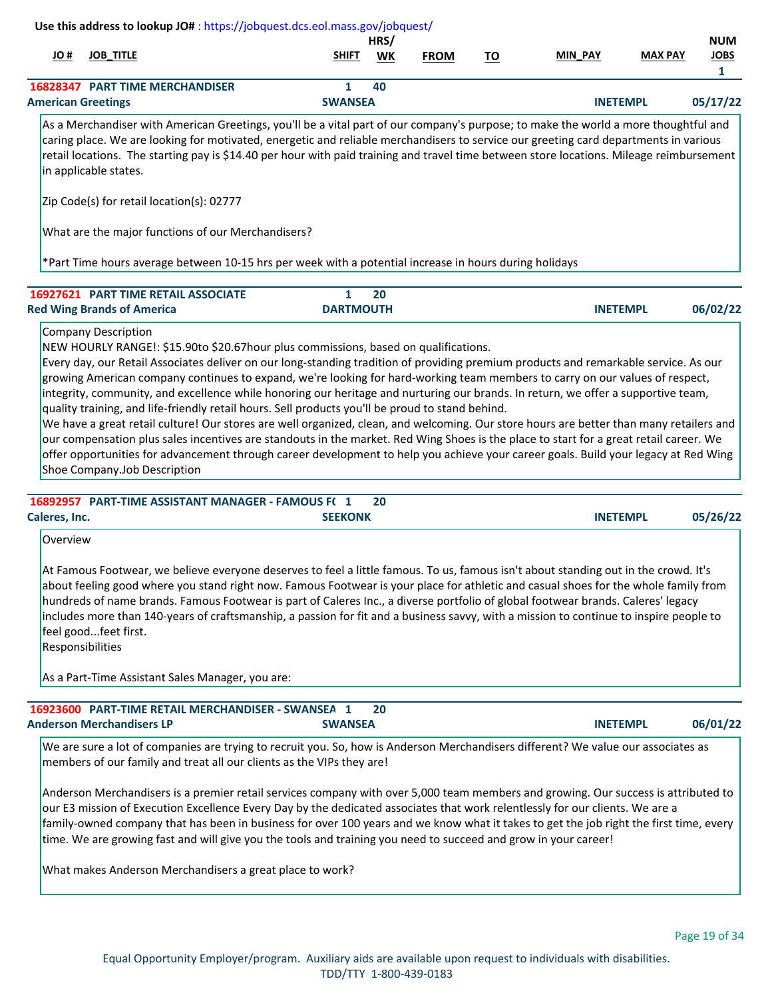|                           |                                                                                                                                                                                                                                                                                                                                                                                                                                                                                                                                                                                                      |                                  | HRS/ |             |           |                 |                | <b>NUM</b>                  |
|---------------------------|------------------------------------------------------------------------------------------------------------------------------------------------------------------------------------------------------------------------------------------------------------------------------------------------------------------------------------------------------------------------------------------------------------------------------------------------------------------------------------------------------------------------------------------------------------------------------------------------------|----------------------------------|------|-------------|-----------|-----------------|----------------|-----------------------------|
| # JO                      | <b>JOB_TITLE</b>                                                                                                                                                                                                                                                                                                                                                                                                                                                                                                                                                                                     | SHIFT                            | WK   | <b>FROM</b> | <u>TO</u> | MIN_PAY         | <b>MAX PAY</b> | <b>JOBS</b><br>$\mathbf{1}$ |
|                           | <b>16828347 PART TIME MERCHANDISER</b><br><b>American Greetings</b>                                                                                                                                                                                                                                                                                                                                                                                                                                                                                                                                  | $\mathbf{1}$<br><b>SWANSEA</b>   | 40   |             |           | <b>INETEMPL</b> |                | 05/17/22                    |
|                           | As a Merchandiser with American Greetings, you'll be a vital part of our company's purpose; to make the world a more thoughtful and<br>caring place. We are looking for motivated, energetic and reliable merchandisers to service our greeting card departments in various<br>retail locations. The starting pay is \$14.40 per hour with paid training and travel time between store locations. Mileage reimbursement<br>in applicable states.                                                                                                                                                     |                                  |      |             |           |                 |                |                             |
|                           | Zip Code(s) for retail location(s): 02777                                                                                                                                                                                                                                                                                                                                                                                                                                                                                                                                                            |                                  |      |             |           |                 |                |                             |
|                           | What are the major functions of our Merchandisers?                                                                                                                                                                                                                                                                                                                                                                                                                                                                                                                                                   |                                  |      |             |           |                 |                |                             |
|                           | *Part Time hours average between 10-15 hrs per week with a potential increase in hours during holidays                                                                                                                                                                                                                                                                                                                                                                                                                                                                                               |                                  |      |             |           |                 |                |                             |
|                           | 16927621 PART TIME RETAIL ASSOCIATE<br><b>Red Wing Brands of America</b>                                                                                                                                                                                                                                                                                                                                                                                                                                                                                                                             | $\mathbf{1}$<br><b>DARTMOUTH</b> | 20   |             |           | <b>INETEMPL</b> |                | 06/02/22                    |
|                           | quality training, and life-friendly retail hours. Sell products you'll be proud to stand behind.<br>We have a great retail culture! Our stores are well organized, clean, and welcoming. Our store hours are better than many retailers and<br>our compensation plus sales incentives are standouts in the market. Red Wing Shoes is the place to start for a great retail career. We<br>offer opportunities for advancement through career development to help you achieve your career goals. Build your legacy at Red Wing                                                                         |                                  |      |             |           |                 |                |                             |
|                           | Shoe Company.Job Description<br>16892957 PART-TIME ASSISTANT MANAGER - FAMOUS F(1                                                                                                                                                                                                                                                                                                                                                                                                                                                                                                                    |                                  | 20   |             |           |                 |                |                             |
| Caleres, Inc.<br>Overview |                                                                                                                                                                                                                                                                                                                                                                                                                                                                                                                                                                                                      | <b>SEEKONK</b>                   |      |             |           | <b>INETEMPL</b> |                |                             |
|                           | At Famous Footwear, we believe everyone deserves to feel a little famous. To us, famous isn't about standing out in the crowd. It's<br>about feeling good where you stand right now. Famous Footwear is your place for athletic and casual shoes for the whole family from<br>hundreds of name brands. Famous Footwear is part of Caleres Inc., a diverse portfolio of global footwear brands. Caleres' legacy<br>includes more than 140-years of craftsmanship, a passion for fit and a business savvy, with a mission to continue to inspire people to<br>feel goodfeet first.<br>Responsibilities |                                  |      |             |           |                 |                |                             |
|                           | As a Part-Time Assistant Sales Manager, you are:                                                                                                                                                                                                                                                                                                                                                                                                                                                                                                                                                     |                                  |      |             |           |                 |                | 05/26/22                    |
|                           | 16923600 PART-TIME RETAIL MERCHANDISER - SWANSEA 1<br><b>Anderson Merchandisers LP</b>                                                                                                                                                                                                                                                                                                                                                                                                                                                                                                               | <b>SWANSEA</b>                   | 20   |             |           | <b>INETEMPL</b> |                |                             |
|                           | We are sure a lot of companies are trying to recruit you. So, how is Anderson Merchandisers different? We value our associates as<br>members of our family and treat all our clients as the VIPs they are!                                                                                                                                                                                                                                                                                                                                                                                           |                                  |      |             |           |                 |                |                             |
|                           | Anderson Merchandisers is a premier retail services company with over 5,000 team members and growing. Our success is attributed to<br>our E3 mission of Execution Excellence Every Day by the dedicated associates that work relentlessly for our clients. We are a<br>family-owned company that has been in business for over 100 years and we know what it takes to get the job right the first time, every<br>time. We are growing fast and will give you the tools and training you need to succeed and grow in your career!                                                                     |                                  |      |             |           |                 |                | 06/01/22                    |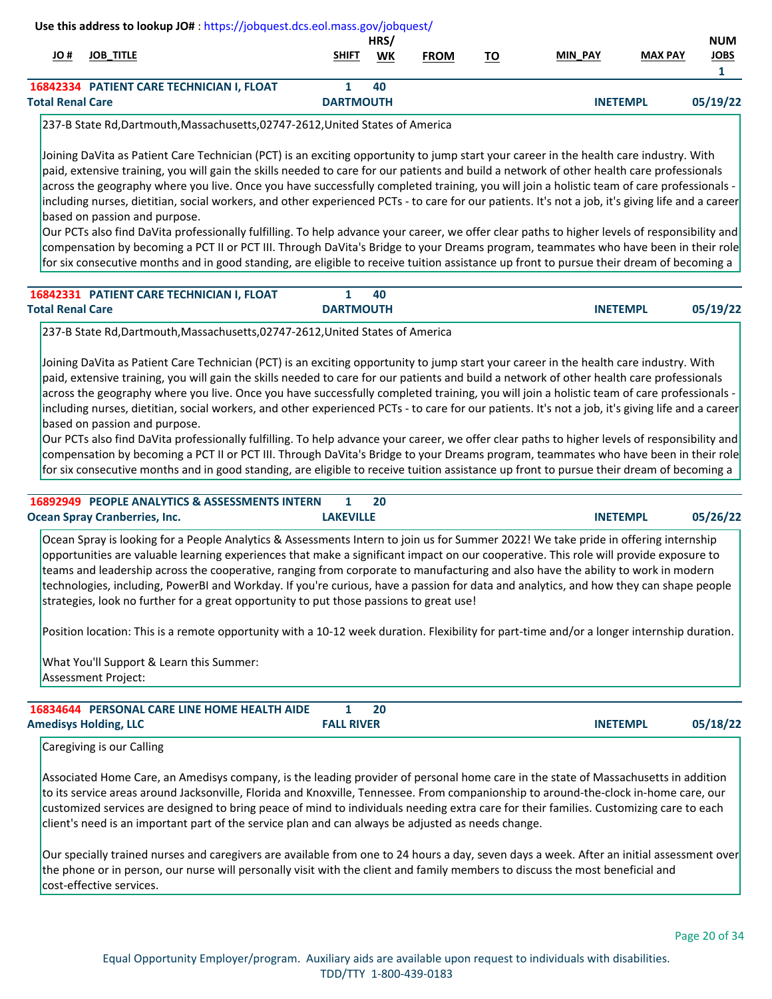| H OL                    | <b>JOB TITLE</b>                          | <b>SHIFT</b>     | HRS/<br>WK | <b>FROM</b> | то | <b>MIN PAY</b>  | <b>MAX PAY</b> | <b>NUM</b><br><b>JOBS</b> |
|-------------------------|-------------------------------------------|------------------|------------|-------------|----|-----------------|----------------|---------------------------|
|                         | 16842334 PATIENT CARE TECHNICIAN I, FLOAT |                  | 40         |             |    |                 |                |                           |
| <b>Total Renal Care</b> |                                           | <b>DARTMOUTH</b> |            |             |    | <b>INETEMPL</b> |                | 05/19/22                  |

237-B State Rd,Dartmouth,Massachusetts,02747-2612,United States of America

Joining DaVita as Patient Care Technician (PCT) is an exciting opportunity to jump start your career in the health care industry. With paid, extensive training, you will gain the skills needed to care for our patients and build a network of other health care professionals across the geography where you live. Once you have successfully completed training, you will join a holistic team of care professionals including nurses, dietitian, social workers, and other experienced PCTs - to care for our patients. It's not a job, it's giving life and a career based on passion and purpose.

Our PCTs also find DaVita professionally fulfilling. To help advance your career, we offer clear paths to higher levels of responsibility and compensation by becoming a PCT II or PCT III. Through DaVita's Bridge to your Dreams program, teammates who have been in their role for six consecutive months and in good standing, are eligible to receive tuition assistance up front to pursue their dream of becoming a

| 16842331 PATIENT CARE TECHNICIAN I, FLOAT |                  | 40 |                 |          |
|-------------------------------------------|------------------|----|-----------------|----------|
| <b>Total Renal Care</b>                   | <b>DARTMOUTH</b> |    | <b>INETEMPI</b> | 05/19/22 |

237-B State Rd,Dartmouth,Massachusetts,02747-2612,United States of America

Joining DaVita as Patient Care Technician (PCT) is an exciting opportunity to jump start your career in the health care industry. With paid, extensive training, you will gain the skills needed to care for our patients and build a network of other health care professionals across the geography where you live. Once you have successfully completed training, you will join a holistic team of care professionals including nurses, dietitian, social workers, and other experienced PCTs - to care for our patients. It's not a job, it's giving life and a career based on passion and purpose.

Our PCTs also find DaVita professionally fulfilling. To help advance your career, we offer clear paths to higher levels of responsibility and compensation by becoming a PCT II or PCT III. Through DaVita's Bridge to your Dreams program, teammates who have been in their role for six consecutive months and in good standing, are eligible to receive tuition assistance up front to pursue their dream of becoming a

| <b>16892949 PEOPLE ANALYTICS &amp; ASSESSMENTS INTERN</b> |                  | 20 |                 |          |
|-----------------------------------------------------------|------------------|----|-----------------|----------|
| <b>Ocean Spray Cranberries, Inc.</b>                      | <b>LAKEVILLE</b> |    | <b>INETEMPL</b> | 05/26/22 |

Ocean Spray is looking for a People Analytics & Assessments Intern to join us for Summer 2022! We take pride in offering internship opportunities are valuable learning experiences that make a significant impact on our cooperative. This role will provide exposure to teams and leadership across the cooperative, ranging from corporate to manufacturing and also have the ability to work in modern technologies, including, PowerBI and Workday. If you're curious, have a passion for data and analytics, and how they can shape people strategies, look no further for a great opportunity to put those passions to great use!

Position location: This is a remote opportunity with a 10-12 week duration. Flexibility for part-time and/or a longer internship duration.

What You'll Support & Learn this Summer: Assessment Project:

| 16834644 PERSONAL CARE LINE HOME HEALTH AIDE |                   |  |                 |          |
|----------------------------------------------|-------------------|--|-----------------|----------|
| <b>Amedisys Holding, LLC</b>                 | <b>FALL RIVER</b> |  | <b>INETEMPL</b> | 05/18/22 |

Caregiving is our Calling

Associated Home Care, an Amedisys company, is the leading provider of personal home care in the state of Massachusetts in addition to its service areas around Jacksonville, Florida and Knoxville, Tennessee. From companionship to around-the-clock in-home care, our customized services are designed to bring peace of mind to individuals needing extra care for their families. Customizing care to each client's need is an important part of the service plan and can always be adjusted as needs change.

Our specially trained nurses and caregivers are available from one to 24 hours a day, seven days a week. After an initial assessment over the phone or in person, our nurse will personally visit with the client and family members to discuss the most beneficial and cost-effective services.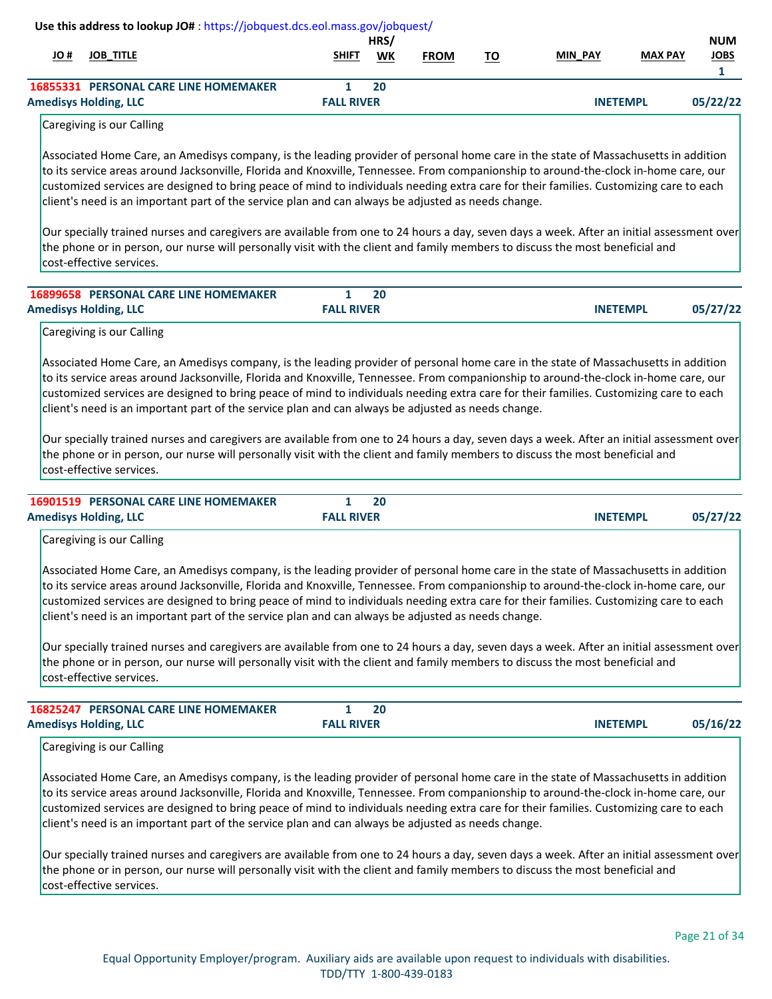|                                                                                                                                                                                                                                                                                                                                                                                                                                                                                                                                                                                                                                                                         | Use this address to lookup JO#: https://jobquest.dcs.eol.mass.gov/jobquest/ | HRS/ |             |           |                 |                | <b>NUM</b>                  |
|-------------------------------------------------------------------------------------------------------------------------------------------------------------------------------------------------------------------------------------------------------------------------------------------------------------------------------------------------------------------------------------------------------------------------------------------------------------------------------------------------------------------------------------------------------------------------------------------------------------------------------------------------------------------------|-----------------------------------------------------------------------------|------|-------------|-----------|-----------------|----------------|-----------------------------|
| # JO<br><b>JOB_TITLE</b>                                                                                                                                                                                                                                                                                                                                                                                                                                                                                                                                                                                                                                                | <b>SHIFT</b>                                                                | WK   | <b>FROM</b> | <u>TO</u> | MIN_PAY         | <b>MAX PAY</b> | <b>JOBS</b><br>$\mathbf{1}$ |
| 16855331 PERSONAL CARE LINE HOMEMAKER<br><b>Amedisys Holding, LLC</b>                                                                                                                                                                                                                                                                                                                                                                                                                                                                                                                                                                                                   | 1<br><b>FALL RIVER</b>                                                      | 20   |             |           | <b>INETEMPL</b> |                | 05/22/22                    |
| Caregiving is our Calling                                                                                                                                                                                                                                                                                                                                                                                                                                                                                                                                                                                                                                               |                                                                             |      |             |           |                 |                |                             |
| Associated Home Care, an Amedisys company, is the leading provider of personal home care in the state of Massachusetts in addition<br>to its service areas around Jacksonville, Florida and Knoxville, Tennessee. From companionship to around-the-clock in-home care, our<br>customized services are designed to bring peace of mind to individuals needing extra care for their families. Customizing care to each<br>client's need is an important part of the service plan and can always be adjusted as needs change.                                                                                                                                              |                                                                             |      |             |           |                 |                |                             |
| Our specially trained nurses and caregivers are available from one to 24 hours a day, seven days a week. After an initial assessment over<br>the phone or in person, our nurse will personally visit with the client and family members to discuss the most beneficial and<br>cost-effective services.                                                                                                                                                                                                                                                                                                                                                                  |                                                                             |      |             |           |                 |                |                             |
| <b>16899658 PERSONAL CARE LINE HOMEMAKER</b>                                                                                                                                                                                                                                                                                                                                                                                                                                                                                                                                                                                                                            | $\mathbf{1}$                                                                | 20   |             |           |                 |                |                             |
| <b>Amedisys Holding, LLC</b><br>Caregiving is our Calling                                                                                                                                                                                                                                                                                                                                                                                                                                                                                                                                                                                                               | <b>FALL RIVER</b>                                                           |      |             |           | <b>INETEMPL</b> |                | 05/27/22                    |
| client's need is an important part of the service plan and can always be adjusted as needs change.<br>Our specially trained nurses and caregivers are available from one to 24 hours a day, seven days a week. After an initial assessment over<br>the phone or in person, our nurse will personally visit with the client and family members to discuss the most beneficial and<br>cost-effective services.<br><b>16901519 PERSONAL CARE LINE HOMEMAKER</b>                                                                                                                                                                                                            | $\mathbf{1}$                                                                | 20   |             |           |                 |                |                             |
| <b>Amedisys Holding, LLC</b>                                                                                                                                                                                                                                                                                                                                                                                                                                                                                                                                                                                                                                            | <b>FALL RIVER</b>                                                           |      |             |           | <b>INETEMPL</b> |                | 05/27/22                    |
| Caregiving is our Calling                                                                                                                                                                                                                                                                                                                                                                                                                                                                                                                                                                                                                                               |                                                                             |      |             |           |                 |                |                             |
| Associated Home Care, an Amedisys company, is the leading provider of personal home care in the state of Massachusetts in addition<br>to its service areas around Jacksonville, Florida and Knoxville, Tennessee. From companionship to around-the-clock in-home care, our<br>customized services are designed to bring peace of mind to individuals needing extra care for their families. Customizing care to each<br>client's need is an important part of the service plan and can always be adjusted as needs change.<br>Our specially trained nurses and caregivers are available from one to 24 hours a day, seven days a week. After an initial assessment over |                                                                             |      |             |           |                 |                |                             |
| the phone or in person, our nurse will personally visit with the client and family members to discuss the most beneficial and<br>cost-effective services.                                                                                                                                                                                                                                                                                                                                                                                                                                                                                                               |                                                                             |      |             |           |                 |                |                             |
|                                                                                                                                                                                                                                                                                                                                                                                                                                                                                                                                                                                                                                                                         |                                                                             |      |             |           |                 |                |                             |
| 16825247 PERSONAL CARE LINE HOMEMAKER<br><b>Amedisys Holding, LLC</b>                                                                                                                                                                                                                                                                                                                                                                                                                                                                                                                                                                                                   | 1<br><b>FALL RIVER</b>                                                      | 20   |             |           | <b>INETEMPL</b> |                | 05/16/22                    |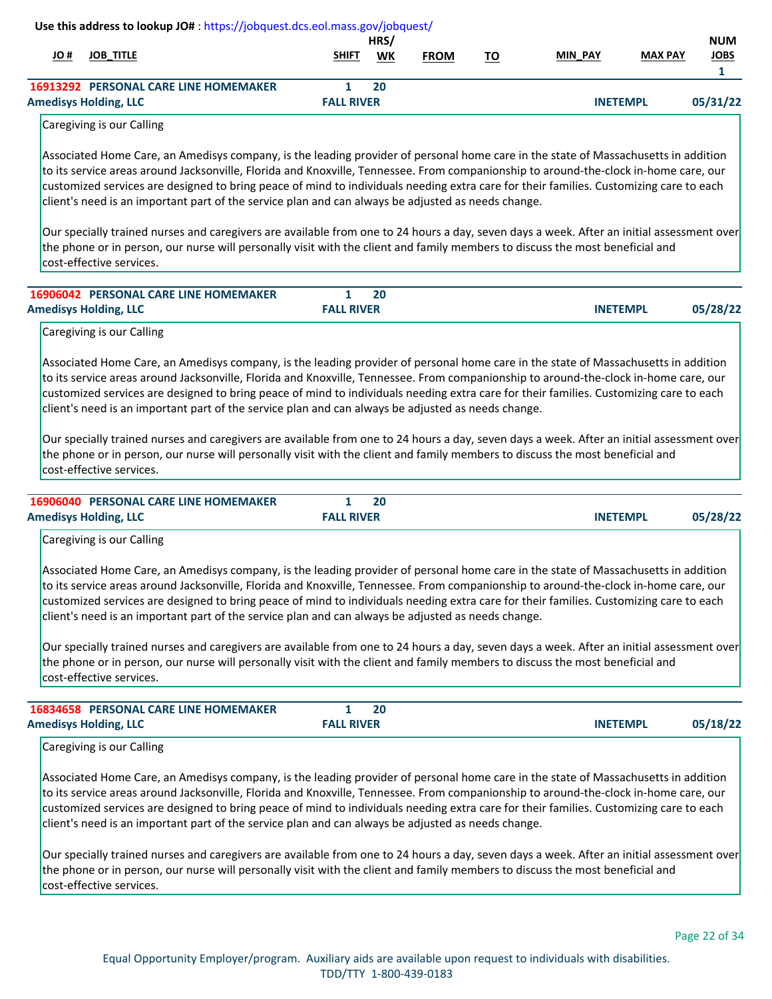|      |                                                           | Use this address to lookup JO#: https://jobquest.dcs.eol.mass.gov/jobquest/                                                                                                                                                                                                                                                                                                                                                                                                                                                                                                                                                                                                                                                                                                                              |                                   | HRS/ |             |           |                 |                | <b>NUM</b>                  |
|------|-----------------------------------------------------------|----------------------------------------------------------------------------------------------------------------------------------------------------------------------------------------------------------------------------------------------------------------------------------------------------------------------------------------------------------------------------------------------------------------------------------------------------------------------------------------------------------------------------------------------------------------------------------------------------------------------------------------------------------------------------------------------------------------------------------------------------------------------------------------------------------|-----------------------------------|------|-------------|-----------|-----------------|----------------|-----------------------------|
| # JO | <b>JOB_TITLE</b>                                          |                                                                                                                                                                                                                                                                                                                                                                                                                                                                                                                                                                                                                                                                                                                                                                                                          | SHIFT                             | WK   | <b>FROM</b> | <u>TO</u> | <b>MIN PAY</b>  | <b>MAX PAY</b> | <b>JOBS</b><br>$\mathbf{1}$ |
|      |                                                           | <b>16913292 PERSONAL CARE LINE HOMEMAKER</b>                                                                                                                                                                                                                                                                                                                                                                                                                                                                                                                                                                                                                                                                                                                                                             | $\mathbf{1}$                      | 20   |             |           |                 |                |                             |
|      | <b>Amedisys Holding, LLC</b>                              |                                                                                                                                                                                                                                                                                                                                                                                                                                                                                                                                                                                                                                                                                                                                                                                                          | <b>FALL RIVER</b>                 |      |             |           | <b>INETEMPL</b> |                | 05/31/22                    |
|      | Caregiving is our Calling                                 |                                                                                                                                                                                                                                                                                                                                                                                                                                                                                                                                                                                                                                                                                                                                                                                                          |                                   |      |             |           |                 |                |                             |
|      |                                                           | Associated Home Care, an Amedisys company, is the leading provider of personal home care in the state of Massachusetts in addition<br>to its service areas around Jacksonville, Florida and Knoxville, Tennessee. From companionship to around-the-clock in-home care, our<br>customized services are designed to bring peace of mind to individuals needing extra care for their families. Customizing care to each<br>client's need is an important part of the service plan and can always be adjusted as needs change.                                                                                                                                                                                                                                                                               |                                   |      |             |           |                 |                |                             |
|      | cost-effective services.                                  | Our specially trained nurses and caregivers are available from one to 24 hours a day, seven days a week. After an initial assessment over<br>the phone or in person, our nurse will personally visit with the client and family members to discuss the most beneficial and                                                                                                                                                                                                                                                                                                                                                                                                                                                                                                                               |                                   |      |             |           |                 |                |                             |
|      |                                                           | <b>16906042 PERSONAL CARE LINE HOMEMAKER</b>                                                                                                                                                                                                                                                                                                                                                                                                                                                                                                                                                                                                                                                                                                                                                             | $\mathbf{1}$                      | 20   |             |           |                 |                |                             |
|      | <b>Amedisys Holding, LLC</b>                              |                                                                                                                                                                                                                                                                                                                                                                                                                                                                                                                                                                                                                                                                                                                                                                                                          | <b>FALL RIVER</b>                 |      |             |           | <b>INETEMPL</b> |                | 05/28/22                    |
|      | Caregiving is our Calling                                 |                                                                                                                                                                                                                                                                                                                                                                                                                                                                                                                                                                                                                                                                                                                                                                                                          |                                   |      |             |           |                 |                |                             |
|      | cost-effective services.                                  | Associated Home Care, an Amedisys company, is the leading provider of personal home care in the state of Massachusetts in addition<br>to its service areas around Jacksonville, Florida and Knoxville, Tennessee. From companionship to around-the-clock in-home care, our<br>customized services are designed to bring peace of mind to individuals needing extra care for their families. Customizing care to each<br>client's need is an important part of the service plan and can always be adjusted as needs change.<br>Our specially trained nurses and caregivers are available from one to 24 hours a day, seven days a week. After an initial assessment over<br>the phone or in person, our nurse will personally visit with the client and family members to discuss the most beneficial and |                                   |      |             |           |                 |                |                             |
|      |                                                           | <b>16906040 PERSONAL CARE LINE HOMEMAKER</b>                                                                                                                                                                                                                                                                                                                                                                                                                                                                                                                                                                                                                                                                                                                                                             | $\mathbf{1}$<br><b>FALL RIVER</b> | 20   |             |           |                 |                |                             |
|      | <b>Amedisys Holding, LLC</b><br>Caregiving is our Calling |                                                                                                                                                                                                                                                                                                                                                                                                                                                                                                                                                                                                                                                                                                                                                                                                          |                                   |      |             |           | <b>INETEMPL</b> |                | 05/28/22                    |
|      | cost-effective services.                                  | Associated Home Care, an Amedisys company, is the leading provider of personal home care in the state of Massachusetts in addition<br>to its service areas around Jacksonville, Florida and Knoxville, Tennessee. From companionship to around-the-clock in-home care, our<br>customized services are designed to bring peace of mind to individuals needing extra care for their families. Customizing care to each<br>client's need is an important part of the service plan and can always be adjusted as needs change.<br>Our specially trained nurses and caregivers are available from one to 24 hours a day, seven days a week. After an initial assessment over<br>the phone or in person, our nurse will personally visit with the client and family members to discuss the most beneficial and |                                   |      |             |           |                 |                |                             |
|      |                                                           | <b>16834658 PERSONAL CARE LINE HOMEMAKER</b>                                                                                                                                                                                                                                                                                                                                                                                                                                                                                                                                                                                                                                                                                                                                                             | 1                                 | 20   |             |           |                 |                |                             |
|      | <b>Amedisys Holding, LLC</b>                              |                                                                                                                                                                                                                                                                                                                                                                                                                                                                                                                                                                                                                                                                                                                                                                                                          | <b>FALL RIVER</b>                 |      |             |           | <b>INETEMPL</b> |                | 05/18/22                    |
|      | Caregiving is our Calling                                 |                                                                                                                                                                                                                                                                                                                                                                                                                                                                                                                                                                                                                                                                                                                                                                                                          |                                   |      |             |           |                 |                |                             |
|      |                                                           | Associated Home Care, an Amedisys company, is the leading provider of personal home care in the state of Massachusetts in addition<br>to its service areas around Jacksonville, Florida and Knoxville, Tennessee. From companionship to around-the-clock in-home care, our<br>customized services are designed to bring peace of mind to individuals needing extra care for their families. Customizing care to each<br>client's need is an important part of the service plan and can always be adjusted as needs change.                                                                                                                                                                                                                                                                               |                                   |      |             |           |                 |                |                             |
|      | cost-effective services.                                  | Our specially trained nurses and caregivers are available from one to 24 hours a day, seven days a week. After an initial assessment over<br>the phone or in person, our nurse will personally visit with the client and family members to discuss the most beneficial and                                                                                                                                                                                                                                                                                                                                                                                                                                                                                                                               |                                   |      |             |           |                 |                |                             |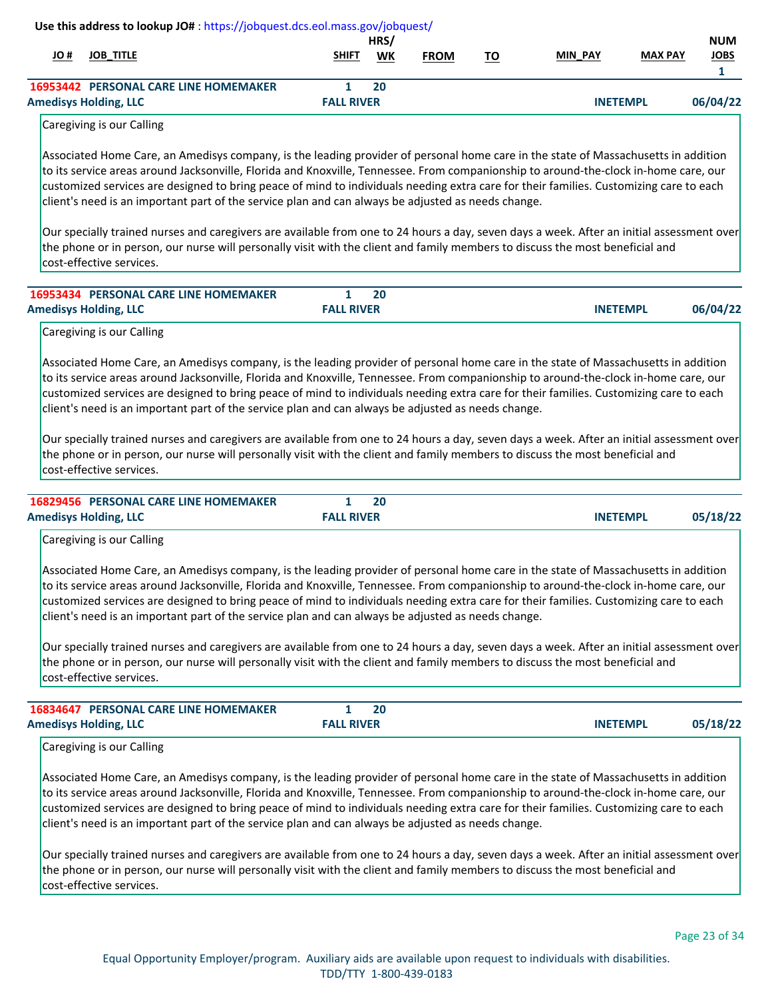|      |                              | Use this address to lookup JO#: https://jobquest.dcs.eol.mass.gov/jobquest/                                                                                                                                                                                                                                                                                                                                                                                                                                                                                                                                                                                                                                                                                                                              |                                   |            |             |           |                 |                |                                           |
|------|------------------------------|----------------------------------------------------------------------------------------------------------------------------------------------------------------------------------------------------------------------------------------------------------------------------------------------------------------------------------------------------------------------------------------------------------------------------------------------------------------------------------------------------------------------------------------------------------------------------------------------------------------------------------------------------------------------------------------------------------------------------------------------------------------------------------------------------------|-----------------------------------|------------|-------------|-----------|-----------------|----------------|-------------------------------------------|
| H OL | <b>JOB_TITLE</b>             |                                                                                                                                                                                                                                                                                                                                                                                                                                                                                                                                                                                                                                                                                                                                                                                                          | <b>SHIFT</b>                      | HRS/<br>WK | <b>FROM</b> | <u>TO</u> | MIN_PAY         | <b>MAX PAY</b> | <b>NUM</b><br><b>JOBS</b><br>$\mathbf{1}$ |
|      | <b>Amedisys Holding, LLC</b> | 16953442 PERSONAL CARE LINE HOMEMAKER                                                                                                                                                                                                                                                                                                                                                                                                                                                                                                                                                                                                                                                                                                                                                                    | $\mathbf{1}$<br><b>FALL RIVER</b> | 20         |             |           | <b>INETEMPL</b> |                | 06/04/22                                  |
|      | Caregiving is our Calling    |                                                                                                                                                                                                                                                                                                                                                                                                                                                                                                                                                                                                                                                                                                                                                                                                          |                                   |            |             |           |                 |                |                                           |
|      |                              | Associated Home Care, an Amedisys company, is the leading provider of personal home care in the state of Massachusetts in addition<br>to its service areas around Jacksonville, Florida and Knoxville, Tennessee. From companionship to around-the-clock in-home care, our<br>customized services are designed to bring peace of mind to individuals needing extra care for their families. Customizing care to each<br>client's need is an important part of the service plan and can always be adjusted as needs change.                                                                                                                                                                                                                                                                               |                                   |            |             |           |                 |                |                                           |
|      | cost-effective services.     | Our specially trained nurses and caregivers are available from one to 24 hours a day, seven days a week. After an initial assessment over<br>the phone or in person, our nurse will personally visit with the client and family members to discuss the most beneficial and                                                                                                                                                                                                                                                                                                                                                                                                                                                                                                                               |                                   |            |             |           |                 |                |                                           |
|      | <b>Amedisys Holding, LLC</b> | 16953434 PERSONAL CARE LINE HOMEMAKER                                                                                                                                                                                                                                                                                                                                                                                                                                                                                                                                                                                                                                                                                                                                                                    | $\mathbf{1}$<br><b>FALL RIVER</b> | 20         |             |           | <b>INETEMPL</b> |                | 06/04/22                                  |
|      | Caregiving is our Calling    |                                                                                                                                                                                                                                                                                                                                                                                                                                                                                                                                                                                                                                                                                                                                                                                                          |                                   |            |             |           |                 |                |                                           |
|      | cost-effective services.     | to its service areas around Jacksonville, Florida and Knoxville, Tennessee. From companionship to around-the-clock in-home care, our<br>customized services are designed to bring peace of mind to individuals needing extra care for their families. Customizing care to each<br>client's need is an important part of the service plan and can always be adjusted as needs change.<br>Our specially trained nurses and caregivers are available from one to 24 hours a day, seven days a week. After an initial assessment over<br>the phone or in person, our nurse will personally visit with the client and family members to discuss the most beneficial and                                                                                                                                       |                                   |            |             |           |                 |                |                                           |
|      | <b>Amedisys Holding, LLC</b> | <b>16829456 PERSONAL CARE LINE HOMEMAKER</b>                                                                                                                                                                                                                                                                                                                                                                                                                                                                                                                                                                                                                                                                                                                                                             | $\mathbf{1}$<br><b>FALL RIVER</b> | 20         |             |           | <b>INETEMPL</b> |                | 05/18/22                                  |
|      | Caregiving is our Calling    |                                                                                                                                                                                                                                                                                                                                                                                                                                                                                                                                                                                                                                                                                                                                                                                                          |                                   |            |             |           |                 |                |                                           |
|      | cost-effective services.     | Associated Home Care, an Amedisys company, is the leading provider of personal home care in the state of Massachusetts in addition<br>to its service areas around Jacksonville, Florida and Knoxville, Tennessee. From companionship to around-the-clock in-home care, our<br>customized services are designed to bring peace of mind to individuals needing extra care for their families. Customizing care to each<br>client's need is an important part of the service plan and can always be adjusted as needs change.<br>Our specially trained nurses and caregivers are available from one to 24 hours a day, seven days a week. After an initial assessment over<br>the phone or in person, our nurse will personally visit with the client and family members to discuss the most beneficial and |                                   |            |             |           |                 |                |                                           |
|      |                              | <b>16834647 PERSONAL CARE LINE HOMEMAKER</b>                                                                                                                                                                                                                                                                                                                                                                                                                                                                                                                                                                                                                                                                                                                                                             | $\mathbf{1}$                      | 20         |             |           |                 |                |                                           |
|      | <b>Amedisys Holding, LLC</b> |                                                                                                                                                                                                                                                                                                                                                                                                                                                                                                                                                                                                                                                                                                                                                                                                          | <b>FALL RIVER</b>                 |            |             |           | <b>INETEMPL</b> |                | 05/18/22                                  |
|      | Caregiving is our Calling    | Associated Home Care, an Amedisys company, is the leading provider of personal home care in the state of Massachusetts in addition<br>to its service areas around Jacksonville, Florida and Knoxville, Tennessee. From companionship to around-the-clock in-home care, our                                                                                                                                                                                                                                                                                                                                                                                                                                                                                                                               |                                   |            |             |           |                 |                |                                           |
|      |                              | customized services are designed to bring peace of mind to individuals needing extra care for their families. Customizing care to each<br>client's need is an important part of the service plan and can always be adjusted as needs change.                                                                                                                                                                                                                                                                                                                                                                                                                                                                                                                                                             |                                   |            |             |           |                 |                |                                           |
|      | cost-effective services.     | Our specially trained nurses and caregivers are available from one to 24 hours a day, seven days a week. After an initial assessment over<br>the phone or in person, our nurse will personally visit with the client and family members to discuss the most beneficial and                                                                                                                                                                                                                                                                                                                                                                                                                                                                                                                               |                                   |            |             |           |                 |                |                                           |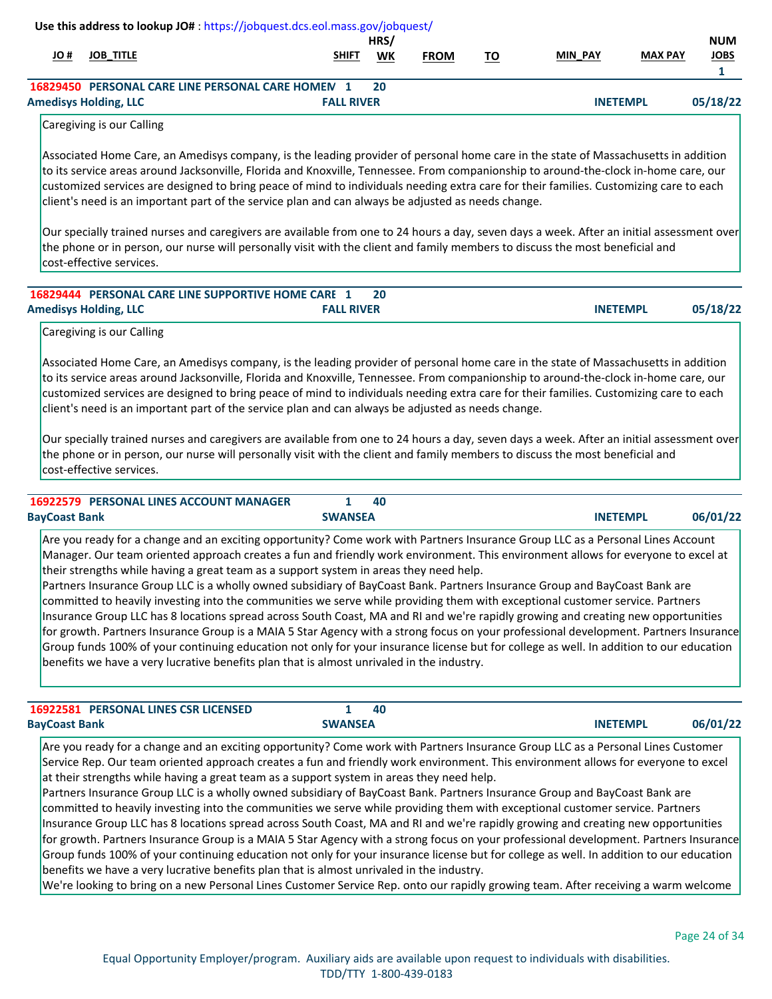|      |                              | Use this address to lookup JO#: https://jobquest.dcs.eol.mass.gov/jobquest/                                                        |                   |      |             |           |                 |                |             |
|------|------------------------------|------------------------------------------------------------------------------------------------------------------------------------|-------------------|------|-------------|-----------|-----------------|----------------|-------------|
|      |                              |                                                                                                                                    |                   | HRS/ |             |           |                 |                | <b>NUM</b>  |
| # JO | <b>JOB TITLE</b>             |                                                                                                                                    | <b>SHIFT</b>      | WK   | <b>FROM</b> | <u>TO</u> | <b>MIN PAY</b>  | <b>MAX PAY</b> | <b>JOBS</b> |
|      |                              |                                                                                                                                    |                   |      |             |           |                 |                |             |
|      |                              | <b>16829450 PERSONAL CARE LINE PERSONAL CARE HOMEM</b>                                                                             |                   | 20   |             |           |                 |                |             |
|      | <b>Amedisys Holding, LLC</b> |                                                                                                                                    | <b>FALL RIVER</b> |      |             |           | <b>INETEMPL</b> |                | 05/18/22    |
|      | Caregiving is our Calling    |                                                                                                                                    |                   |      |             |           |                 |                |             |
|      |                              | Associated Home Care, an Amedisys company, is the leading provider of personal home care in the state of Massachusetts in addition |                   |      |             |           |                 |                |             |

to its service areas around Jacksonville, Florida and Knoxville, Tennessee. From companionship to around-the-clock in-home care, our customized services are designed to bring peace of mind to individuals needing extra care for their families. Customizing care to each client's need is an important part of the service plan and can always be adjusted as needs change.

Our specially trained nurses and caregivers are available from one to 24 hours a day, seven days a week. After an initial assessment over the phone or in person, our nurse will personally visit with the client and family members to discuss the most beneficial and cost-effective services.

| 16829444 PERSONAL CARE LINE SUPPORTIVE HOME CARE 1 |                   |  |                 |          |
|----------------------------------------------------|-------------------|--|-----------------|----------|
| <b>Amedisys Holding, LLC</b>                       | <b>FALL RIVER</b> |  | <b>INETEMPL</b> | 05/18/22 |

Caregiving is our Calling

Associated Home Care, an Amedisys company, is the leading provider of personal home care in the state of Massachusetts in addition to its service areas around Jacksonville, Florida and Knoxville, Tennessee. From companionship to around-the-clock in-home care, our customized services are designed to bring peace of mind to individuals needing extra care for their families. Customizing care to each client's need is an important part of the service plan and can always be adjusted as needs change.

Our specially trained nurses and caregivers are available from one to 24 hours a day, seven days a week. After an initial assessment over the phone or in person, our nurse will personally visit with the client and family members to discuss the most beneficial and cost-effective services.

| <b>16922579 PERSONAL LINES ACCOUNT MANAGER</b> |         | 40 |                 |          |
|------------------------------------------------|---------|----|-----------------|----------|
| <b>BayCoast Bank</b>                           | SWANSEA |    | <b>INETEMP'</b> | 06/01/22 |

Are you ready for a change and an exciting opportunity? Come work with Partners Insurance Group LLC as a Personal Lines Account Manager. Our team oriented approach creates a fun and friendly work environment. This environment allows for everyone to excel at their strengths while having a great team as a support system in areas they need help.

Partners Insurance Group LLC is a wholly owned subsidiary of BayCoast Bank. Partners Insurance Group and BayCoast Bank are committed to heavily investing into the communities we serve while providing them with exceptional customer service. Partners Insurance Group LLC has 8 locations spread across South Coast, MA and RI and we're rapidly growing and creating new opportunities for growth. Partners Insurance Group is a MAIA 5 Star Agency with a strong focus on your professional development. Partners Insurance Group funds 100% of your continuing education not only for your insurance license but for college as well. In addition to our education benefits we have a very lucrative benefits plan that is almost unrivaled in the industry.

| <b>16922581 PERSONAL LINES CSR LICENSED</b> |                | 40 |                 |          |
|---------------------------------------------|----------------|----|-----------------|----------|
| <b>BayCoast Bank</b>                        | <b>SWANSEA</b> |    | <b>INETEMPL</b> | 06/01/22 |

Are you ready for a change and an exciting opportunity? Come work with Partners Insurance Group LLC as a Personal Lines Customer Service Rep. Our team oriented approach creates a fun and friendly work environment. This environment allows for everyone to excel at their strengths while having a great team as a support system in areas they need help.

Partners Insurance Group LLC is a wholly owned subsidiary of BayCoast Bank. Partners Insurance Group and BayCoast Bank are committed to heavily investing into the communities we serve while providing them with exceptional customer service. Partners Insurance Group LLC has 8 locations spread across South Coast, MA and RI and we're rapidly growing and creating new opportunities for growth. Partners Insurance Group is a MAIA 5 Star Agency with a strong focus on your professional development. Partners Insurance Group funds 100% of your continuing education not only for your insurance license but for college as well. In addition to our education benefits we have a very lucrative benefits plan that is almost unrivaled in the industry.

We're looking to bring on a new Personal Lines Customer Service Rep. onto our rapidly growing team. After receiving a warm welcome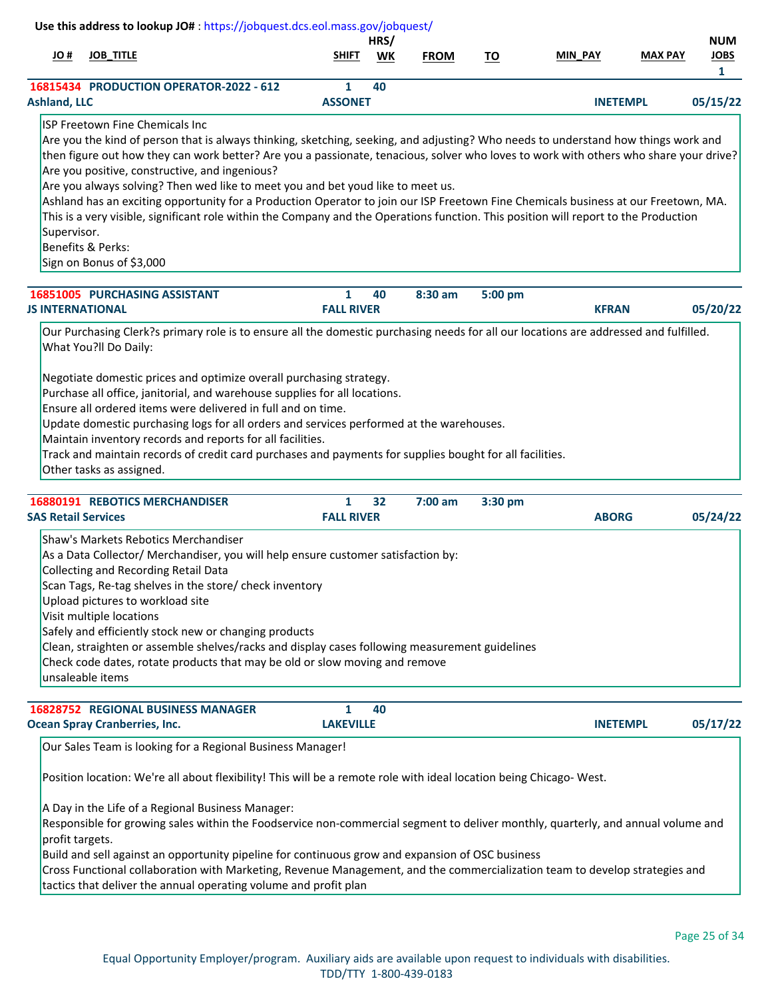|                            | Use this address to lookup JO#: https://jobquest.dcs.eol.mass.gov/jobquest/                                                                                                                                                                                                                                                                                                                                                                                                                                                                                                                                                                                                                                                                                                         |                                   |            |             |           |                 |                |                                |
|----------------------------|-------------------------------------------------------------------------------------------------------------------------------------------------------------------------------------------------------------------------------------------------------------------------------------------------------------------------------------------------------------------------------------------------------------------------------------------------------------------------------------------------------------------------------------------------------------------------------------------------------------------------------------------------------------------------------------------------------------------------------------------------------------------------------------|-----------------------------------|------------|-------------|-----------|-----------------|----------------|--------------------------------|
| H OL                       | <b>JOB_TITLE</b>                                                                                                                                                                                                                                                                                                                                                                                                                                                                                                                                                                                                                                                                                                                                                                    | SHIFT                             | HRS/<br>WK | <b>FROM</b> | <u>TO</u> | <b>MIN PAY</b>  | <b>MAX PAY</b> | <b>NUM</b><br><b>JOBS</b><br>1 |
| <b>Ashland, LLC</b>        | 16815434 PRODUCTION OPERATOR-2022 - 612                                                                                                                                                                                                                                                                                                                                                                                                                                                                                                                                                                                                                                                                                                                                             | 1<br><b>ASSONET</b>               | 40         |             |           | <b>INETEMPL</b> |                | 05/15/22                       |
| Supervisor.                | ISP Freetown Fine Chemicals Inc<br>Are you the kind of person that is always thinking, sketching, seeking, and adjusting? Who needs to understand how things work and<br>then figure out how they can work better? Are you a passionate, tenacious, solver who loves to work with others who share your drive?<br>Are you positive, constructive, and ingenious?<br>Are you always solving? Then wed like to meet you and bet youd like to meet us.<br>Ashland has an exciting opportunity for a Production Operator to join our ISP Freetown Fine Chemicals business at our Freetown, MA.<br>This is a very visible, significant role within the Company and the Operations function. This position will report to the Production<br>Benefits & Perks:<br>Sign on Bonus of \$3,000 |                                   |            |             |           |                 |                |                                |
| <b>JS INTERNATIONAL</b>    | 16851005 PURCHASING ASSISTANT                                                                                                                                                                                                                                                                                                                                                                                                                                                                                                                                                                                                                                                                                                                                                       | $\mathbf{1}$<br><b>FALL RIVER</b> | 40         | 8:30 am     | 5:00 pm   | <b>KFRAN</b>    |                | 05/20/22                       |
|                            | Negotiate domestic prices and optimize overall purchasing strategy.<br>Purchase all office, janitorial, and warehouse supplies for all locations.<br>Ensure all ordered items were delivered in full and on time.<br>Update domestic purchasing logs for all orders and services performed at the warehouses.<br>Maintain inventory records and reports for all facilities.<br>Track and maintain records of credit card purchases and payments for supplies bought for all facilities.<br>Other tasks as assigned.                                                                                                                                                                                                                                                                 |                                   |            |             |           |                 |                |                                |
| <b>SAS Retail Services</b> | 16880191 REBOTICS MERCHANDISER                                                                                                                                                                                                                                                                                                                                                                                                                                                                                                                                                                                                                                                                                                                                                      | 1<br><b>FALL RIVER</b>            | 32         | 7:00 am     | 3:30 pm   | <b>ABORG</b>    |                | 05/24/22                       |
|                            | Shaw's Markets Rebotics Merchandiser<br>As a Data Collector/ Merchandiser, you will help ensure customer satisfaction by:<br>Collecting and Recording Retail Data<br>Scan Tags, Re-tag shelves in the store/ check inventory<br>Upload pictures to workload site<br>Visit multiple locations<br>Safely and efficiently stock new or changing products<br>Clean, straighten or assemble shelves/racks and display cases following measurement guidelines<br>Check code dates, rotate products that may be old or slow moving and remove<br>unsaleable items                                                                                                                                                                                                                          |                                   |            |             |           |                 |                |                                |
|                            | 16828752 REGIONAL BUSINESS MANAGER                                                                                                                                                                                                                                                                                                                                                                                                                                                                                                                                                                                                                                                                                                                                                  | 1                                 | 40         |             |           |                 |                |                                |
|                            | <b>Ocean Spray Cranberries, Inc.</b><br>Our Sales Team is looking for a Regional Business Manager!                                                                                                                                                                                                                                                                                                                                                                                                                                                                                                                                                                                                                                                                                  | <b>LAKEVILLE</b>                  |            |             |           | <b>INETEMPL</b> |                | 05/17/22                       |
| profit targets.            | Position location: We're all about flexibility! This will be a remote role with ideal location being Chicago-West.<br>A Day in the Life of a Regional Business Manager:<br>Responsible for growing sales within the Foodservice non-commercial segment to deliver monthly, quarterly, and annual volume and<br>Build and sell against an opportunity pipeline for continuous grow and expansion of OSC business<br>Cross Functional collaboration with Marketing, Revenue Management, and the commercialization team to develop strategies and<br>tactics that deliver the annual operating volume and profit plan                                                                                                                                                                  |                                   |            |             |           |                 |                |                                |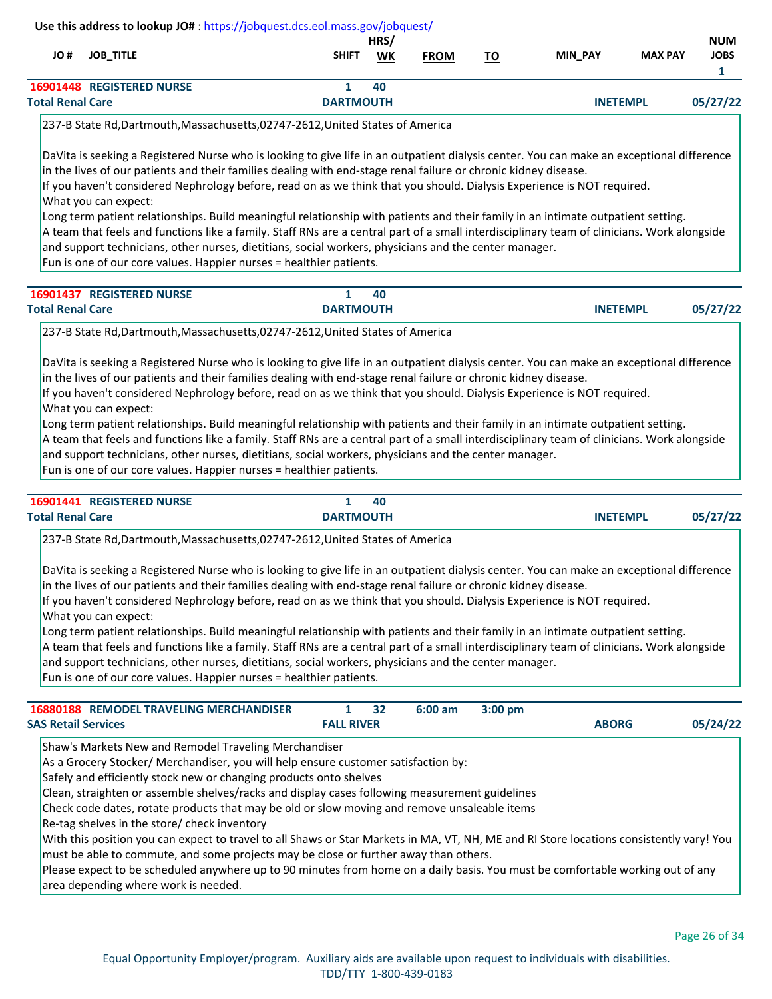#### **JO # JOB\_TITLE SHIFT WK MIN\_PAY MAX PAY JOBS HRS/ NUM FROM Use this address to lookup JO#** [: https://jobquest.dcs.eol.mass.gov/jobquest/](https://jobquest.dcs.eol.mass.gov/jobquest/)   **1 16901448 1 REGISTERED NURSE 05/27/22 40 Total Renal Care DARTMOUTH INETEMPL**

237-B State Rd,Dartmouth,Massachusetts,02747-2612,United States of America

DaVita is seeking a Registered Nurse who is looking to give life in an outpatient dialysis center. You can make an exceptional difference in the lives of our patients and their families dealing with end-stage renal failure or chronic kidney disease.

If you haven't considered Nephrology before, read on as we think that you should. Dialysis Experience is NOT required. What you can expect:

Long term patient relationships. Build meaningful relationship with patients and their family in an intimate outpatient setting.

A team that feels and functions like a family. Staff RNs are a central part of a small interdisciplinary team of clinicians. Work alongside and support technicians, other nurses, dietitians, social workers, physicians and the center manager.

Fun is one of our core values. Happier nurses = healthier patients.

| <b>16901437 REGISTERED NURSE</b> | 40               |                 |          |
|----------------------------------|------------------|-----------------|----------|
| <b>Total Renal Care</b>          | <b>DARTMOUTH</b> | <b>INETEMPL</b> | 05/27/22 |

237-B State Rd,Dartmouth,Massachusetts,02747-2612,United States of America

DaVita is seeking a Registered Nurse who is looking to give life in an outpatient dialysis center. You can make an exceptional difference in the lives of our patients and their families dealing with end-stage renal failure or chronic kidney disease.

If you haven't considered Nephrology before, read on as we think that you should. Dialysis Experience is NOT required. What you can expect:

Long term patient relationships. Build meaningful relationship with patients and their family in an intimate outpatient setting. A team that feels and functions like a family. Staff RNs are a central part of a small interdisciplinary team of clinicians. Work alongside and support technicians, other nurses, dietitians, social workers, physicians and the center manager. Fun is one of our core values. Happier nurses = healthier patients.

 **16901441 1 REGISTERED NURSE 05/27/22 40** 237-B State Rd,Dartmouth,Massachusetts,02747-2612,United States of America DaVita is seeking a Registered Nurse who is looking to give life in an outpatient dialysis center. You can make an exceptional difference in the lives of our patients and their families dealing with end-stage renal failure or chronic kidney disease. If you haven't considered Nephrology before, read on as we think that you should. Dialysis Experience is NOT required. What you can expect: Long term patient relationships. Build meaningful relationship with patients and their family in an intimate outpatient setting. A team that feels and functions like a family. Staff RNs are a central part of a small interdisciplinary team of clinicians. Work alongside **Total Renal Care DARTMOUTH INETEMPL**

and support technicians, other nurses, dietitians, social workers, physicians and the center manager.

Fun is one of our core values. Happier nurses = healthier patients.

| <b>REMODEL TRAVELING MERCHANDISER</b><br>16880188                                                                                                                                                                                |                   | 32 | $6:00$ am | $3:00$ pm |              |          |
|----------------------------------------------------------------------------------------------------------------------------------------------------------------------------------------------------------------------------------|-------------------|----|-----------|-----------|--------------|----------|
| <b>SAS Retail Services</b>                                                                                                                                                                                                       | <b>FALL RIVER</b> |    |           |           | <b>ABORG</b> | 05/24/22 |
| Shaw's Markets New and Remodel Traveling Merchandiser<br>As a Grocery Stocker/ Merchandiser, you will help ensure customer satisfaction by:                                                                                      |                   |    |           |           |              |          |
| Safely and efficiently stock new or changing products onto shelves<br>Clean, straighten or assemble shelves/racks and display cases following measurement guidelines                                                             |                   |    |           |           |              |          |
| Check code dates, rotate products that may be old or slow moving and remove unsaleable items<br>Re-tag shelves in the store/ check inventory                                                                                     |                   |    |           |           |              |          |
| With this position you can expect to travel to all Shaws or Star Markets in MA, VT, NH, ME and RI Store locations consistently vary! You<br>must be able to commute, and some projects may be close or further away than others. |                   |    |           |           |              |          |
| Please expect to be scheduled anywhere up to 90 minutes from home on a daily basis. You must be comfortable working out of any<br>area depending where work is needed.                                                           |                   |    |           |           |              |          |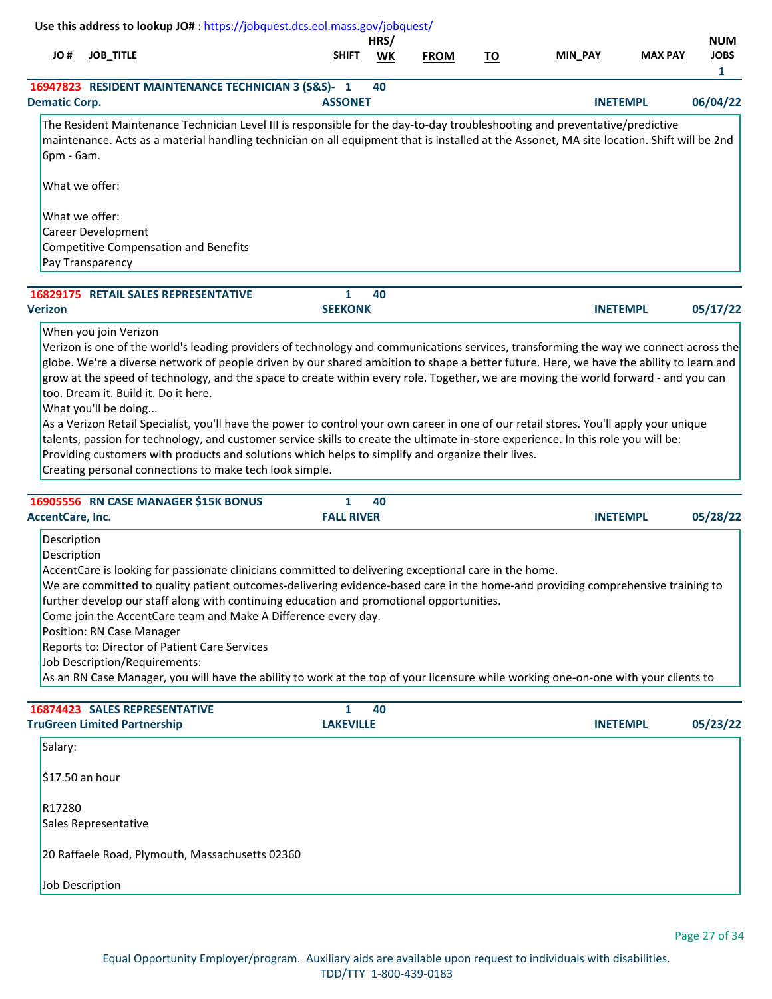| # OL                                                     | Use this address to lookup JO#: https://jobquest.dcs.eol.mass.gov/jobquest/<br><b>JOB TITLE</b>                                                                                                                                                                                                                                                                                                                                                                                                                                                                                                                                                                                                                                                                                                                                                                                                                                         | SHIFT                             | HRS/<br>WK | <b>FROM</b> | <u>TO</u> | <b>MIN PAY</b>  | <b>MAX PAY</b> | <b>NUM</b><br><b>JOBS</b> |
|----------------------------------------------------------|-----------------------------------------------------------------------------------------------------------------------------------------------------------------------------------------------------------------------------------------------------------------------------------------------------------------------------------------------------------------------------------------------------------------------------------------------------------------------------------------------------------------------------------------------------------------------------------------------------------------------------------------------------------------------------------------------------------------------------------------------------------------------------------------------------------------------------------------------------------------------------------------------------------------------------------------|-----------------------------------|------------|-------------|-----------|-----------------|----------------|---------------------------|
| <b>Dematic Corp.</b>                                     | 16947823 RESIDENT MAINTENANCE TECHNICIAN 3 (S&S)- 1                                                                                                                                                                                                                                                                                                                                                                                                                                                                                                                                                                                                                                                                                                                                                                                                                                                                                     | <b>ASSONET</b>                    | 40         |             |           | <b>INETEMPL</b> |                | $\mathbf{1}$<br>06/04/22  |
| 6pm - 6am.                                               | The Resident Maintenance Technician Level III is responsible for the day-to-day troubleshooting and preventative/predictive<br>maintenance. Acts as a material handling technician on all equipment that is installed at the Assonet, MA site location. Shift will be 2nd                                                                                                                                                                                                                                                                                                                                                                                                                                                                                                                                                                                                                                                               |                                   |            |             |           |                 |                |                           |
| What we offer:                                           |                                                                                                                                                                                                                                                                                                                                                                                                                                                                                                                                                                                                                                                                                                                                                                                                                                                                                                                                         |                                   |            |             |           |                 |                |                           |
| What we offer:                                           | Career Development<br><b>Competitive Compensation and Benefits</b><br>Pay Transparency                                                                                                                                                                                                                                                                                                                                                                                                                                                                                                                                                                                                                                                                                                                                                                                                                                                  |                                   |            |             |           |                 |                |                           |
|                                                          | 16829175 RETAIL SALES REPRESENTATIVE                                                                                                                                                                                                                                                                                                                                                                                                                                                                                                                                                                                                                                                                                                                                                                                                                                                                                                    | $\mathbf{1}$                      | 40         |             |           |                 |                |                           |
| <b>Verizon</b>                                           | When you join Verizon                                                                                                                                                                                                                                                                                                                                                                                                                                                                                                                                                                                                                                                                                                                                                                                                                                                                                                                   | <b>SEEKONK</b>                    |            |             |           | <b>INETEMPL</b> |                | 05/17/22                  |
|                                                          | Verizon is one of the world's leading providers of technology and communications services, transforming the way we connect across the<br>globe. We're a diverse network of people driven by our shared ambition to shape a better future. Here, we have the ability to learn and<br>grow at the speed of technology, and the space to create within every role. Together, we are moving the world forward - and you can<br>too. Dream it. Build it. Do it here.<br>What you'll be doing<br>As a Verizon Retail Specialist, you'll have the power to control your own career in one of our retail stores. You'll apply your unique<br>talents, passion for technology, and customer service skills to create the ultimate in-store experience. In this role you will be:<br>Providing customers with products and solutions which helps to simplify and organize their lives.<br>Creating personal connections to make tech look simple. |                                   |            |             |           |                 |                |                           |
| AccentCare, Inc.                                         | 16905556 RN CASE MANAGER \$15K BONUS                                                                                                                                                                                                                                                                                                                                                                                                                                                                                                                                                                                                                                                                                                                                                                                                                                                                                                    | $\mathbf{1}$<br><b>FALL RIVER</b> | 40         |             |           | <b>INETEMPL</b> |                | 05/28/22                  |
| Description<br>Description                               | AccentCare is looking for passionate clinicians committed to delivering exceptional care in the home.<br>We are committed to quality patient outcomes-delivering evidence-based care in the home-and providing comprehensive training to<br>further develop our staff along with continuing education and promotional opportunities.<br>Come join the AccentCare team and Make A Difference every day.<br>Position: RN Case Manager<br>Reports to: Director of Patient Care Services<br>Job Description/Requirements:<br>As an RN Case Manager, you will have the ability to work at the top of your licensure while working one-on-one with your clients to                                                                                                                                                                                                                                                                            |                                   |            |             |           |                 |                |                           |
|                                                          | <b>16874423 SALES REPRESENTATIVE</b>                                                                                                                                                                                                                                                                                                                                                                                                                                                                                                                                                                                                                                                                                                                                                                                                                                                                                                    | 1                                 | 40         |             |           |                 |                |                           |
|                                                          | <b>TruGreen Limited Partnership</b>                                                                                                                                                                                                                                                                                                                                                                                                                                                                                                                                                                                                                                                                                                                                                                                                                                                                                                     | <b>LAKEVILLE</b>                  |            |             |           | <b>INETEMPL</b> |                | 05/23/22                  |
| Salary:<br>$$17.50$ an hour<br>R17280<br>Job Description | Sales Representative<br>20 Raffaele Road, Plymouth, Massachusetts 02360                                                                                                                                                                                                                                                                                                                                                                                                                                                                                                                                                                                                                                                                                                                                                                                                                                                                 |                                   |            |             |           |                 |                |                           |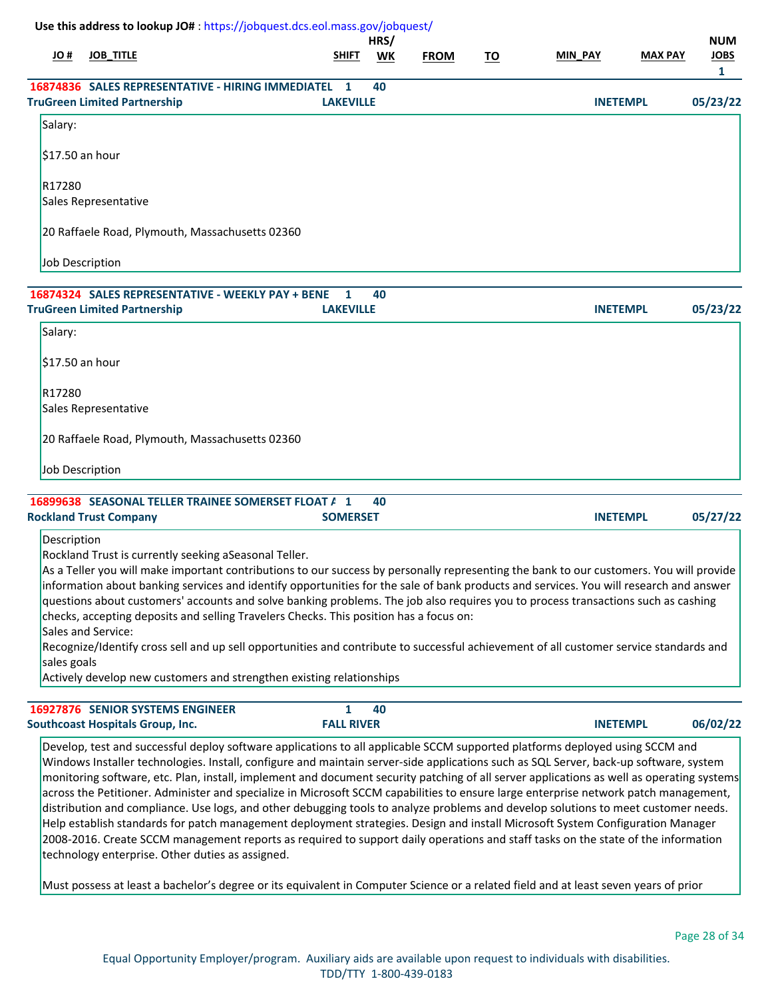|                            |                                                                             | Use this address to lookup JO#: https://jobquest.dcs.eol.mass.gov/jobquest/                                                                                                                                                                                                                                                                                                                                                                                                                                                                                                                                                                                                                                                                                                                                                                                                                                                                                                                                                 |                                   |            |             |           |                 |                |                                           |
|----------------------------|-----------------------------------------------------------------------------|-----------------------------------------------------------------------------------------------------------------------------------------------------------------------------------------------------------------------------------------------------------------------------------------------------------------------------------------------------------------------------------------------------------------------------------------------------------------------------------------------------------------------------------------------------------------------------------------------------------------------------------------------------------------------------------------------------------------------------------------------------------------------------------------------------------------------------------------------------------------------------------------------------------------------------------------------------------------------------------------------------------------------------|-----------------------------------|------------|-------------|-----------|-----------------|----------------|-------------------------------------------|
| # OL                       | <b>JOB_TITLE</b>                                                            |                                                                                                                                                                                                                                                                                                                                                                                                                                                                                                                                                                                                                                                                                                                                                                                                                                                                                                                                                                                                                             | SHIFT                             | HRS/<br>WK | <b>FROM</b> | <u>TO</u> | MIN PAY         | <b>MAX PAY</b> | <b>NUM</b><br><b>JOBS</b><br>$\mathbf{1}$ |
|                            | <b>TruGreen Limited Partnership</b>                                         | 16874836 SALES REPRESENTATIVE - HIRING IMMEDIATEL                                                                                                                                                                                                                                                                                                                                                                                                                                                                                                                                                                                                                                                                                                                                                                                                                                                                                                                                                                           | -1<br><b>LAKEVILLE</b>            | 40         |             |           | <b>INETEMPL</b> |                | 05/23/22                                  |
| Salary:                    |                                                                             |                                                                                                                                                                                                                                                                                                                                                                                                                                                                                                                                                                                                                                                                                                                                                                                                                                                                                                                                                                                                                             |                                   |            |             |           |                 |                |                                           |
| \$17.50 an hour            |                                                                             |                                                                                                                                                                                                                                                                                                                                                                                                                                                                                                                                                                                                                                                                                                                                                                                                                                                                                                                                                                                                                             |                                   |            |             |           |                 |                |                                           |
| R17280                     | Sales Representative                                                        |                                                                                                                                                                                                                                                                                                                                                                                                                                                                                                                                                                                                                                                                                                                                                                                                                                                                                                                                                                                                                             |                                   |            |             |           |                 |                |                                           |
|                            |                                                                             | 20 Raffaele Road, Plymouth, Massachusetts 02360                                                                                                                                                                                                                                                                                                                                                                                                                                                                                                                                                                                                                                                                                                                                                                                                                                                                                                                                                                             |                                   |            |             |           |                 |                |                                           |
|                            | Job Description                                                             |                                                                                                                                                                                                                                                                                                                                                                                                                                                                                                                                                                                                                                                                                                                                                                                                                                                                                                                                                                                                                             |                                   |            |             |           |                 |                |                                           |
|                            | <b>TruGreen Limited Partnership</b>                                         | 16874324 SALES REPRESENTATIVE - WEEKLY PAY + BENE                                                                                                                                                                                                                                                                                                                                                                                                                                                                                                                                                                                                                                                                                                                                                                                                                                                                                                                                                                           | 1<br><b>LAKEVILLE</b>             | 40         |             |           | <b>INETEMPL</b> |                | 05/23/22                                  |
| Salary:                    |                                                                             |                                                                                                                                                                                                                                                                                                                                                                                                                                                                                                                                                                                                                                                                                                                                                                                                                                                                                                                                                                                                                             |                                   |            |             |           |                 |                |                                           |
| \$17.50 an hour            |                                                                             |                                                                                                                                                                                                                                                                                                                                                                                                                                                                                                                                                                                                                                                                                                                                                                                                                                                                                                                                                                                                                             |                                   |            |             |           |                 |                |                                           |
| R17280                     | Sales Representative                                                        | 20 Raffaele Road, Plymouth, Massachusetts 02360                                                                                                                                                                                                                                                                                                                                                                                                                                                                                                                                                                                                                                                                                                                                                                                                                                                                                                                                                                             |                                   |            |             |           |                 |                |                                           |
|                            | Job Description                                                             |                                                                                                                                                                                                                                                                                                                                                                                                                                                                                                                                                                                                                                                                                                                                                                                                                                                                                                                                                                                                                             |                                   |            |             |           |                 |                |                                           |
|                            | <b>Rockland Trust Company</b>                                               | 16899638 SEASONAL TELLER TRAINEE SOMERSET FLOAT A 1                                                                                                                                                                                                                                                                                                                                                                                                                                                                                                                                                                                                                                                                                                                                                                                                                                                                                                                                                                         | <b>SOMERSET</b>                   | 40         |             |           | <b>INETEMPL</b> |                | 05/27/22                                  |
| Description<br>sales goals | Sales and Service:                                                          | Rockland Trust is currently seeking aSeasonal Teller.<br>As a Teller you will make important contributions to our success by personally representing the bank to our customers. You will provide<br>information about banking services and identify opportunities for the sale of bank products and services. You will research and answer<br>questions about customers' accounts and solve banking problems. The job also requires you to process transactions such as cashing<br>checks, accepting deposits and selling Travelers Checks. This position has a focus on:<br>Recognize/Identify cross sell and up sell opportunities and contribute to successful achievement of all customer service standards and<br>Actively develop new customers and strengthen existing relationships                                                                                                                                                                                                                                 |                                   |            |             |           |                 |                |                                           |
|                            | 16927876 SENIOR SYSTEMS ENGINEER<br><b>Southcoast Hospitals Group, Inc.</b> |                                                                                                                                                                                                                                                                                                                                                                                                                                                                                                                                                                                                                                                                                                                                                                                                                                                                                                                                                                                                                             | $\mathbf{1}$<br><b>FALL RIVER</b> | 40         |             |           | <b>INETEMPL</b> |                | 06/02/22                                  |
|                            |                                                                             | Develop, test and successful deploy software applications to all applicable SCCM supported platforms deployed using SCCM and<br>Windows Installer technologies. Install, configure and maintain server-side applications such as SQL Server, back-up software, system<br>monitoring software, etc. Plan, install, implement and document security patching of all server applications as well as operating systems<br>across the Petitioner. Administer and specialize in Microsoft SCCM capabilities to ensure large enterprise network patch management,<br>distribution and compliance. Use logs, and other debugging tools to analyze problems and develop solutions to meet customer needs.<br>Help establish standards for patch management deployment strategies. Design and install Microsoft System Configuration Manager<br>2008-2016. Create SCCM management reports as required to support daily operations and staff tasks on the state of the information<br>technology enterprise. Other duties as assigned. |                                   |            |             |           |                 |                |                                           |

Must possess at least a bachelor's degree or its equivalent in Computer Science or a related field and at least seven years of prior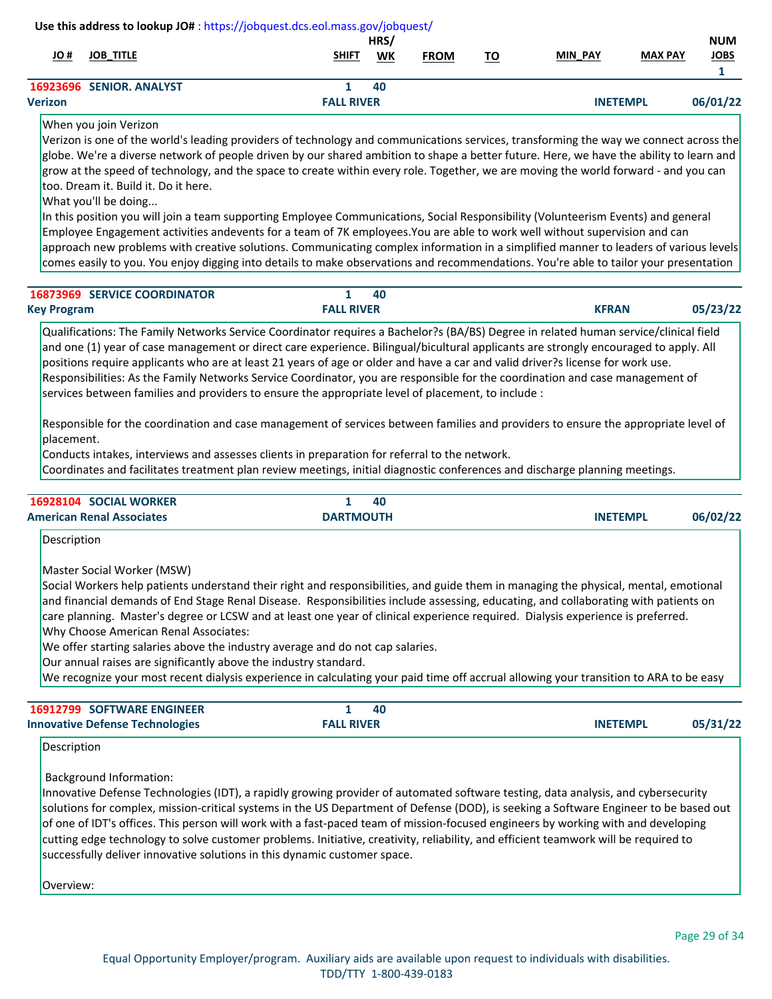|         | Use this address to lookup JO#: https://jobquest.dcs.eol.mass.gov/jobquest/ |                   |      |             |    |                |                 |             |
|---------|-----------------------------------------------------------------------------|-------------------|------|-------------|----|----------------|-----------------|-------------|
|         |                                                                             |                   | HRS/ |             |    |                |                 | <b>NUM</b>  |
| # JO    | <b>JOB TITLE</b>                                                            | <b>SHIFT</b>      | WK   | <b>FROM</b> | то | <b>MIN_PAY</b> | <b>MAX PAY</b>  | <b>JOBS</b> |
|         |                                                                             |                   |      |             |    |                |                 |             |
|         | 16923696 SENIOR, ANALYST                                                    |                   | 40   |             |    |                |                 |             |
| Verizon |                                                                             | <b>FALL RIVER</b> |      |             |    |                | <b>INETEMPL</b> | 06/01/22    |
|         |                                                                             |                   |      |             |    |                |                 |             |

### When you join Verizon

Verizon is one of the world's leading providers of technology and communications services, transforming the way we connect across the globe. We're a diverse network of people driven by our shared ambition to shape a better future. Here, we have the ability to learn and grow at the speed of technology, and the space to create within every role. Together, we are moving the world forward - and you can too. Dream it. Build it. Do it here.

What you'll be doing...

In this position you will join a team supporting Employee Communications, Social Responsibility (Volunteerism Events) and general Employee Engagement activities andevents for a team of 7K employees.You are able to work well without supervision and can approach new problems with creative solutions. Communicating complex information in a simplified manner to leaders of various levels comes easily to you. You enjoy digging into details to make observations and recommendations. You're able to tailor your presentation

| <b>16873969 SERVICE COORDINATOR</b> | 40                |              |          |
|-------------------------------------|-------------------|--------------|----------|
| <b>Key Program</b>                  | <b>FALL RIVER</b> | <b>KFRAN</b> | 05/23/22 |

Qualifications: The Family Networks Service Coordinator requires a Bachelor?s (BA/BS) Degree in related human service/clinical field and one (1) year of case management or direct care experience. Bilingual/bicultural applicants are strongly encouraged to apply. All positions require applicants who are at least 21 years of age or older and have a car and valid driver?s license for work use. Responsibilities: As the Family Networks Service Coordinator, you are responsible for the coordination and case management of services between families and providers to ensure the appropriate level of placement, to include :

Responsible for the coordination and case management of services between families and providers to ensure the appropriate level of placement.

Conducts intakes, interviews and assesses clients in preparation for referral to the network.

Coordinates and facilitates treatment plan review meetings, initial diagnostic conferences and discharge planning meetings.

| <b>16928104 SOCIAL WORKER</b>    | 40               |                 |          |
|----------------------------------|------------------|-----------------|----------|
| <b>American Renal Associates</b> | <b>DARTMOUTH</b> | <b>INETEMPL</b> | 06/02/22 |

## Description

Master Social Worker (MSW)

Social Workers help patients understand their right and responsibilities, and guide them in managing the physical, mental, emotional and financial demands of End Stage Renal Disease. Responsibilities include assessing, educating, and collaborating with patients on care planning. Master's degree or LCSW and at least one year of clinical experience required. Dialysis experience is preferred. Why Choose American Renal Associates:

We offer starting salaries above the industry average and do not cap salaries.

Our annual raises are significantly above the industry standard.

We recognize your most recent dialysis experience in calculating your paid time off accrual allowing your transition to ARA to be easy

| <b>16912799 SOFTWARE ENGINEER</b>      | 40                |                 |          |
|----------------------------------------|-------------------|-----------------|----------|
| <b>Innovative Defense Technologies</b> | <b>FALL RIVER</b> | <b>INETEMPL</b> | 05/31/22 |

Description

Background Information:

Innovative Defense Technologies (IDT), a rapidly growing provider of automated software testing, data analysis, and cybersecurity solutions for complex, mission-critical systems in the US Department of Defense (DOD), is seeking a Software Engineer to be based out of one of IDT's offices. This person will work with a fast-paced team of mission-focused engineers by working with and developing cutting edge technology to solve customer problems. Initiative, creativity, reliability, and efficient teamwork will be required to successfully deliver innovative solutions in this dynamic customer space.

Overview: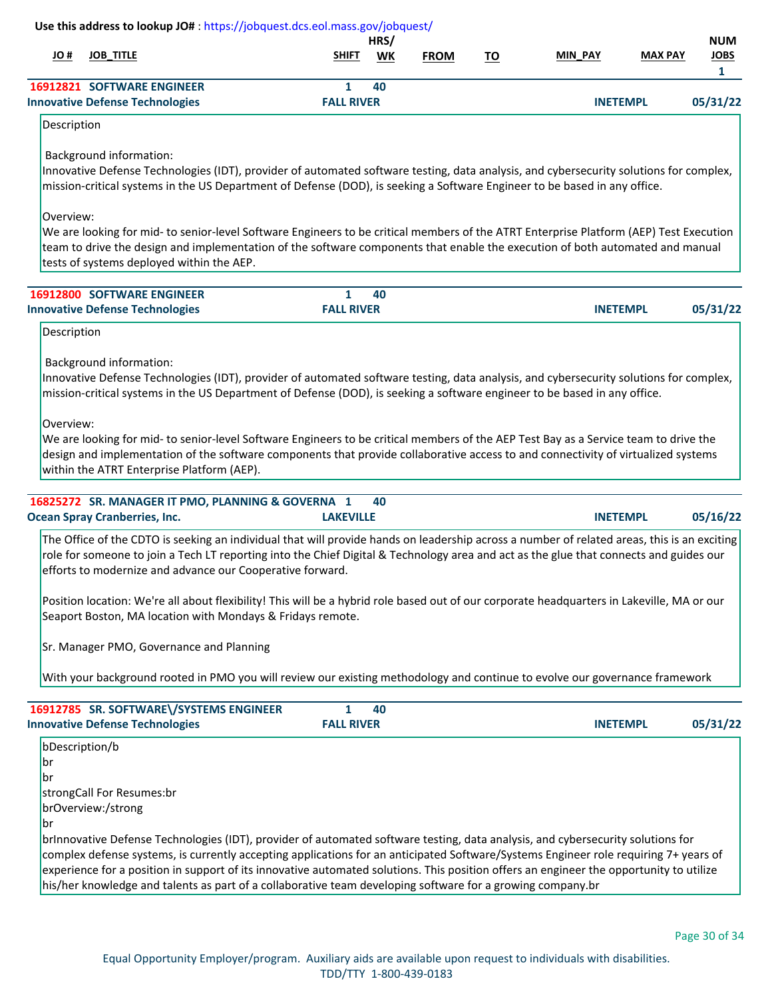| Use this address to lookup JO#: https://jobquest.dcs.eol.mass.gov/jobquest/<br>HRS/ |                                                                                                                                                                                                                                                                                                                      |                         |    |             |           |                |                 |                           |  |
|-------------------------------------------------------------------------------------|----------------------------------------------------------------------------------------------------------------------------------------------------------------------------------------------------------------------------------------------------------------------------------------------------------------------|-------------------------|----|-------------|-----------|----------------|-----------------|---------------------------|--|
| H OL                                                                                | <b>JOB TITLE</b>                                                                                                                                                                                                                                                                                                     | <b>SHIFT</b>            | WK | <b>FROM</b> | <u>TO</u> | <b>MIN PAY</b> | <b>MAX PAY</b>  | <b>NUM</b><br><b>JOBS</b> |  |
|                                                                                     | <b>16912821 SOFTWARE ENGINEER</b><br><b>Innovative Defense Technologies</b>                                                                                                                                                                                                                                          | 40<br><b>FALL RIVER</b> |    |             |           |                | <b>INETEMPL</b> | 05/31/22                  |  |
| Description                                                                         | Background information:<br>Innovative Defense Technologies (IDT), provider of automated software testing, data analysis, and cybersecurity solutions for complex,<br>mission-critical systems in the US Department of Defense (DOD), is seeking a Software Engineer to be based in any office.                       |                         |    |             |           |                |                 |                           |  |
| Overview:                                                                           | We are looking for mid- to senior-level Software Engineers to be critical members of the ATRT Enterprise Platform (AEP) Test Execution<br>team to drive the design and implementation of the software components that enable the execution of both automated and manual<br>tests of systems deployed within the AEP. |                         |    |             |           |                |                 |                           |  |

| <b>16912800 SOFTWARE ENGINEER</b>      |                   | -40 |                 |          |
|----------------------------------------|-------------------|-----|-----------------|----------|
| <b>Innovative Defense Technologies</b> | <b>FALL RIVER</b> |     | <b>INETEMPL</b> | 05/31/22 |

Description

Background information:

Innovative Defense Technologies (IDT), provider of automated software testing, data analysis, and cybersecurity solutions for complex, mission-critical systems in the US Department of Defense (DOD), is seeking a software engineer to be based in any office.

Overview:

We are looking for mid- to senior-level Software Engineers to be critical members of the AEP Test Bay as a Service team to drive the design and implementation of the software components that provide collaborative access to and connectivity of virtualized systems within the ATRT Enterprise Platform (AEP).

| 16825272 SR. MANAGER IT PMO, PLANNING & GOVERNA 1                                                                                           | 40               |                 |          |
|---------------------------------------------------------------------------------------------------------------------------------------------|------------------|-----------------|----------|
| <b>Ocean Spray Cranberries, Inc.</b>                                                                                                        | <b>LAKEVILLE</b> | <b>INETEMPL</b> | 05/16/22 |
| The Office of the CDTO is seeking an individual that will provide hands on leadership across a number of related areas, this is an exciting |                  |                 |          |
| role for someone to join a Tech LT reporting into the Chief Digital & Technology area and act as the glue that connects and guides our      |                  |                 |          |

Position location: We're all about flexibility! This will be a hybrid role based out of our corporate headquarters in Lakeville, MA or our Seaport Boston, MA location with Mondays & Fridays remote.

Sr. Manager PMO, Governance and Planning

efforts to modernize and advance our Cooperative forward.

With your background rooted in PMO you will review our existing methodology and continue to evolve our governance framework

| 16912785 SR. SOFTWARE\/SYSTEMS ENGINEER<br><b>Innovative Defense Technologies</b>                                                                                                                                                                                                                                                                                                                                  | <b>FALL RIVER</b> | 40 | <b>INETEMPL</b> | 05/31/22 |
|--------------------------------------------------------------------------------------------------------------------------------------------------------------------------------------------------------------------------------------------------------------------------------------------------------------------------------------------------------------------------------------------------------------------|-------------------|----|-----------------|----------|
|                                                                                                                                                                                                                                                                                                                                                                                                                    |                   |    |                 |          |
| bDescription/b                                                                                                                                                                                                                                                                                                                                                                                                     |                   |    |                 |          |
| lbr                                                                                                                                                                                                                                                                                                                                                                                                                |                   |    |                 |          |
| lbr                                                                                                                                                                                                                                                                                                                                                                                                                |                   |    |                 |          |
| strongCall For Resumes:br                                                                                                                                                                                                                                                                                                                                                                                          |                   |    |                 |          |
| brOverview:/strong                                                                                                                                                                                                                                                                                                                                                                                                 |                   |    |                 |          |
| lbr                                                                                                                                                                                                                                                                                                                                                                                                                |                   |    |                 |          |
| brinnovative Defense Technologies (IDT), provider of automated software testing, data analysis, and cybersecurity solutions for<br>complex defense systems, is currently accepting applications for an anticipated Software/Systems Engineer role requiring 7+ years of<br>experience for a position in support of its innovative automated solutions. This position offers an engineer the opportunity to utilize |                   |    |                 |          |
| his/her knowledge and talents as part of a collaborative team developing software for a growing company.br                                                                                                                                                                                                                                                                                                         |                   |    |                 |          |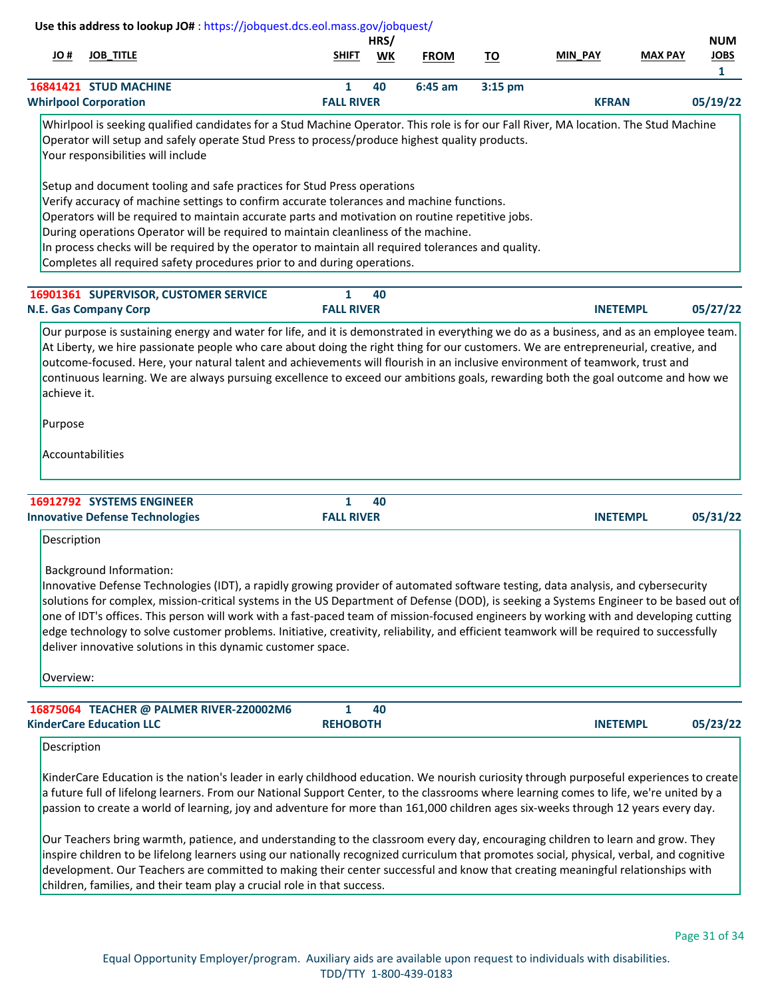|                                            | Use this address to lookup JO#: https://jobquest.dcs.eol.mass.gov/jobquest/                                                                                                                                                                                                                                                                                                                                                                                                                                                                                                                                                                                                                                                                                                                                                                                                                                           |                                   |            |             |           |                 |                |                                           |
|--------------------------------------------|-----------------------------------------------------------------------------------------------------------------------------------------------------------------------------------------------------------------------------------------------------------------------------------------------------------------------------------------------------------------------------------------------------------------------------------------------------------------------------------------------------------------------------------------------------------------------------------------------------------------------------------------------------------------------------------------------------------------------------------------------------------------------------------------------------------------------------------------------------------------------------------------------------------------------|-----------------------------------|------------|-------------|-----------|-----------------|----------------|-------------------------------------------|
| # OL                                       | <b>JOB_TITLE</b>                                                                                                                                                                                                                                                                                                                                                                                                                                                                                                                                                                                                                                                                                                                                                                                                                                                                                                      | SHIFT                             | HRS/<br>WK | <b>FROM</b> | <u>TO</u> | <b>MIN PAY</b>  | <b>MAX PAY</b> | <b>NUM</b><br><b>JOBS</b><br>$\mathbf{1}$ |
|                                            | 16841421 STUD MACHINE<br><b>Whirlpool Corporation</b>                                                                                                                                                                                                                                                                                                                                                                                                                                                                                                                                                                                                                                                                                                                                                                                                                                                                 | 1<br><b>FALL RIVER</b>            | 40         | 6:45 am     | 3:15 pm   | <b>KFRAN</b>    |                | 05/19/22                                  |
|                                            | Whirlpool is seeking qualified candidates for a Stud Machine Operator. This role is for our Fall River, MA location. The Stud Machine<br>Operator will setup and safely operate Stud Press to process/produce highest quality products.<br>Your responsibilities will include<br>Setup and document tooling and safe practices for Stud Press operations<br>Verify accuracy of machine settings to confirm accurate tolerances and machine functions.<br>Operators will be required to maintain accurate parts and motivation on routine repetitive jobs.<br>During operations Operator will be required to maintain cleanliness of the machine.<br>In process checks will be required by the operator to maintain all required tolerances and quality.<br>Completes all required safety procedures prior to and during operations.<br>16901361 SUPERVISOR, CUSTOMER SERVICE<br><b>N.E. Gas Company Corp</b>          | 1<br><b>FALL RIVER</b>            | 40         |             |           | <b>INETEMPL</b> |                | 05/27/22                                  |
| achieve it.<br>Purpose<br>Accountabilities | Our purpose is sustaining energy and water for life, and it is demonstrated in everything we do as a business, and as an employee team.<br>At Liberty, we hire passionate people who care about doing the right thing for our customers. We are entrepreneurial, creative, and<br>outcome-focused. Here, your natural talent and achievements will flourish in an inclusive environment of teamwork, trust and<br>continuous learning. We are always pursuing excellence to exceed our ambitions goals, rewarding both the goal outcome and how we                                                                                                                                                                                                                                                                                                                                                                    |                                   |            |             |           |                 |                |                                           |
|                                            |                                                                                                                                                                                                                                                                                                                                                                                                                                                                                                                                                                                                                                                                                                                                                                                                                                                                                                                       |                                   |            |             |           |                 |                |                                           |
|                                            | 16912792 SYSTEMS ENGINEER<br><b>Innovative Defense Technologies</b>                                                                                                                                                                                                                                                                                                                                                                                                                                                                                                                                                                                                                                                                                                                                                                                                                                                   | $\mathbf{1}$<br><b>FALL RIVER</b> | 40         |             |           | <b>INETEMPL</b> |                | 05/31/22                                  |
| Description<br>Overview:                   | <b>Background Information:</b><br>Innovative Defense Technologies (IDT), a rapidly growing provider of automated software testing, data analysis, and cybersecurity<br>solutions for complex, mission-critical systems in the US Department of Defense (DOD), is seeking a Systems Engineer to be based out of<br>one of IDT's offices. This person will work with a fast-paced team of mission-focused engineers by working with and developing cutting<br>edge technology to solve customer problems. Initiative, creativity, reliability, and efficient teamwork will be required to successfully<br>deliver innovative solutions in this dynamic customer space.                                                                                                                                                                                                                                                  |                                   |            |             |           |                 |                |                                           |
|                                            | 16875064 TEACHER @ PALMER RIVER-220002M6<br><b>KinderCare Education LLC</b>                                                                                                                                                                                                                                                                                                                                                                                                                                                                                                                                                                                                                                                                                                                                                                                                                                           | 1<br><b>REHOBOTH</b>              | 40         |             |           | <b>INETEMPL</b> |                | 05/23/22                                  |
| Description                                | KinderCare Education is the nation's leader in early childhood education. We nourish curiosity through purposeful experiences to create<br>a future full of lifelong learners. From our National Support Center, to the classrooms where learning comes to life, we're united by a<br>passion to create a world of learning, joy and adventure for more than 161,000 children ages six-weeks through 12 years every day.<br>Our Teachers bring warmth, patience, and understanding to the classroom every day, encouraging children to learn and grow. They<br>inspire children to be lifelong learners using our nationally recognized curriculum that promotes social, physical, verbal, and cognitive<br>development. Our Teachers are committed to making their center successful and know that creating meaningful relationships with<br>children, families, and their team play a crucial role in that success. |                                   |            |             |           |                 |                |                                           |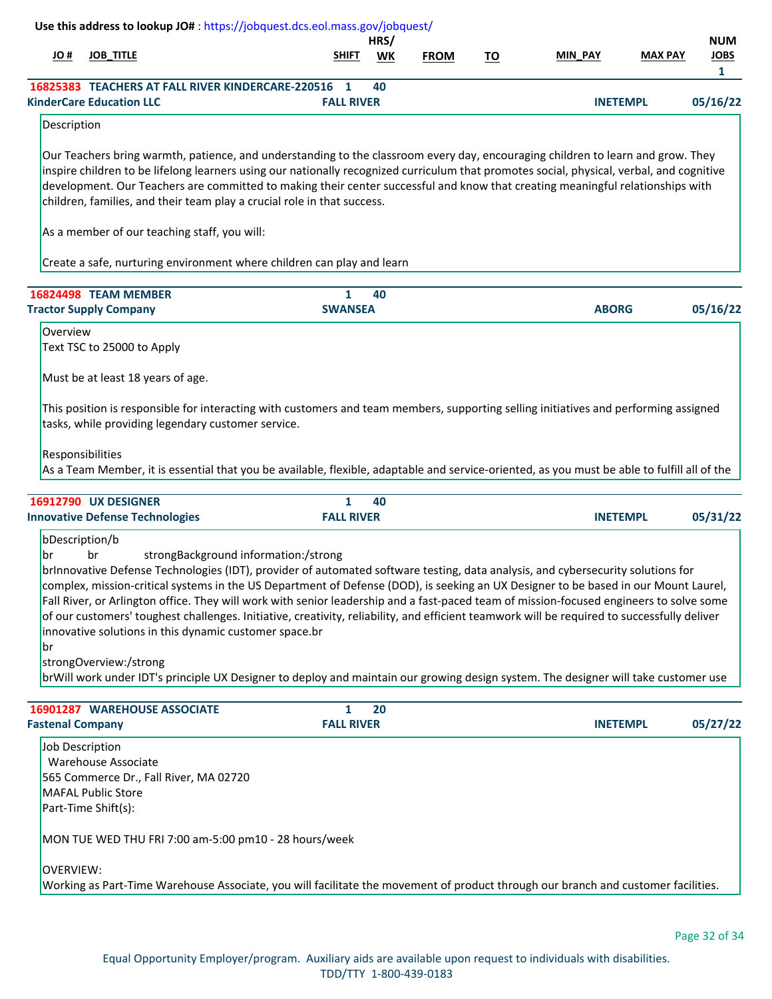| # OL                                       | <b>JOB_TITLE</b>                                                                                                                                                                                                                                                                                                                                                                                                                                                                                                                                                                                                                                                                                                                                                                                  | SHIFT                                | HRS/<br>WK | <b>FROM</b> | <u>TO</u> | MIN_PAY         | <b>MAX PAY</b> | <b>NUM</b><br><b>JOBS</b><br>1 |
|--------------------------------------------|---------------------------------------------------------------------------------------------------------------------------------------------------------------------------------------------------------------------------------------------------------------------------------------------------------------------------------------------------------------------------------------------------------------------------------------------------------------------------------------------------------------------------------------------------------------------------------------------------------------------------------------------------------------------------------------------------------------------------------------------------------------------------------------------------|--------------------------------------|------------|-------------|-----------|-----------------|----------------|--------------------------------|
|                                            | 16825383 TEACHERS AT FALL RIVER KINDERCARE-220516<br><b>KinderCare Education LLC</b>                                                                                                                                                                                                                                                                                                                                                                                                                                                                                                                                                                                                                                                                                                              | 1<br><b>FALL RIVER</b>               | 40         |             |           | <b>INETEMPL</b> |                | 05/16/22                       |
| Description                                |                                                                                                                                                                                                                                                                                                                                                                                                                                                                                                                                                                                                                                                                                                                                                                                                   |                                      |            |             |           |                 |                |                                |
|                                            | Our Teachers bring warmth, patience, and understanding to the classroom every day, encouraging children to learn and grow. They<br>inspire children to be lifelong learners using our nationally recognized curriculum that promotes social, physical, verbal, and cognitive<br>development. Our Teachers are committed to making their center successful and know that creating meaningful relationships with<br>children, families, and their team play a crucial role in that success.                                                                                                                                                                                                                                                                                                         |                                      |            |             |           |                 |                |                                |
|                                            | As a member of our teaching staff, you will:                                                                                                                                                                                                                                                                                                                                                                                                                                                                                                                                                                                                                                                                                                                                                      |                                      |            |             |           |                 |                |                                |
|                                            | Create a safe, nurturing environment where children can play and learn                                                                                                                                                                                                                                                                                                                                                                                                                                                                                                                                                                                                                                                                                                                            |                                      |            |             |           |                 |                |                                |
|                                            | 16824498 TEAM MEMBER                                                                                                                                                                                                                                                                                                                                                                                                                                                                                                                                                                                                                                                                                                                                                                              | 1                                    | 40         |             |           |                 |                |                                |
|                                            | <b>Tractor Supply Company</b>                                                                                                                                                                                                                                                                                                                                                                                                                                                                                                                                                                                                                                                                                                                                                                     | <b>SWANSEA</b>                       |            |             |           | <b>ABORG</b>    |                | 05/16/22                       |
| Overview                                   | Text TSC to 25000 to Apply                                                                                                                                                                                                                                                                                                                                                                                                                                                                                                                                                                                                                                                                                                                                                                        |                                      |            |             |           |                 |                |                                |
|                                            | Must be at least 18 years of age.                                                                                                                                                                                                                                                                                                                                                                                                                                                                                                                                                                                                                                                                                                                                                                 |                                      |            |             |           |                 |                |                                |
|                                            | This position is responsible for interacting with customers and team members, supporting selling initiatives and performing assigned<br>tasks, while providing legendary customer service.                                                                                                                                                                                                                                                                                                                                                                                                                                                                                                                                                                                                        |                                      |            |             |           |                 |                |                                |
| Responsibilities                           | As a Team Member, it is essential that you be available, flexible, adaptable and service-oriented, as you must be able to fulfill all of the                                                                                                                                                                                                                                                                                                                                                                                                                                                                                                                                                                                                                                                      |                                      |            |             |           |                 |                |                                |
|                                            | <b>16912790 UX DESIGNER</b><br><b>Innovative Defense Technologies</b>                                                                                                                                                                                                                                                                                                                                                                                                                                                                                                                                                                                                                                                                                                                             | $\mathbf{1}$<br><b>FALL RIVER</b>    | 40         |             |           | <b>INETEMPL</b> |                | 05/31/22                       |
| bDescription/b<br>lbr<br>lbr.              | br<br>brInnovative Defense Technologies (IDT), provider of automated software testing, data analysis, and cybersecurity solutions for<br>complex, mission-critical systems in the US Department of Defense (DOD), is seeking an UX Designer to be based in our Mount Laurel,<br>Fall River, or Arlington office. They will work with senior leadership and a fast-paced team of mission-focused engineers to solve some<br>of our customers' toughest challenges. Initiative, creativity, reliability, and efficient teamwork will be required to successfully deliver<br>innovative solutions in this dynamic customer space.br<br>strongOverview:/strong<br>brWill work under IDT's principle UX Designer to deploy and maintain our growing design system. The designer will take customer use | strongBackground information:/strong |            |             |           |                 |                |                                |
|                                            | 16901287 WAREHOUSE ASSOCIATE                                                                                                                                                                                                                                                                                                                                                                                                                                                                                                                                                                                                                                                                                                                                                                      | 1                                    | 20         |             |           |                 |                |                                |
|                                            |                                                                                                                                                                                                                                                                                                                                                                                                                                                                                                                                                                                                                                                                                                                                                                                                   |                                      |            |             |           |                 |                |                                |
| <b>Fastenal Company</b>                    |                                                                                                                                                                                                                                                                                                                                                                                                                                                                                                                                                                                                                                                                                                                                                                                                   | <b>FALL RIVER</b>                    |            |             |           | <b>INETEMPL</b> |                | 05/27/22                       |
| <b>Job Description</b><br><b>OVERVIEW:</b> | Warehouse Associate<br>565 Commerce Dr., Fall River, MA 02720<br><b>MAFAL Public Store</b><br>Part-Time Shift(s):<br>MON TUE WED THU FRI 7:00 am-5:00 pm10 - 28 hours/week<br>Working as Part-Time Warehouse Associate, you will facilitate the movement of product through our branch and customer facilities.                                                                                                                                                                                                                                                                                                                                                                                                                                                                                   |                                      |            |             |           |                 |                |                                |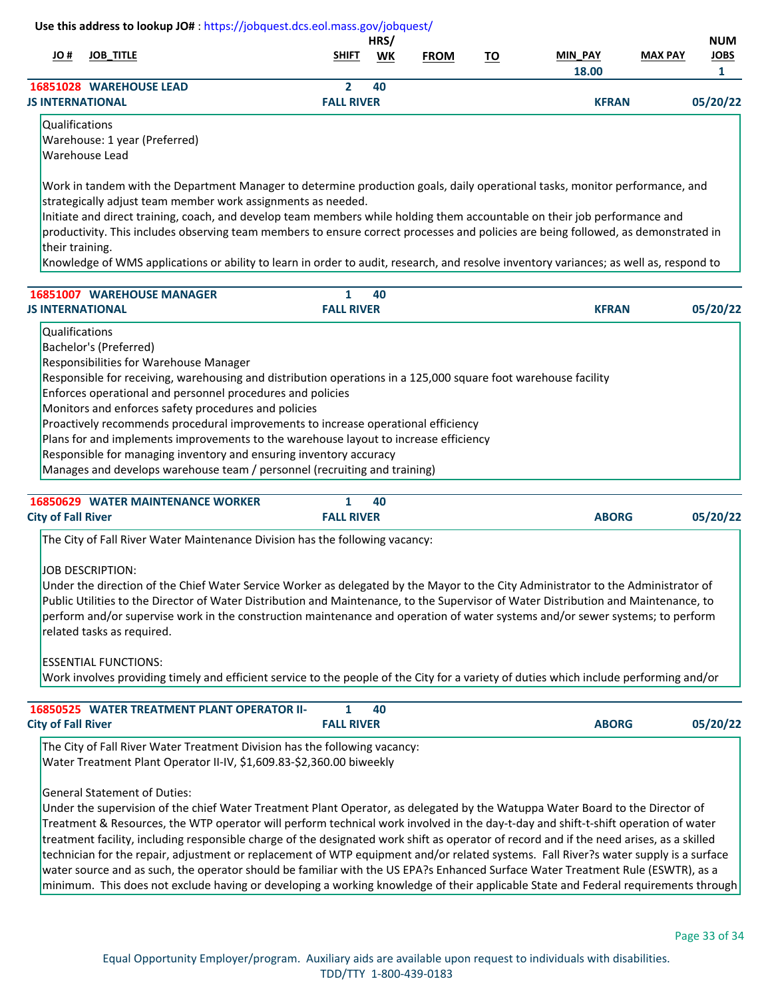|                                |                   | HRS/ |             |           |                |                | <b>NUM</b>  |
|--------------------------------|-------------------|------|-------------|-----------|----------------|----------------|-------------|
| <b>JOB TITLE</b><br>JO#        | <b>SHIFT</b>      | WK   | <b>FROM</b> | <u>TO</u> | <b>MIN PAY</b> | <b>MAX PAY</b> | <b>JOBS</b> |
|                                |                   |      |             |           | 18.00          |                |             |
| <b>16851028 WAREHOUSE LEAD</b> |                   | 40   |             |           |                |                |             |
| <b>JS INTERNATIONAL</b>        | <b>FALL RIVER</b> |      |             |           | <b>KFRAN</b>   |                | 05/20/22    |
|                                |                   |      |             |           |                |                |             |

Qualifications Warehouse: 1 year (Preferred) Warehouse Lead

Work in tandem with the Department Manager to determine production goals, daily operational tasks, monitor performance, and strategically adjust team member work assignments as needed.

Initiate and direct training, coach, and develop team members while holding them accountable on their job performance and productivity. This includes observing team members to ensure correct processes and policies are being followed, as demonstrated in their training.

Knowledge of WMS applications or ability to learn in order to audit, research, and resolve inventory variances; as well as, respond to

| <b>16851007 WAREHOUSE MANAGER</b>                                                                              | 40                |              |          |
|----------------------------------------------------------------------------------------------------------------|-------------------|--------------|----------|
| <b>JS INTERNATIONAL</b>                                                                                        | <b>FALL RIVER</b> | <b>KFRAN</b> | 05/20/22 |
| <b>Qualifications</b>                                                                                          |                   |              |          |
| Bachelor's (Preferred)                                                                                         |                   |              |          |
| <b>Responsibilities for Warehouse Manager</b>                                                                  |                   |              |          |
| Responsible for receiving, warehousing and distribution operations in a 125,000 square foot warehouse facility |                   |              |          |
| Enforces operational and personnel procedures and policies                                                     |                   |              |          |
| Monitors and enforces safety procedures and policies                                                           |                   |              |          |
| Proactively recommends procedural improvements to increase operational efficiency                              |                   |              |          |
| Plans for and implements improvements to the warehouse layout to increase efficiency                           |                   |              |          |
| Responsible for managing inventory and ensuring inventory accuracy                                             |                   |              |          |
| Manages and develops warehouse team / personnel (recruiting and training)                                      |                   |              |          |

| <b>16850629 WATER MAINTENANCE WORKER</b> | 40                |              |          |
|------------------------------------------|-------------------|--------------|----------|
| <b>City of Fall River</b>                | <b>FALL RIVER</b> | <b>ABORG</b> | 05/20/22 |

The City of Fall River Water Maintenance Division has the following vacancy:

JOB DESCRIPTION:

Under the direction of the Chief Water Service Worker as delegated by the Mayor to the City Administrator to the Administrator of Public Utilities to the Director of Water Distribution and Maintenance, to the Supervisor of Water Distribution and Maintenance, to perform and/or supervise work in the construction maintenance and operation of water systems and/or sewer systems; to perform related tasks as required.

ESSENTIAL FUNCTIONS:

Work involves providing timely and efficient service to the people of the City for a variety of duties which include performing and/or

| <b>16850525 WATER TREATMENT PLANT OPERATOR II-</b> |                   | 40 |              |          |
|----------------------------------------------------|-------------------|----|--------------|----------|
| <b>City of Fall River</b>                          | <b>FALL RIVER</b> |    | <b>ABORG</b> | 05/20/22 |

The City of Fall River Water Treatment Division has the following vacancy: Water Treatment Plant Operator II-IV, \$1,609.83-\$2,360.00 biweekly

General Statement of Duties:

Under the supervision of the chief Water Treatment Plant Operator, as delegated by the Watuppa Water Board to the Director of Treatment & Resources, the WTP operator will perform technical work involved in the day-t-day and shift-t-shift operation of water treatment facility, including responsible charge of the designated work shift as operator of record and if the need arises, as a skilled technician for the repair, adjustment or replacement of WTP equipment and/or related systems. Fall River?s water supply is a surface water source and as such, the operator should be familiar with the US EPA?s Enhanced Surface Water Treatment Rule (ESWTR), as a minimum. This does not exclude having or developing a working knowledge of their applicable State and Federal requirements through